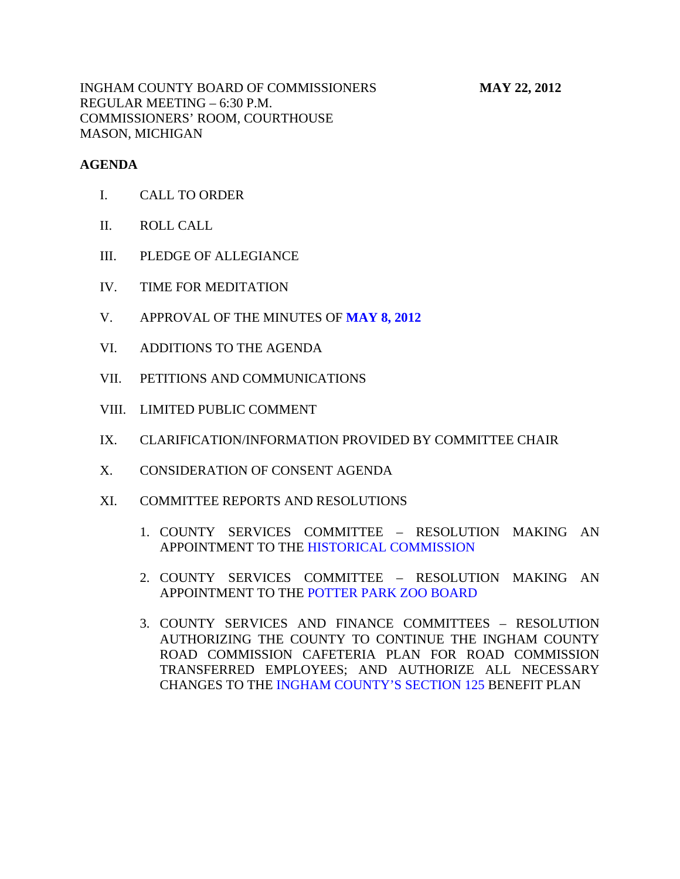INGHAM COUNTY BOARD OF COMMISSIONERS **MAY 22, 2012** REGULAR MEETING – 6:30 P.M. COMMISSIONERS' ROOM, COURTHOUSE MASON, MICHIGAN

# **AGENDA**

- I. CALL TO ORDER
- II. ROLL CALL
- III. PLEDGE OF ALLEGIANCE
- IV. TIME FOR MEDITATION
- V. APPROVAL OF THE MINUTES OF **[MAY 8, 2012](#page-3-0)**
- VI. ADDITIONS TO THE AGENDA
- VII. PETITIONS AND COMMUNICATIONS
- VIII. LIMITED PUBLIC COMMENT
- IX. CLARIFICATION/INFORMATION PROVIDED BY COMMITTEE CHAIR
- X. CONSIDERATION OF CONSENT AGENDA
- XI. COMMITTEE REPORTS AND RESOLUTIONS
	- 1. COUNTY SERVICES COMMITTEE RESOLUTION MAKING AN APPOINTMENT TO TH[E HISTORICAL COMMISSION](#page-28-0)
	- 2. COUNTY SERVICES COMMITTEE RESOLUTION MAKING AN APPOINTMENT TO THE [POTTER PARK ZOO BOARD](#page-29-0)
	- 3. COUNTY SERVICES AND FINANCE COMMITTEES RESOLUTION AUTHORIZING THE COUNTY TO CONTINUE THE INGHAM COUNTY ROAD COMMISSION CAFETERIA PLAN FOR ROAD COMMISSION TRANSFERRED EMPLOYEES; AND AUTHORIZE ALL NECESSARY CHANGES TO THE [INGHAM COUNTY'S SECTION 125 BE](#page-30-0)NEFIT PLAN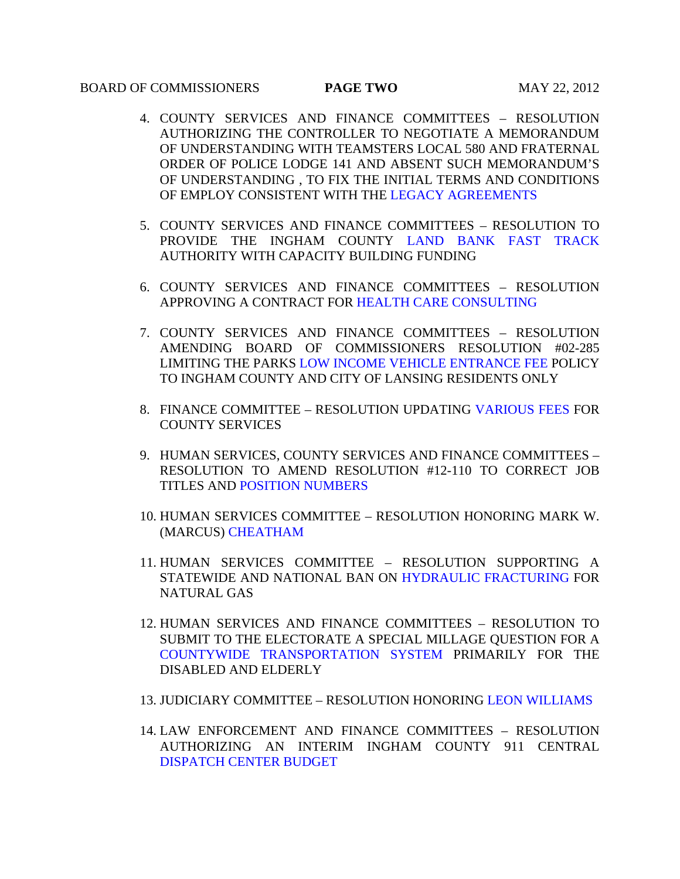# BOARD OF COMMISSIONERS **PAGE TWO** MAY 22, 2012

- 4. COUNTY SERVICES AND FINANCE COMMITTEES RESOLUTION AUTHORIZING THE CONTROLLER TO NEGOTIATE A MEMORANDUM OF UNDERSTANDING WITH TEAMSTERS LOCAL 580 AND FRATERNAL ORDER OF POLICE LODGE 141 AND ABSENT SUCH MEMORANDUM'S OF UNDERSTANDING , TO FIX THE INITIAL TERMS AND CONDITIONS OF EMPLOY CONSISTENT WITH T[HE LEGACY AGREEMENTS](#page-32-0)
- 5. COUNTY SERVICES AND FINANCE COMMITTEES RESOLUTION TO PROVIDE THE INGHAM COUNTY [LAND BANK FAST TRACK](#page-34-0) AUTHORITY WITH CAPACITY BUILDING FUNDING
- 6. COUNTY SERVICES AND F[INANCE COMMITTEES RESO](#page-35-0)LUTION APPROVING A CONTRACT FOR HEALTH CARE CONSULTING
- 7. COUNTY SERVICES AND FINANCE COMMITTEES RESOLUTION AMENDING BOARD OF COMMISSIONERS RESOLUTION #02-285 LIMITING THE PARK[S LOW INCOME VEHICLE ENTRANCE FEE P](#page-36-0)OLICY TO INGHAM COUNTY AND CITY OF LANSING RESIDENTS ONLY
- 8. FINANCE COMMITTEE RESOLUTION UPDATIN[G VARIOUS FEES FO](#page-37-0)R COUNTY SERVICES
- 9. HUMAN SERVICES, COUNTY SERVICES AND FINANCE COMMITTEES RESOLUTIO[N TO AMEND RESOLUTIO](#page-46-0)N #12-110 TO CORRECT JOB TITLES AND POSITION NUMBERS
- 10. HUMAN SERVICES COMMITTEE RESOLUTION HONORING MARK W. (MAR[CUS\) CHEATHAM](#page-48-0)
- 11. HUMAN SERVICES COMMITTEE RESOLUTION SUPPORTING A STATEWIDE AND NATIONAL BAN ON [HYDRAULIC FRACTURING FO](#page-49-0)R NATURAL GAS
- 12. HUMAN SERVICES AND FINANCE COMMITTEES RESOLUTION TO SUBMIT TO THE ELECTORATE A SPECIAL MILLAGE QUESTION FOR A [COUNTYWIDE TRANSPORTATION SYSTEM P](#page-51-0)RIMARILY FOR THE DISABLED AND ELDERLY
- 13. JUDICIARY COMMITTEE RESOLUTION HONORI[NG LEON WILLIAMS](#page-52-0)
- 14. LAW ENFORCEMENT AND FINANCE COMMITTEES RESOLUTION AUTHORIZING AN INTERIM INGHAM COUNTY 911 CENTRAL [DISPATCH CENTER BUDGET](#page-53-0)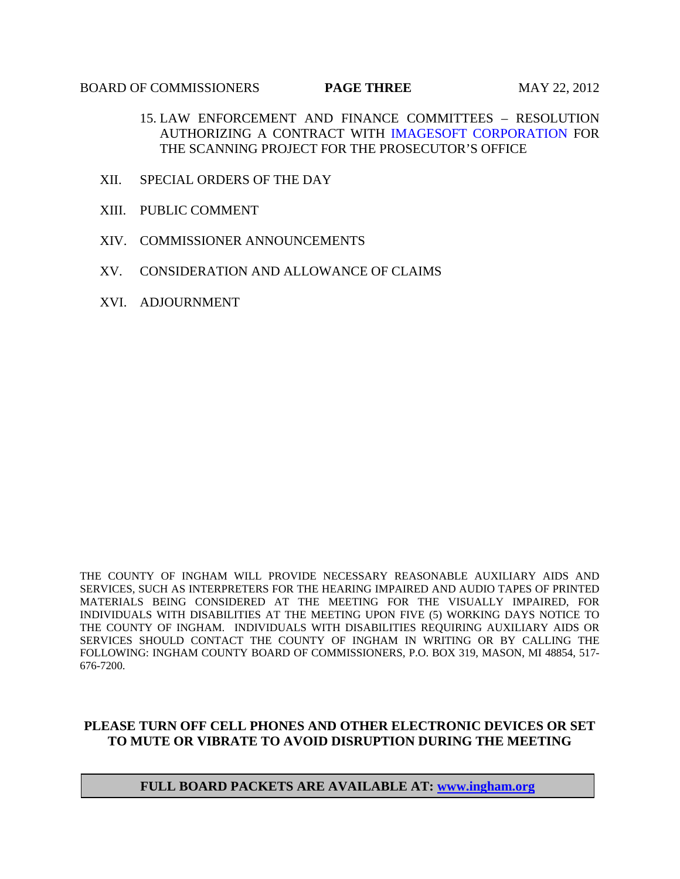### **BOARD OF COMMISSIONERS PAGE THREE** MAY 22, 2012

- 15. LAW ENFORCEMENT AND FINANCE COMMITTEES RESOLUTION AUTHORIZING A CONTRACT WI[TH IMAGESOFT CORPORATION FO](#page-57-0)R THE SCANNING PROJECT FOR THE PROSECUTOR'S OFFICE
- XII. SPECIAL ORDERS OF THE DAY
- XIII. PUBLIC COMMENT
- XIV. COMMISSIONER ANNOUNCEMENTS
- XV. CONSIDERATION AND ALLOWANCE OF CLAIMS
- XVI. ADJOURNMENT

THE COUNTY OF INGHAM WILL PROVIDE NECESSARY REASONABLE AUXILIARY AIDS AND SERVICES, SUCH AS INTERPRETERS FOR THE HEARING IMPAIRED AND AUDIO TAPES OF PRINTED MATERIALS BEING CONSIDERED AT THE MEETING FOR THE VISUALLY IMPAIRED, FOR INDIVIDUALS WITH DISABILITIES AT THE MEETING UPON FIVE (5) WORKING DAYS NOTICE TO THE COUNTY OF INGHAM. INDIVIDUALS WITH DISABILITIES REQUIRING AUXILIARY AIDS OR SERVICES SHOULD CONTACT THE COUNTY OF INGHAM IN WRITING OR BY CALLING THE FOLLOWING: INGHAM COUNTY BOARD OF COMMISSIONERS, P.O. BOX 319, MASON, MI 48854, 517- 676-7200.

# **PLEASE TURN OFF CELL PHONES AND OTHER ELECTRONIC DEVICES OR SET TO MUTE OR VIBRATE TO AVOID DISRUPTION DURING THE MEETING**

# **FULL BOARD PACKETS ARE AVAILABLE AT: www.ingham.org**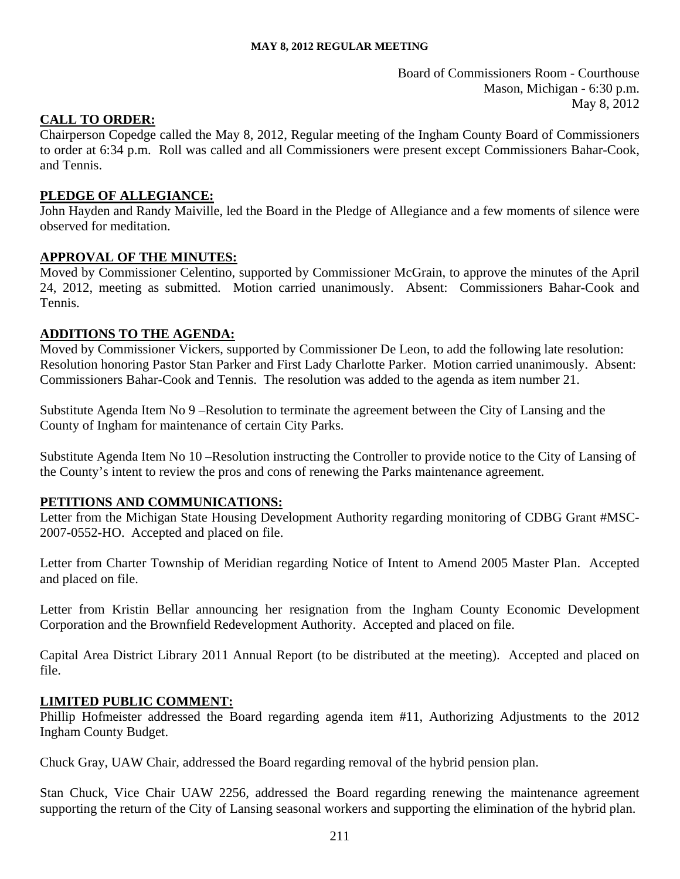Board of Commissioners Room - Courthouse Mason, Michigan - 6:30 p.m. May 8, 2012

# <span id="page-3-0"></span>**CALL TO ORDER:**

Chairperson Copedge called the May 8, 2012, Regular meeting of the Ingham County Board of Commissioners to order at 6:34 p.m. Roll was called and all Commissioners were present except Commissioners Bahar-Cook, and Tennis.

# **PLEDGE OF ALLEGIANCE:**

John Hayden and Randy Maiville, led the Board in the Pledge of Allegiance and a few moments of silence were observed for meditation.

# **APPROVAL OF THE MINUTES:**

Moved by Commissioner Celentino, supported by Commissioner McGrain, to approve the minutes of the April 24, 2012, meeting as submitted. Motion carried unanimously. Absent: Commissioners Bahar-Cook and Tennis.

# **ADDITIONS TO THE AGENDA:**

Moved by Commissioner Vickers, supported by Commissioner De Leon, to add the following late resolution: Resolution honoring Pastor Stan Parker and First Lady Charlotte Parker. Motion carried unanimously. Absent: Commissioners Bahar-Cook and Tennis. The resolution was added to the agenda as item number 21.

Substitute Agenda Item No 9 –Resolution to terminate the agreement between the City of Lansing and the County of Ingham for maintenance of certain City Parks.

Substitute Agenda Item No 10 –Resolution instructing the Controller to provide notice to the City of Lansing of the County's intent to review the pros and cons of renewing the Parks maintenance agreement.

# **PETITIONS AND COMMUNICATIONS:**

Letter from the Michigan State Housing Development Authority regarding monitoring of CDBG Grant #MSC-2007-0552-HO. Accepted and placed on file.

Letter from Charter Township of Meridian regarding Notice of Intent to Amend 2005 Master Plan. Accepted and placed on file.

Letter from Kristin Bellar announcing her resignation from the Ingham County Economic Development Corporation and the Brownfield Redevelopment Authority. Accepted and placed on file.

Capital Area District Library 2011 Annual Report (to be distributed at the meeting). Accepted and placed on file.

# **LIMITED PUBLIC COMMENT:**

Phillip Hofmeister addressed the Board regarding agenda item #11, Authorizing Adjustments to the 2012 Ingham County Budget.

Chuck Gray, UAW Chair, addressed the Board regarding removal of the hybrid pension plan.

Stan Chuck, Vice Chair UAW 2256, addressed the Board regarding renewing the maintenance agreement supporting the return of the City of Lansing seasonal workers and supporting the elimination of the hybrid plan.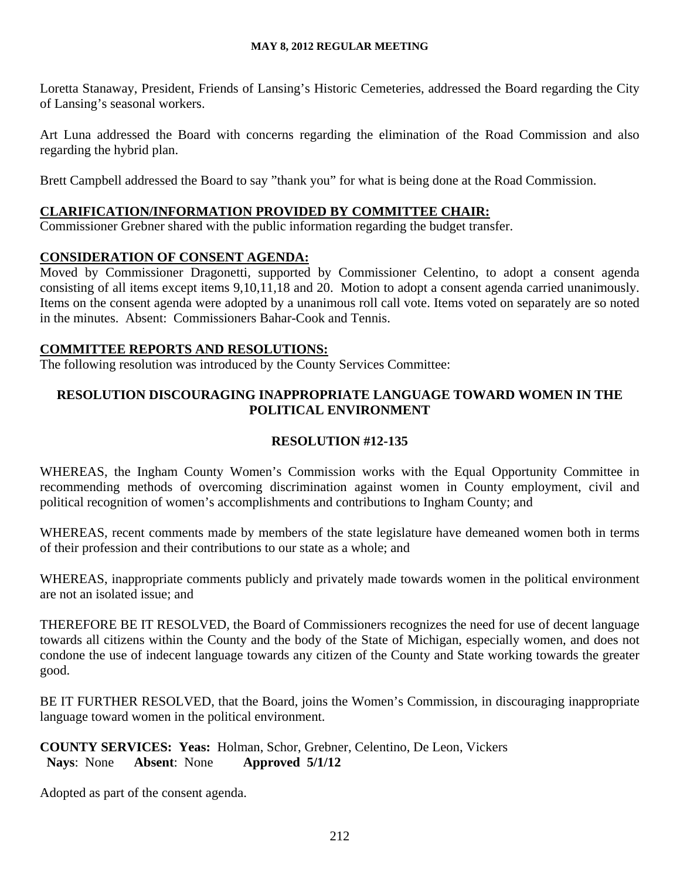Loretta Stanaway, President, Friends of Lansing's Historic Cemeteries, addressed the Board regarding the City of Lansing's seasonal workers.

Art Luna addressed the Board with concerns regarding the elimination of the Road Commission and also regarding the hybrid plan.

Brett Campbell addressed the Board to say "thank you" for what is being done at the Road Commission.

# **CLARIFICATION/INFORMATION PROVIDED BY COMMITTEE CHAIR:**

Commissioner Grebner shared with the public information regarding the budget transfer.

# **CONSIDERATION OF CONSENT AGENDA:**

Moved by Commissioner Dragonetti, supported by Commissioner Celentino, to adopt a consent agenda consisting of all items except items 9,10,11,18 and 20. Motion to adopt a consent agenda carried unanimously. Items on the consent agenda were adopted by a unanimous roll call vote. Items voted on separately are so noted in the minutes. Absent: Commissioners Bahar-Cook and Tennis.

# **COMMITTEE REPORTS AND RESOLUTIONS:**

The following resolution was introduced by the County Services Committee:

# **RESOLUTION DISCOURAGING INAPPROPRIATE LANGUAGE TOWARD WOMEN IN THE POLITICAL ENVIRONMENT**

# **RESOLUTION #12-135**

WHEREAS, the Ingham County Women's Commission works with the Equal Opportunity Committee in recommending methods of overcoming discrimination against women in County employment, civil and political recognition of women's accomplishments and contributions to Ingham County; and

WHEREAS, recent comments made by members of the state legislature have demeaned women both in terms of their profession and their contributions to our state as a whole; and

WHEREAS, inappropriate comments publicly and privately made towards women in the political environment are not an isolated issue; and

THEREFORE BE IT RESOLVED, the Board of Commissioners recognizes the need for use of decent language towards all citizens within the County and the body of the State of Michigan, especially women, and does not condone the use of indecent language towards any citizen of the County and State working towards the greater good.

BE IT FURTHER RESOLVED, that the Board, joins the Women's Commission, in discouraging inappropriate language toward women in the political environment.

**COUNTY SERVICES: Yeas:** Holman, Schor, Grebner, Celentino, De Leon, Vickers **Nays**: None **Absent**: None **Approved 5/1/12** 

Adopted as part of the consent agenda.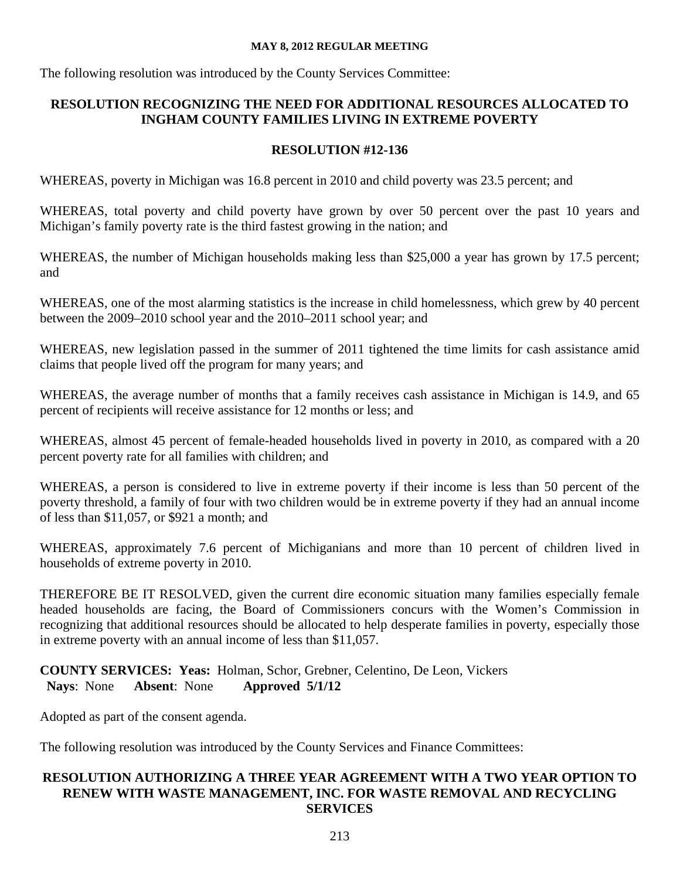The following resolution was introduced by the County Services Committee:

# **RESOLUTION RECOGNIZING THE NEED FOR ADDITIONAL RESOURCES ALLOCATED TO INGHAM COUNTY FAMILIES LIVING IN EXTREME POVERTY**

# **RESOLUTION #12-136**

WHEREAS, poverty in Michigan was 16.8 percent in 2010 and child poverty was 23.5 percent; and

WHEREAS, total poverty and child poverty have grown by over 50 percent over the past 10 years and Michigan's family poverty rate is the third fastest growing in the nation; and

WHEREAS, the number of Michigan households making less than \$25,000 a year has grown by 17.5 percent; and

WHEREAS, one of the most alarming statistics is the increase in child homelessness, which grew by 40 percent between the 2009–2010 school year and the 2010–2011 school year; and

WHEREAS, new legislation passed in the summer of 2011 tightened the time limits for cash assistance amid claims that people lived off the program for many years; and

WHEREAS, the average number of months that a family receives cash assistance in Michigan is 14.9, and 65 percent of recipients will receive assistance for 12 months or less; and

WHEREAS, almost 45 percent of female-headed households lived in poverty in 2010, as compared with a 20 percent poverty rate for all families with children; and

WHEREAS, a person is considered to live in extreme poverty if their income is less than 50 percent of the poverty threshold, a family of four with two children would be in extreme poverty if they had an annual income of less than \$11,057, or \$921 a month; and

WHEREAS, approximately 7.6 percent of Michiganians and more than 10 percent of children lived in households of extreme poverty in 2010.

THEREFORE BE IT RESOLVED, given the current dire economic situation many families especially female headed households are facing, the Board of Commissioners concurs with the Women's Commission in recognizing that additional resources should be allocated to help desperate families in poverty, especially those in extreme poverty with an annual income of less than \$11,057.

**COUNTY SERVICES: Yeas:** Holman, Schor, Grebner, Celentino, De Leon, Vickers **Nays**: None **Absent**: None **Approved 5/1/12** 

Adopted as part of the consent agenda.

The following resolution was introduced by the County Services and Finance Committees:

# **RESOLUTION AUTHORIZING A THREE YEAR AGREEMENT WITH A TWO YEAR OPTION TO RENEW WITH WASTE MANAGEMENT, INC. FOR WASTE REMOVAL AND RECYCLING SERVICES**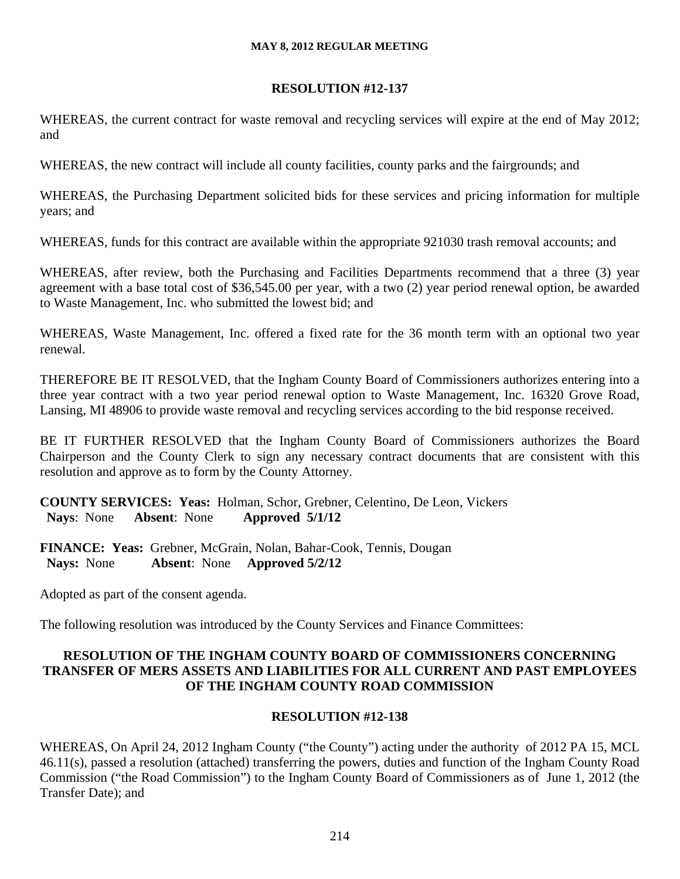# **RESOLUTION #12-137**

WHEREAS, the current contract for waste removal and recycling services will expire at the end of May 2012; and

WHEREAS, the new contract will include all county facilities, county parks and the fairgrounds; and

WHEREAS, the Purchasing Department solicited bids for these services and pricing information for multiple years; and

WHEREAS, funds for this contract are available within the appropriate 921030 trash removal accounts; and

WHEREAS, after review, both the Purchasing and Facilities Departments recommend that a three (3) year agreement with a base total cost of \$36,545.00 per year, with a two (2) year period renewal option, be awarded to Waste Management, Inc. who submitted the lowest bid; and

WHEREAS, Waste Management, Inc. offered a fixed rate for the 36 month term with an optional two year renewal.

THEREFORE BE IT RESOLVED, that the Ingham County Board of Commissioners authorizes entering into a three year contract with a two year period renewal option to Waste Management, Inc. 16320 Grove Road, Lansing, MI 48906 to provide waste removal and recycling services according to the bid response received.

BE IT FURTHER RESOLVED that the Ingham County Board of Commissioners authorizes the Board Chairperson and the County Clerk to sign any necessary contract documents that are consistent with this resolution and approve as to form by the County Attorney.

**COUNTY SERVICES: Yeas:** Holman, Schor, Grebner, Celentino, De Leon, Vickers **Nays**: None **Absent**: None **Approved 5/1/12** 

**FINANCE: Yeas:** Grebner, McGrain, Nolan, Bahar-Cook, Tennis, Dougan **Nays:** None **Absent**: None **Approved 5/2/12**

Adopted as part of the consent agenda.

The following resolution was introduced by the County Services and Finance Committees:

# **RESOLUTION OF THE INGHAM COUNTY BOARD OF COMMISSIONERS CONCERNING TRANSFER OF MERS ASSETS AND LIABILITIES FOR ALL CURRENT AND PAST EMPLOYEES OF THE INGHAM COUNTY ROAD COMMISSION**

# **RESOLUTION #12-138**

WHEREAS, On April 24, 2012 Ingham County ("the County") acting under the authority of 2012 PA 15, MCL 46.11(s), passed a resolution (attached) transferring the powers, duties and function of the Ingham County Road Commission ("the Road Commission") to the Ingham County Board of Commissioners as of June 1, 2012 (the Transfer Date); and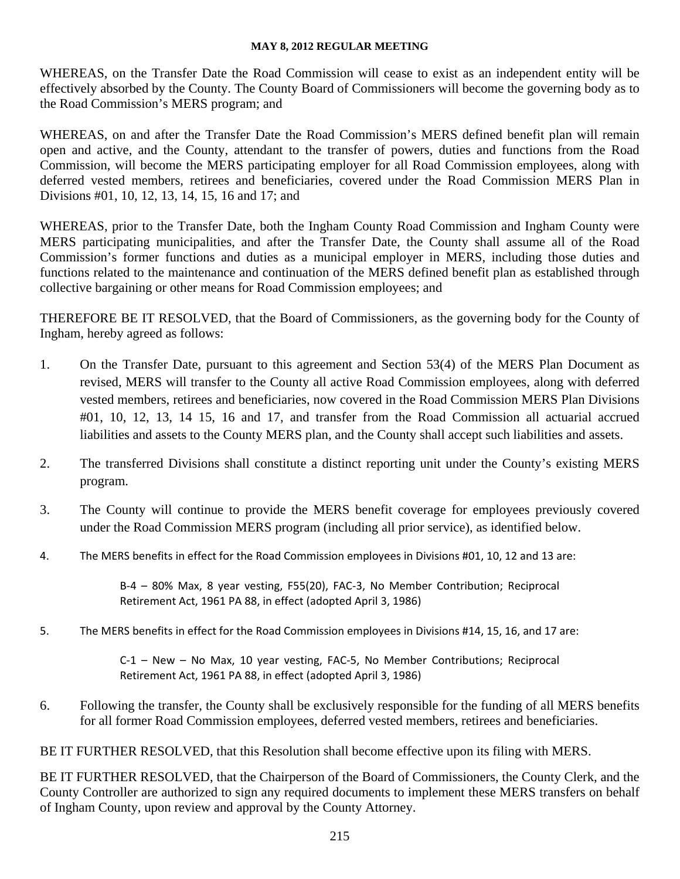WHEREAS, on the Transfer Date the Road Commission will cease to exist as an independent entity will be effectively absorbed by the County. The County Board of Commissioners will become the governing body as to the Road Commission's MERS program; and

WHEREAS, on and after the Transfer Date the Road Commission's MERS defined benefit plan will remain open and active, and the County, attendant to the transfer of powers, duties and functions from the Road Commission, will become the MERS participating employer for all Road Commission employees, along with deferred vested members, retirees and beneficiaries, covered under the Road Commission MERS Plan in Divisions #01, 10, 12, 13, 14, 15, 16 and 17; and

WHEREAS, prior to the Transfer Date, both the Ingham County Road Commission and Ingham County were MERS participating municipalities, and after the Transfer Date, the County shall assume all of the Road Commission's former functions and duties as a municipal employer in MERS, including those duties and functions related to the maintenance and continuation of the MERS defined benefit plan as established through collective bargaining or other means for Road Commission employees; and

THEREFORE BE IT RESOLVED, that the Board of Commissioners, as the governing body for the County of Ingham, hereby agreed as follows:

- 1. On the Transfer Date, pursuant to this agreement and Section 53(4) of the MERS Plan Document as revised, MERS will transfer to the County all active Road Commission employees, along with deferred vested members, retirees and beneficiaries, now covered in the Road Commission MERS Plan Divisions #01, 10, 12, 13, 14 15, 16 and 17, and transfer from the Road Commission all actuarial accrued liabilities and assets to the County MERS plan, and the County shall accept such liabilities and assets.
- 2. The transferred Divisions shall constitute a distinct reporting unit under the County's existing MERS program.
- 3. The County will continue to provide the MERS benefit coverage for employees previously covered under the Road Commission MERS program (including all prior service), as identified below.
- 4. The MERS benefits in effect for the Road Commission employees in Divisions #01, 10, 12 and 13 are:

B‐4 – 80% Max, 8 year vesting, F55(20), FAC‐3, No Member Contribution; Reciprocal Retirement Act, 1961 PA 88, in effect (adopted April 3, 1986)

5. The MERS benefits in effect for the Road Commission employees in Divisions #14, 15, 16, and 17 are:

C‐1 – New – No Max, 10 year vesting, FAC‐5, No Member Contributions; Reciprocal Retirement Act, 1961 PA 88, in effect (adopted April 3, 1986)

6. Following the transfer, the County shall be exclusively responsible for the funding of all MERS benefits for all former Road Commission employees, deferred vested members, retirees and beneficiaries.

BE IT FURTHER RESOLVED, that this Resolution shall become effective upon its filing with MERS.

BE IT FURTHER RESOLVED, that the Chairperson of the Board of Commissioners, the County Clerk, and the County Controller are authorized to sign any required documents to implement these MERS transfers on behalf of Ingham County, upon review and approval by the County Attorney.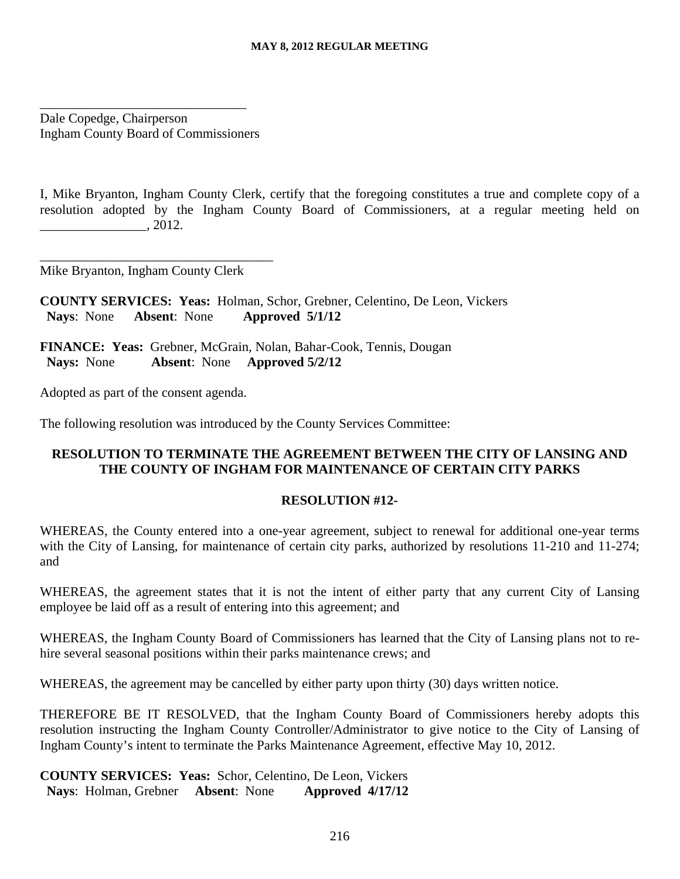Dale Copedge, Chairperson Ingham County Board of Commissioners

\_\_\_\_\_\_\_\_\_\_\_\_\_\_\_\_\_\_\_\_\_\_\_\_\_\_\_\_\_\_\_

I, Mike Bryanton, Ingham County Clerk, certify that the foregoing constitutes a true and complete copy of a resolution adopted by the Ingham County Board of Commissioners, at a regular meeting held on  $.2012.$ 

Mike Bryanton, Ingham County Clerk

\_\_\_\_\_\_\_\_\_\_\_\_\_\_\_\_\_\_\_\_\_\_\_\_\_\_\_\_\_\_\_\_\_\_\_

**COUNTY SERVICES: Yeas:** Holman, Schor, Grebner, Celentino, De Leon, Vickers **Nays**: None **Absent**: None **Approved 5/1/12** 

**FINANCE: Yeas:** Grebner, McGrain, Nolan, Bahar-Cook, Tennis, Dougan **Nays:** None **Absent**: None **Approved 5/2/12**

Adopted as part of the consent agenda.

The following resolution was introduced by the County Services Committee:

# **RESOLUTION TO TERMINATE THE AGREEMENT BETWEEN THE CITY OF LANSING AND THE COUNTY OF INGHAM FOR MAINTENANCE OF CERTAIN CITY PARKS**

# **RESOLUTION #12-**

WHEREAS, the County entered into a one-year agreement, subject to renewal for additional one-year terms with the City of Lansing, for maintenance of certain city parks, authorized by resolutions 11-210 and 11-274; and

WHEREAS, the agreement states that it is not the intent of either party that any current City of Lansing employee be laid off as a result of entering into this agreement; and

WHEREAS, the Ingham County Board of Commissioners has learned that the City of Lansing plans not to rehire several seasonal positions within their parks maintenance crews; and

WHEREAS, the agreement may be cancelled by either party upon thirty (30) days written notice.

THEREFORE BE IT RESOLVED, that the Ingham County Board of Commissioners hereby adopts this resolution instructing the Ingham County Controller/Administrator to give notice to the City of Lansing of Ingham County's intent to terminate the Parks Maintenance Agreement, effective May 10, 2012.

**COUNTY SERVICES: Yeas:** Schor, Celentino, De Leon, Vickers **Nays**: Holman, Grebner **Absent**: None **Approved 4/17/12**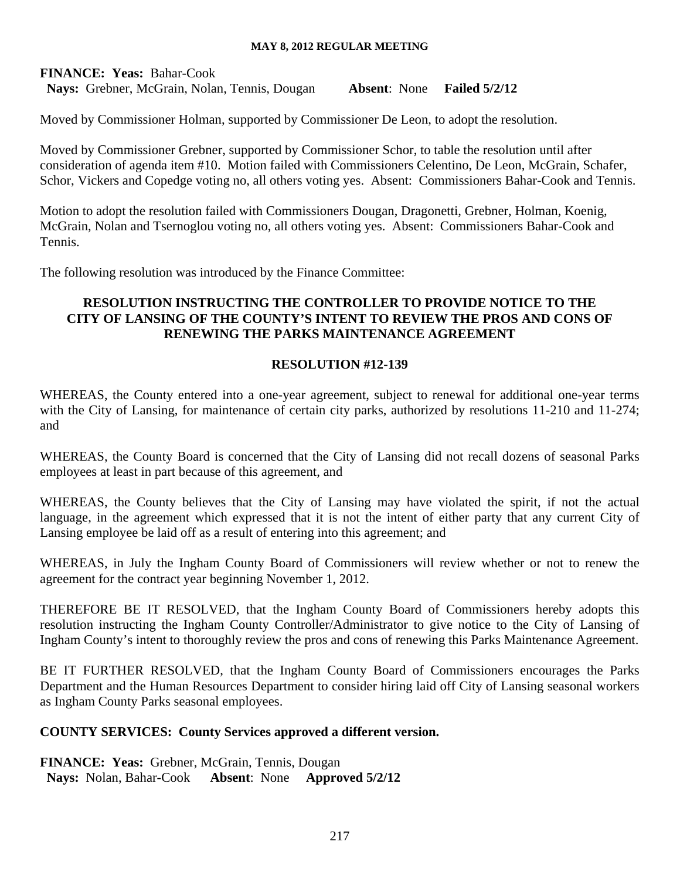**FINANCE: Yeas:** Bahar-Cook **Nays:** Grebner, McGrain, Nolan, Tennis, Dougan **Absent**: None **Failed 5/2/12**

Moved by Commissioner Holman, supported by Commissioner De Leon, to adopt the resolution.

Moved by Commissioner Grebner, supported by Commissioner Schor, to table the resolution until after consideration of agenda item #10. Motion failed with Commissioners Celentino, De Leon, McGrain, Schafer, Schor, Vickers and Copedge voting no, all others voting yes. Absent: Commissioners Bahar-Cook and Tennis.

Motion to adopt the resolution failed with Commissioners Dougan, Dragonetti, Grebner, Holman, Koenig, McGrain, Nolan and Tsernoglou voting no, all others voting yes. Absent: Commissioners Bahar-Cook and Tennis.

The following resolution was introduced by the Finance Committee:

# **RESOLUTION INSTRUCTING THE CONTROLLER TO PROVIDE NOTICE TO THE CITY OF LANSING OF THE COUNTY'S INTENT TO REVIEW THE PROS AND CONS OF RENEWING THE PARKS MAINTENANCE AGREEMENT**

# **RESOLUTION #12-139**

WHEREAS, the County entered into a one-year agreement, subject to renewal for additional one-year terms with the City of Lansing, for maintenance of certain city parks, authorized by resolutions 11-210 and 11-274; and

WHEREAS, the County Board is concerned that the City of Lansing did not recall dozens of seasonal Parks employees at least in part because of this agreement, and

WHEREAS, the County believes that the City of Lansing may have violated the spirit, if not the actual language, in the agreement which expressed that it is not the intent of either party that any current City of Lansing employee be laid off as a result of entering into this agreement; and

WHEREAS, in July the Ingham County Board of Commissioners will review whether or not to renew the agreement for the contract year beginning November 1, 2012.

THEREFORE BE IT RESOLVED, that the Ingham County Board of Commissioners hereby adopts this resolution instructing the Ingham County Controller/Administrator to give notice to the City of Lansing of Ingham County's intent to thoroughly review the pros and cons of renewing this Parks Maintenance Agreement.

BE IT FURTHER RESOLVED, that the Ingham County Board of Commissioners encourages the Parks Department and the Human Resources Department to consider hiring laid off City of Lansing seasonal workers as Ingham County Parks seasonal employees.

# **COUNTY SERVICES: County Services approved a different version.**

**FINANCE: Yeas: Grebner, McGrain, Tennis, Dougan Nays:** Nolan, Bahar-Cook **Absent**: None **Approved 5/2/12**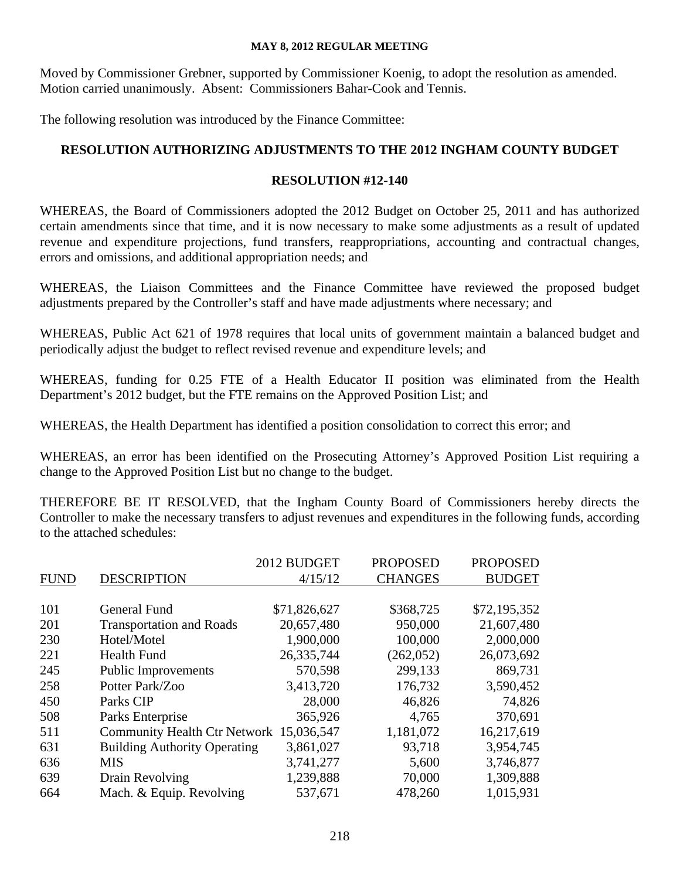Moved by Commissioner Grebner, supported by Commissioner Koenig, to adopt the resolution as amended. Motion carried unanimously. Absent: Commissioners Bahar-Cook and Tennis.

The following resolution was introduced by the Finance Committee:

# **RESOLUTION AUTHORIZING ADJUSTMENTS TO THE 2012 INGHAM COUNTY BUDGET**

# **RESOLUTION #12-140**

WHEREAS, the Board of Commissioners adopted the 2012 Budget on October 25, 2011 and has authorized certain amendments since that time, and it is now necessary to make some adjustments as a result of updated revenue and expenditure projections, fund transfers, reappropriations, accounting and contractual changes, errors and omissions, and additional appropriation needs; and

WHEREAS, the Liaison Committees and the Finance Committee have reviewed the proposed budget adjustments prepared by the Controller's staff and have made adjustments where necessary; and

WHEREAS, Public Act 621 of 1978 requires that local units of government maintain a balanced budget and periodically adjust the budget to reflect revised revenue and expenditure levels; and

WHEREAS, funding for 0.25 FTE of a Health Educator II position was eliminated from the Health Department's 2012 budget, but the FTE remains on the Approved Position List; and

WHEREAS, the Health Department has identified a position consolidation to correct this error; and

WHEREAS, an error has been identified on the Prosecuting Attorney's Approved Position List requiring a change to the Approved Position List but no change to the budget.

THEREFORE BE IT RESOLVED, that the Ingham County Board of Commissioners hereby directs the Controller to make the necessary transfers to adjust revenues and expenditures in the following funds, according to the attached schedules:

|             |                                         | 2012 BUDGET  | <b>PROPOSED</b> | <b>PROPOSED</b> |
|-------------|-----------------------------------------|--------------|-----------------|-----------------|
| <b>FUND</b> | <b>DESCRIPTION</b>                      | 4/15/12      | <b>CHANGES</b>  | <b>BUDGET</b>   |
|             |                                         |              |                 |                 |
| 101         | <b>General Fund</b>                     | \$71,826,627 | \$368,725       | \$72,195,352    |
| 201         | <b>Transportation and Roads</b>         | 20,657,480   | 950,000         | 21,607,480      |
| 230         | Hotel/Motel                             | 1,900,000    | 100,000         | 2,000,000       |
| 221         | <b>Health Fund</b>                      | 26, 335, 744 | (262, 052)      | 26,073,692      |
| 245         | <b>Public Improvements</b>              | 570,598      | 299,133         | 869,731         |
| 258         | Potter Park/Zoo                         | 3,413,720    | 176,732         | 3,590,452       |
| 450         | Parks CIP                               | 28,000       | 46,826          | 74,826          |
| 508         | Parks Enterprise                        | 365,926      | 4,765           | 370,691         |
| 511         | Community Health Ctr Network 15,036,547 |              | 1,181,072       | 16,217,619      |
| 631         | <b>Building Authority Operating</b>     | 3,861,027    | 93,718          | 3,954,745       |
| 636         | <b>MIS</b>                              | 3,741,277    | 5,600           | 3,746,877       |
| 639         | Drain Revolving                         | 1,239,888    | 70,000          | 1,309,888       |
| 664         | Mach. & Equip. Revolving                | 537,671      | 478,260         | 1,015,931       |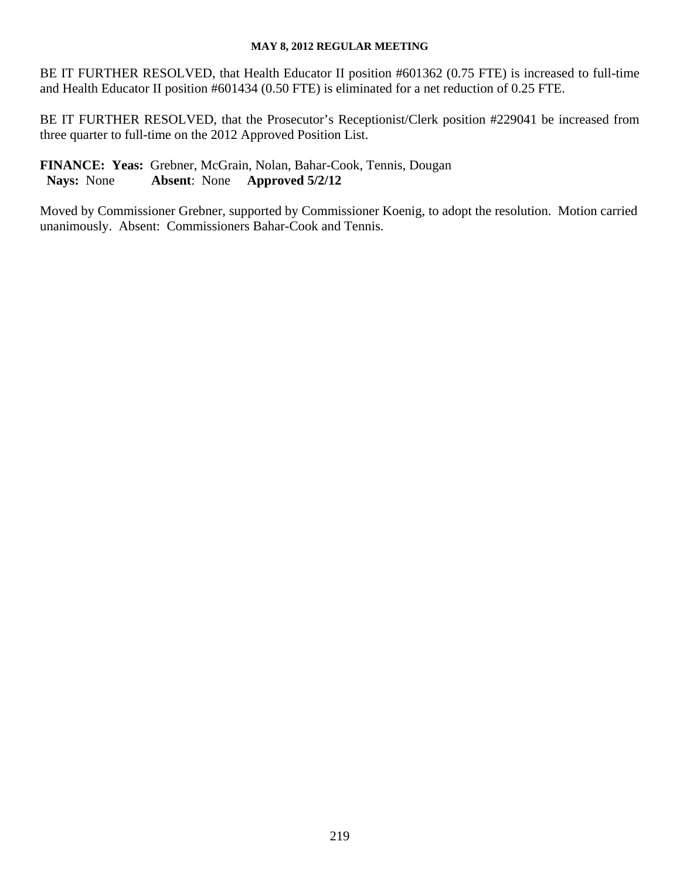BE IT FURTHER RESOLVED, that Health Educator II position #601362 (0.75 FTE) is increased to full-time and Health Educator II position #601434 (0.50 FTE) is eliminated for a net reduction of 0.25 FTE.

BE IT FURTHER RESOLVED, that the Prosecutor's Receptionist/Clerk position #229041 be increased from three quarter to full-time on the 2012 Approved Position List.

**FINANCE: Yeas:** Grebner, McGrain, Nolan, Bahar-Cook, Tennis, Dougan **Nays:** None **Absent**: None **Approved 5/2/12**

Moved by Commissioner Grebner, supported by Commissioner Koenig, to adopt the resolution. Motion carried unanimously. Absent: Commissioners Bahar-Cook and Tennis.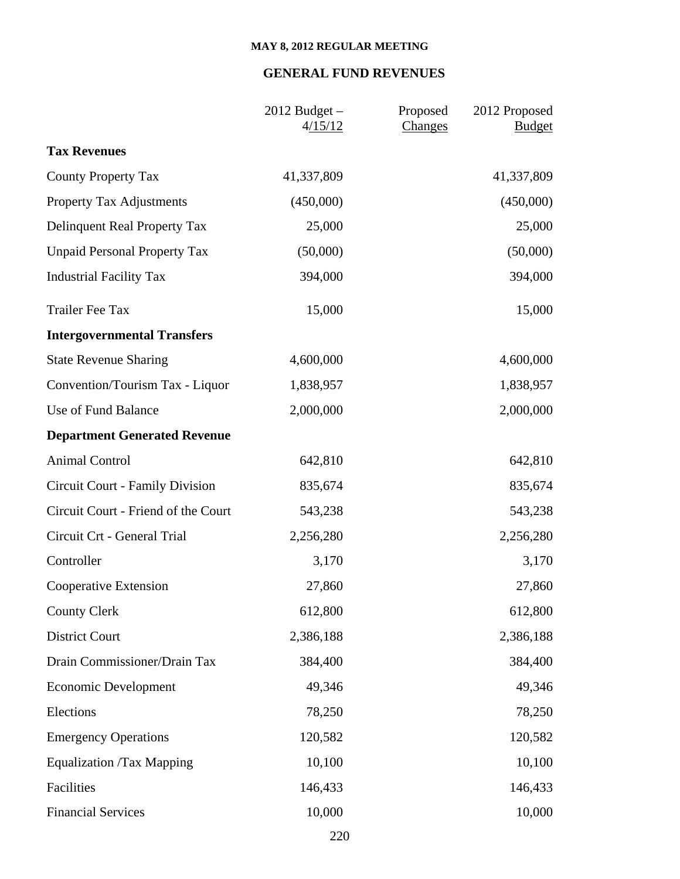# **GENERAL FUND REVENUES**

|                                     | $2012$ Budget $-$<br>4/15/12 | Proposed<br>2012 Proposed<br>Changes<br><b>Budget</b> |
|-------------------------------------|------------------------------|-------------------------------------------------------|
| <b>Tax Revenues</b>                 |                              |                                                       |
| <b>County Property Tax</b>          | 41,337,809                   | 41,337,809                                            |
| <b>Property Tax Adjustments</b>     | (450,000)                    | (450,000)                                             |
| Delinquent Real Property Tax        | 25,000                       | 25,000                                                |
| <b>Unpaid Personal Property Tax</b> | (50,000)                     | (50,000)                                              |
| <b>Industrial Facility Tax</b>      | 394,000                      | 394,000                                               |
| <b>Trailer Fee Tax</b>              | 15,000                       | 15,000                                                |
| <b>Intergovernmental Transfers</b>  |                              |                                                       |
| <b>State Revenue Sharing</b>        | 4,600,000                    | 4,600,000                                             |
| Convention/Tourism Tax - Liquor     | 1,838,957                    | 1,838,957                                             |
| Use of Fund Balance                 | 2,000,000                    | 2,000,000                                             |
| <b>Department Generated Revenue</b> |                              |                                                       |
| <b>Animal Control</b>               | 642,810                      | 642,810                                               |
| Circuit Court - Family Division     | 835,674                      | 835,674                                               |
| Circuit Court - Friend of the Court | 543,238                      | 543,238                                               |
| Circuit Crt - General Trial         | 2,256,280                    | 2,256,280                                             |
| Controller                          | 3,170                        | 3,170                                                 |
| Cooperative Extension               | 27,860                       | 27,860                                                |
| <b>County Clerk</b>                 | 612,800                      | 612,800                                               |
| <b>District Court</b>               | 2,386,188                    | 2,386,188                                             |
| Drain Commissioner/Drain Tax        | 384,400                      | 384,400                                               |
| <b>Economic Development</b>         | 49,346                       | 49,346                                                |
| Elections                           | 78,250                       | 78,250                                                |
| <b>Emergency Operations</b>         | 120,582                      | 120,582                                               |
| <b>Equalization /Tax Mapping</b>    | 10,100                       | 10,100                                                |
| Facilities                          | 146,433                      | 146,433                                               |
| <b>Financial Services</b>           | 10,000                       | 10,000                                                |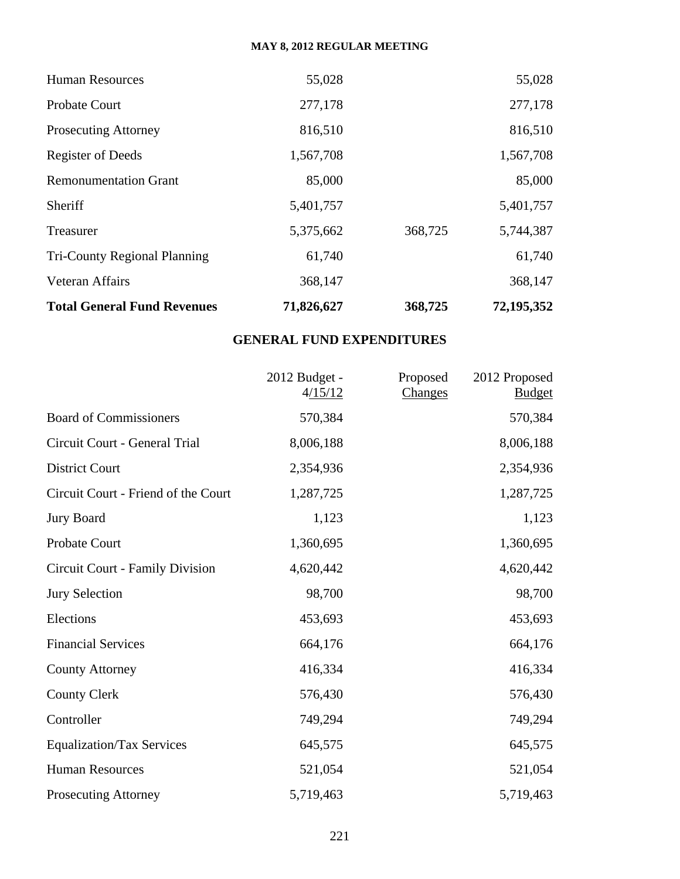| <b>Total General Fund Revenues</b> | 71,826,627 | 368,725 | 72,195,352 |
|------------------------------------|------------|---------|------------|
| Veteran Affairs                    | 368,147    |         | 368,147    |
| Tri-County Regional Planning       | 61,740     |         | 61,740     |
| Treasurer                          | 5,375,662  | 368,725 | 5,744,387  |
| Sheriff                            | 5,401,757  |         | 5,401,757  |
| <b>Remonumentation Grant</b>       | 85,000     |         | 85,000     |
| <b>Register of Deeds</b>           | 1,567,708  |         | 1,567,708  |
| <b>Prosecuting Attorney</b>        | 816,510    |         | 816,510    |
| Probate Court                      | 277,178    |         | 277,178    |
| <b>Human Resources</b>             | 55,028     |         | 55,028     |

# **GENERAL FUND EXPENDITURES**

|                                     | 2012 Budget -<br>4/15/12 | Proposed<br>Changes | 2012 Proposed<br><b>Budget</b> |
|-------------------------------------|--------------------------|---------------------|--------------------------------|
| <b>Board of Commissioners</b>       | 570,384                  |                     | 570,384                        |
| Circuit Court - General Trial       | 8,006,188                |                     | 8,006,188                      |
| <b>District Court</b>               | 2,354,936                |                     | 2,354,936                      |
| Circuit Court - Friend of the Court | 1,287,725                |                     | 1,287,725                      |
| <b>Jury Board</b>                   | 1,123                    |                     | 1,123                          |
| <b>Probate Court</b>                | 1,360,695                |                     | 1,360,695                      |
| Circuit Court - Family Division     | 4,620,442                |                     | 4,620,442                      |
| <b>Jury Selection</b>               | 98,700                   |                     | 98,700                         |
| Elections                           | 453,693                  |                     | 453,693                        |
| <b>Financial Services</b>           | 664,176                  |                     | 664,176                        |
| <b>County Attorney</b>              | 416,334                  |                     | 416,334                        |
| <b>County Clerk</b>                 | 576,430                  |                     | 576,430                        |
| Controller                          | 749,294                  |                     | 749,294                        |
| <b>Equalization/Tax Services</b>    | 645,575                  |                     | 645,575                        |
| <b>Human Resources</b>              | 521,054                  |                     | 521,054                        |
| <b>Prosecuting Attorney</b>         | 5,719,463                |                     | 5,719,463                      |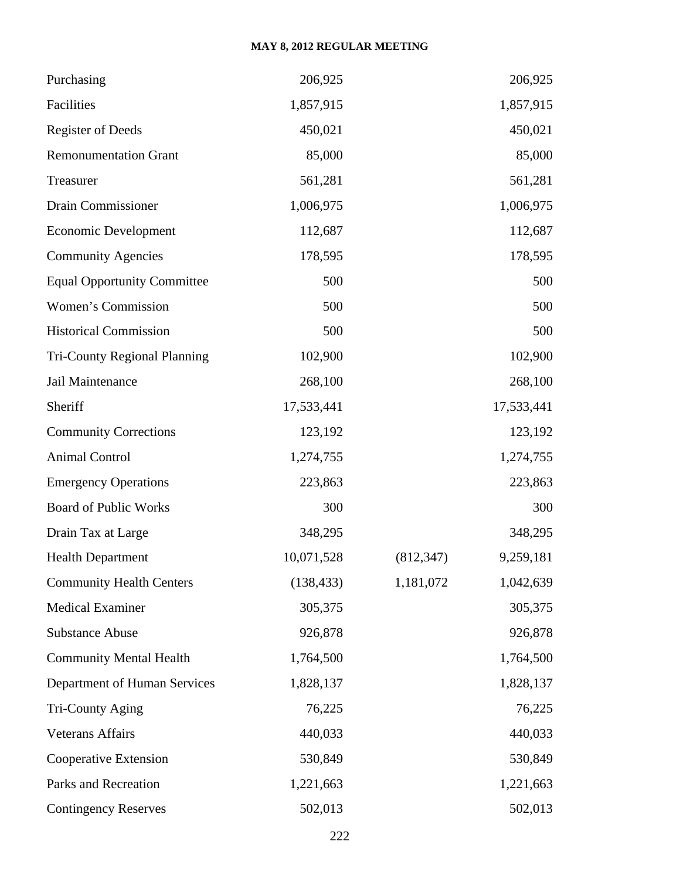| Purchasing                          | 206,925    |            | 206,925    |
|-------------------------------------|------------|------------|------------|
| Facilities                          | 1,857,915  |            | 1,857,915  |
| <b>Register of Deeds</b>            | 450,021    |            | 450,021    |
| <b>Remonumentation Grant</b>        | 85,000     |            | 85,000     |
| Treasurer                           | 561,281    |            | 561,281    |
| Drain Commissioner                  | 1,006,975  |            | 1,006,975  |
| <b>Economic Development</b>         | 112,687    |            | 112,687    |
| <b>Community Agencies</b>           | 178,595    |            | 178,595    |
| <b>Equal Opportunity Committee</b>  | 500        |            | 500        |
| Women's Commission                  | 500        |            | 500        |
| <b>Historical Commission</b>        | 500        |            | 500        |
| <b>Tri-County Regional Planning</b> | 102,900    |            | 102,900    |
| Jail Maintenance                    | 268,100    |            | 268,100    |
| Sheriff                             | 17,533,441 |            | 17,533,441 |
| <b>Community Corrections</b>        | 123,192    |            | 123,192    |
| <b>Animal Control</b>               | 1,274,755  |            | 1,274,755  |
| <b>Emergency Operations</b>         | 223,863    |            | 223,863    |
| <b>Board of Public Works</b>        | 300        |            | 300        |
| Drain Tax at Large                  | 348,295    |            | 348,295    |
| <b>Health Department</b>            | 10,071,528 | (812, 347) | 9,259,181  |
| <b>Community Health Centers</b>     | (138, 433) | 1,181,072  | 1,042,639  |
| <b>Medical Examiner</b>             | 305,375    |            | 305,375    |
| <b>Substance Abuse</b>              | 926,878    |            | 926,878    |
| <b>Community Mental Health</b>      | 1,764,500  |            | 1,764,500  |
| <b>Department of Human Services</b> | 1,828,137  |            | 1,828,137  |
| Tri-County Aging                    | 76,225     |            | 76,225     |
| <b>Veterans Affairs</b>             | 440,033    |            | 440,033    |
| Cooperative Extension               | 530,849    |            | 530,849    |
| Parks and Recreation                | 1,221,663  |            | 1,221,663  |
| <b>Contingency Reserves</b>         | 502,013    |            | 502,013    |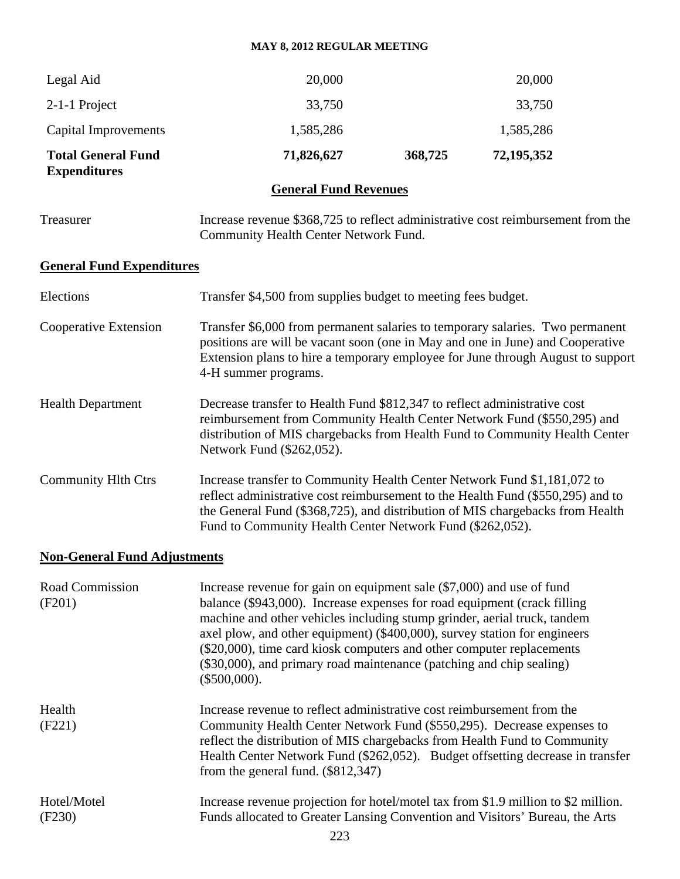| Legal Aid                                        | 20,000                                                                                                                                                                                                                                                                                                    |         | 20,000     |  |
|--------------------------------------------------|-----------------------------------------------------------------------------------------------------------------------------------------------------------------------------------------------------------------------------------------------------------------------------------------------------------|---------|------------|--|
| 2-1-1 Project                                    | 33,750                                                                                                                                                                                                                                                                                                    |         | 33,750     |  |
| Capital Improvements                             | 1,585,286                                                                                                                                                                                                                                                                                                 |         | 1,585,286  |  |
| <b>Total General Fund</b><br><b>Expenditures</b> | 71,826,627                                                                                                                                                                                                                                                                                                | 368,725 | 72,195,352 |  |
|                                                  | <b>General Fund Revenues</b>                                                                                                                                                                                                                                                                              |         |            |  |
| Treasurer                                        | Increase revenue \$368,725 to reflect administrative cost reimbursement from the<br>Community Health Center Network Fund.                                                                                                                                                                                 |         |            |  |
| <b>General Fund Expenditures</b>                 |                                                                                                                                                                                                                                                                                                           |         |            |  |
| Elections                                        | Transfer \$4,500 from supplies budget to meeting fees budget.                                                                                                                                                                                                                                             |         |            |  |
| Cooperative Extension                            | Transfer \$6,000 from permanent salaries to temporary salaries. Two permanent<br>positions are will be vacant soon (one in May and one in June) and Cooperative<br>Extension plans to hire a temporary employee for June through August to support<br>4-H summer programs.                                |         |            |  |
| <b>Health Department</b>                         | Decrease transfer to Health Fund \$812,347 to reflect administrative cost<br>reimbursement from Community Health Center Network Fund (\$550,295) and<br>distribution of MIS chargebacks from Health Fund to Community Health Center<br>Network Fund (\$262,052).                                          |         |            |  |
| <b>Community Hlth Ctrs</b>                       | Increase transfer to Community Health Center Network Fund \$1,181,072 to<br>reflect administrative cost reimbursement to the Health Fund (\$550,295) and to<br>the General Fund (\$368,725), and distribution of MIS chargebacks from Health<br>Fund to Community Health Center Network Fund (\$262,052). |         |            |  |
|                                                  |                                                                                                                                                                                                                                                                                                           |         |            |  |

# **Non-General Fund Adjustments**

| Road Commission<br>(F201) | Increase revenue for gain on equipment sale $(\$7,000)$ and use of fund<br>balance (\$943,000). Increase expenses for road equipment (crack filling<br>machine and other vehicles including stump grinder, aerial truck, tandem<br>axel plow, and other equipment) (\$400,000), survey station for engineers<br>(\$20,000), time card kiosk computers and other computer replacements<br>(\$30,000), and primary road maintenance (patching and chip sealing)<br>$(\$500,000).$ |
|---------------------------|---------------------------------------------------------------------------------------------------------------------------------------------------------------------------------------------------------------------------------------------------------------------------------------------------------------------------------------------------------------------------------------------------------------------------------------------------------------------------------|
| Health<br>(F221)          | Increase revenue to reflect administrative cost reimbursement from the<br>Community Health Center Network Fund (\$550,295). Decrease expenses to<br>reflect the distribution of MIS chargebacks from Health Fund to Community<br>Health Center Network Fund (\$262,052). Budget offsetting decrease in transfer<br>from the general fund. $(\$812,347)$                                                                                                                         |
| Hotel/Motel<br>(F230)     | Increase revenue projection for hotel/motel tax from \$1.9 million to \$2 million.<br>Funds allocated to Greater Lansing Convention and Visitors' Bureau, the Arts<br>റററ                                                                                                                                                                                                                                                                                                       |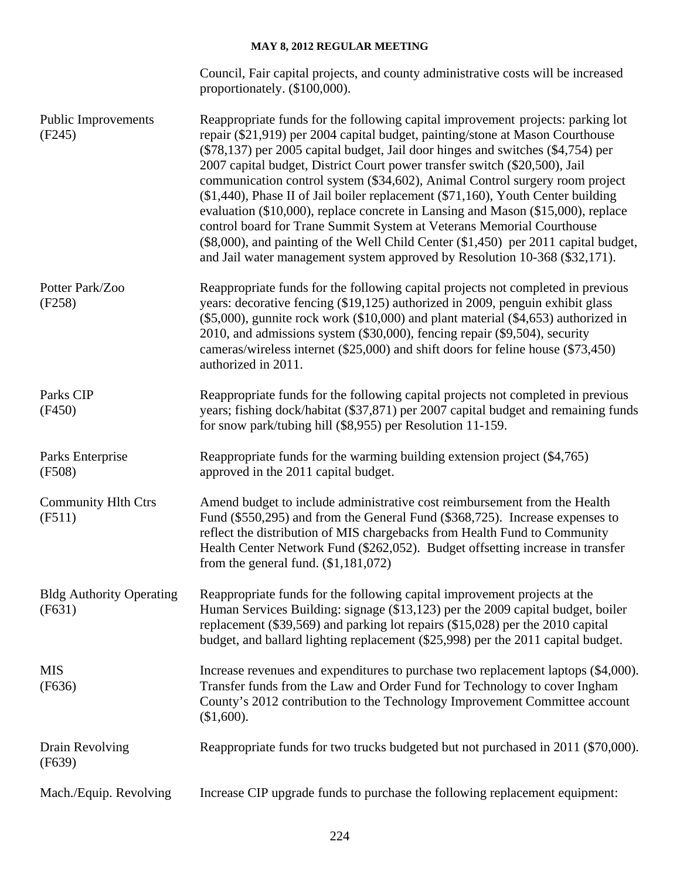|                                           | Council, Fair capital projects, and county administrative costs will be increased<br>proportionately. (\$100,000).                                                                                                                                                                                                                                                                                                                                                                                                                                                                                                                                                                                                                                                                                                                          |
|-------------------------------------------|---------------------------------------------------------------------------------------------------------------------------------------------------------------------------------------------------------------------------------------------------------------------------------------------------------------------------------------------------------------------------------------------------------------------------------------------------------------------------------------------------------------------------------------------------------------------------------------------------------------------------------------------------------------------------------------------------------------------------------------------------------------------------------------------------------------------------------------------|
| <b>Public Improvements</b><br>(F245)      | Reappropriate funds for the following capital improvement projects: parking lot<br>repair (\$21,919) per 2004 capital budget, painting/stone at Mason Courthouse<br>$(\$78,137)$ per 2005 capital budget, Jail door hinges and switches $(\$4,754)$ per<br>2007 capital budget, District Court power transfer switch (\$20,500), Jail<br>communication control system (\$34,602), Animal Control surgery room project<br>(\$1,440), Phase II of Jail boiler replacement (\$71,160), Youth Center building<br>evaluation (\$10,000), replace concrete in Lansing and Mason (\$15,000), replace<br>control board for Trane Summit System at Veterans Memorial Courthouse<br>(\$8,000), and painting of the Well Child Center (\$1,450) per 2011 capital budget,<br>and Jail water management system approved by Resolution 10-368 (\$32,171). |
| Potter Park/Zoo<br>(F258)                 | Reappropriate funds for the following capital projects not completed in previous<br>years: decorative fencing (\$19,125) authorized in 2009, penguin exhibit glass<br>$(\$5,000)$ , gunnite rock work $(\$10,000)$ and plant material $(\$4,653)$ authorized in<br>2010, and admissions system (\$30,000), fencing repair (\$9,504), security<br>cameras/wireless internet (\$25,000) and shift doors for feline house (\$73,450)<br>authorized in 2011.                                                                                                                                                                                                                                                                                                                                                                                    |
| Parks CIP<br>(F450)                       | Reappropriate funds for the following capital projects not completed in previous<br>years; fishing dock/habitat (\$37,871) per 2007 capital budget and remaining funds<br>for snow park/tubing hill (\$8,955) per Resolution 11-159.                                                                                                                                                                                                                                                                                                                                                                                                                                                                                                                                                                                                        |
| Parks Enterprise<br>(F508)                | Reappropriate funds for the warming building extension project (\$4,765)<br>approved in the 2011 capital budget.                                                                                                                                                                                                                                                                                                                                                                                                                                                                                                                                                                                                                                                                                                                            |
| <b>Community Hlth Ctrs</b><br>(F511)      | Amend budget to include administrative cost reimbursement from the Health<br>Fund (\$550,295) and from the General Fund (\$368,725). Increase expenses to<br>reflect the distribution of MIS chargebacks from Health Fund to Community<br>Health Center Network Fund (\$262,052). Budget offsetting increase in transfer<br>from the general fund. $(\$1,181,072)$                                                                                                                                                                                                                                                                                                                                                                                                                                                                          |
| <b>Bldg Authority Operating</b><br>(F631) | Reappropriate funds for the following capital improvement projects at the<br>Human Services Building: signage (\$13,123) per the 2009 capital budget, boiler<br>replacement (\$39,569) and parking lot repairs (\$15,028) per the 2010 capital<br>budget, and ballard lighting replacement (\$25,998) per the 2011 capital budget.                                                                                                                                                                                                                                                                                                                                                                                                                                                                                                          |
| <b>MIS</b><br>(F636)                      | Increase revenues and expenditures to purchase two replacement laptops (\$4,000).<br>Transfer funds from the Law and Order Fund for Technology to cover Ingham<br>County's 2012 contribution to the Technology Improvement Committee account<br>(\$1,600).                                                                                                                                                                                                                                                                                                                                                                                                                                                                                                                                                                                  |
| Drain Revolving<br>(F639)                 | Reappropriate funds for two trucks budgeted but not purchased in 2011 (\$70,000).                                                                                                                                                                                                                                                                                                                                                                                                                                                                                                                                                                                                                                                                                                                                                           |
| Mach./Equip. Revolving                    | Increase CIP upgrade funds to purchase the following replacement equipment:                                                                                                                                                                                                                                                                                                                                                                                                                                                                                                                                                                                                                                                                                                                                                                 |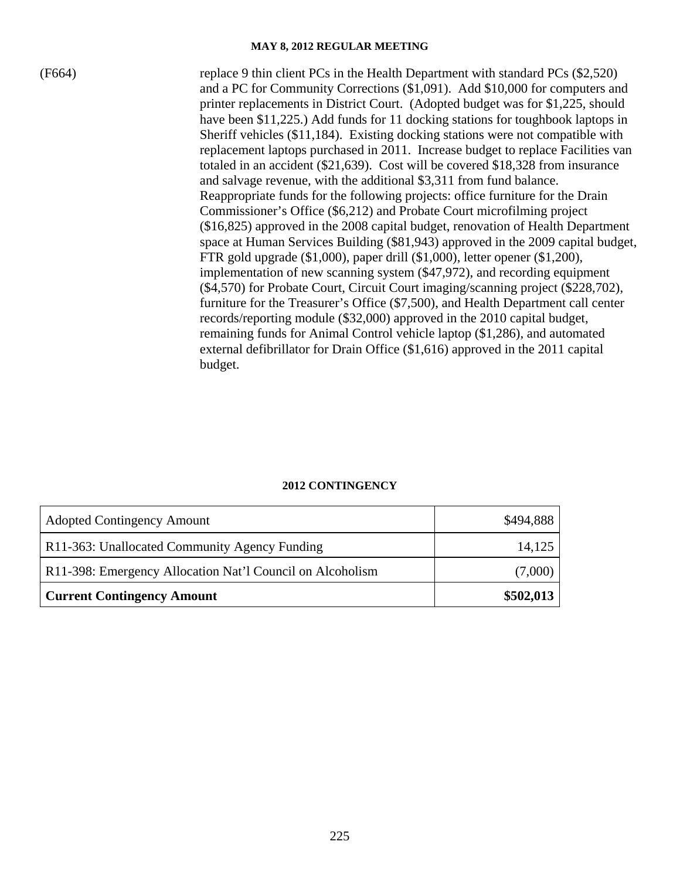(F664) replace 9 thin client PCs in the Health Department with standard PCs (\$2,520) and a PC for Community Corrections (\$1,091). Add \$10,000 for computers and printer replacements in District Court. (Adopted budget was for \$1,225, should have been \$11,225.) Add funds for 11 docking stations for toughbook laptops in Sheriff vehicles (\$11,184). Existing docking stations were not compatible with replacement laptops purchased in 2011. Increase budget to replace Facilities van totaled in an accident (\$21,639). Cost will be covered \$18,328 from insurance and salvage revenue, with the additional \$3,311 from fund balance. Reappropriate funds for the following projects: office furniture for the Drain Commissioner's Office (\$6,212) and Probate Court microfilming project (\$16,825) approved in the 2008 capital budget, renovation of Health Department space at Human Services Building (\$81,943) approved in the 2009 capital budget, FTR gold upgrade (\$1,000), paper drill (\$1,000), letter opener (\$1,200), implementation of new scanning system (\$47,972), and recording equipment (\$4,570) for Probate Court, Circuit Court imaging/scanning project (\$228,702), furniture for the Treasurer's Office (\$7,500), and Health Department call center records/reporting module (\$32,000) approved in the 2010 capital budget, remaining funds for Animal Control vehicle laptop (\$1,286), and automated external defibrillator for Drain Office (\$1,616) approved in the 2011 capital budget.

| <b>Adopted Contingency Amount</b>                         | \$494,888 |
|-----------------------------------------------------------|-----------|
| R11-363: Unallocated Community Agency Funding             | 14,125    |
| R11-398: Emergency Allocation Nat'l Council on Alcoholism | (7,000)   |
| <b>Current Contingency Amount</b>                         | \$502,013 |

#### **2012 CONTINGENCY**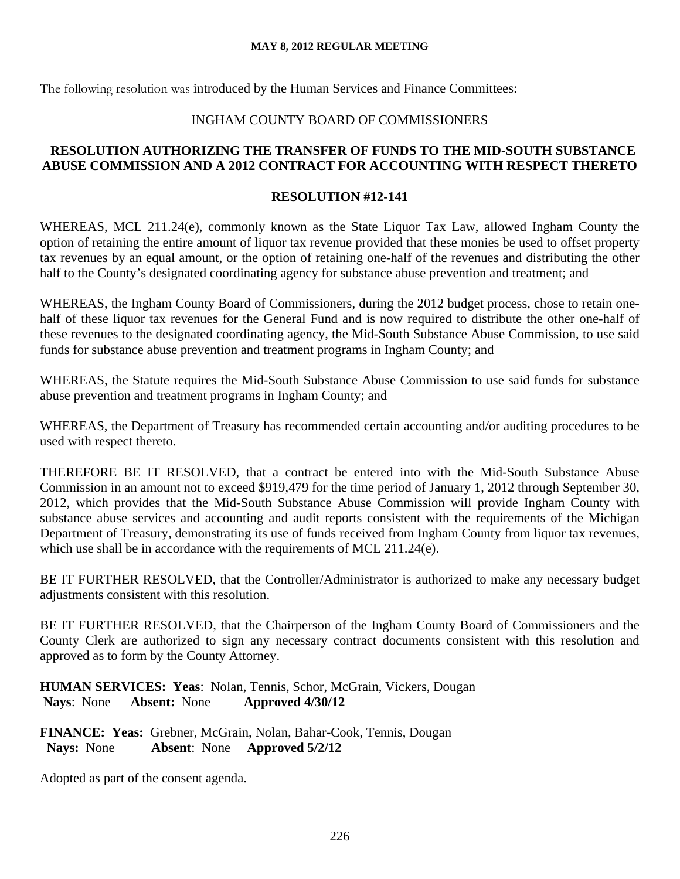The following resolution was introduced by the Human Services and Finance Committees:

# INGHAM COUNTY BOARD OF COMMISSIONERS

# **RESOLUTION AUTHORIZING THE TRANSFER OF FUNDS TO THE MID-SOUTH SUBSTANCE ABUSE COMMISSION AND A 2012 CONTRACT FOR ACCOUNTING WITH RESPECT THERETO**

# **RESOLUTION #12-141**

WHEREAS, MCL 211.24(e), commonly known as the State Liquor Tax Law, allowed Ingham County the option of retaining the entire amount of liquor tax revenue provided that these monies be used to offset property tax revenues by an equal amount, or the option of retaining one-half of the revenues and distributing the other half to the County's designated coordinating agency for substance abuse prevention and treatment; and

WHEREAS, the Ingham County Board of Commissioners, during the 2012 budget process, chose to retain onehalf of these liquor tax revenues for the General Fund and is now required to distribute the other one-half of these revenues to the designated coordinating agency, the Mid-South Substance Abuse Commission, to use said funds for substance abuse prevention and treatment programs in Ingham County; and

WHEREAS, the Statute requires the Mid-South Substance Abuse Commission to use said funds for substance abuse prevention and treatment programs in Ingham County; and

WHEREAS, the Department of Treasury has recommended certain accounting and/or auditing procedures to be used with respect thereto.

THEREFORE BE IT RESOLVED, that a contract be entered into with the Mid-South Substance Abuse Commission in an amount not to exceed \$919,479 for the time period of January 1, 2012 through September 30, 2012, which provides that the Mid-South Substance Abuse Commission will provide Ingham County with substance abuse services and accounting and audit reports consistent with the requirements of the Michigan Department of Treasury, demonstrating its use of funds received from Ingham County from liquor tax revenues, which use shall be in accordance with the requirements of MCL 211.24(e).

BE IT FURTHER RESOLVED, that the Controller/Administrator is authorized to make any necessary budget adjustments consistent with this resolution.

BE IT FURTHER RESOLVED, that the Chairperson of the Ingham County Board of Commissioners and the County Clerk are authorized to sign any necessary contract documents consistent with this resolution and approved as to form by the County Attorney.

**HUMAN SERVICES: Yeas**: Nolan, Tennis, Schor, McGrain, Vickers, Dougan **Nays**: None **Absent:** None **Approved 4/30/12** 

**FINANCE: Yeas:** Grebner, McGrain, Nolan, Bahar-Cook, Tennis, Dougan **Nays:** None **Absent**: None **Approved 5/2/12**

Adopted as part of the consent agenda.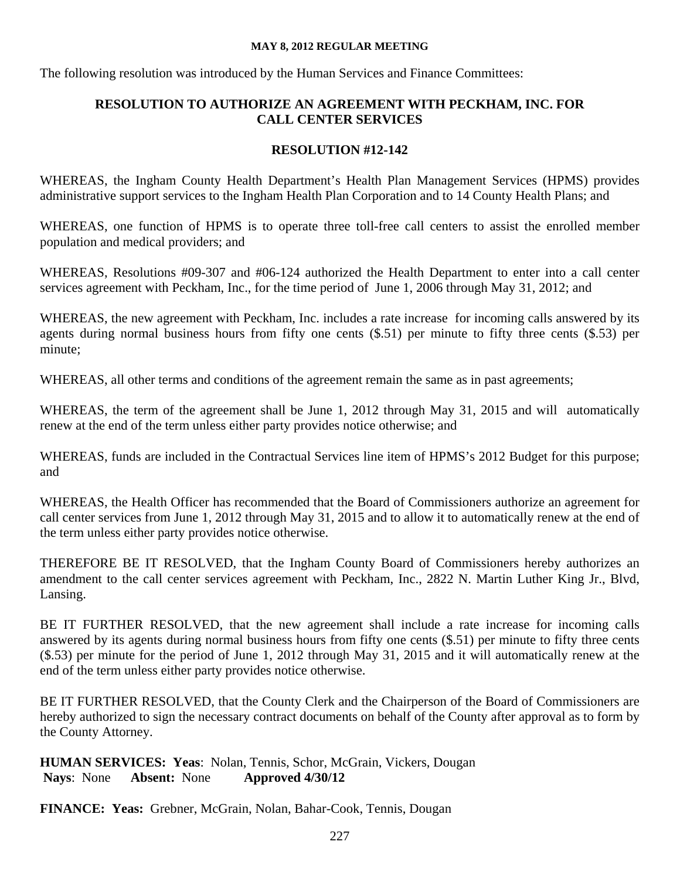The following resolution was introduced by the Human Services and Finance Committees:

# **RESOLUTION TO AUTHORIZE AN AGREEMENT WITH PECKHAM, INC. FOR CALL CENTER SERVICES**

# **RESOLUTION #12-142**

WHEREAS, the Ingham County Health Department's Health Plan Management Services (HPMS) provides administrative support services to the Ingham Health Plan Corporation and to 14 County Health Plans; and

WHEREAS, one function of HPMS is to operate three toll-free call centers to assist the enrolled member population and medical providers; and

WHEREAS, Resolutions #09-307 and #06-124 authorized the Health Department to enter into a call center services agreement with Peckham, Inc., for the time period of June 1, 2006 through May 31, 2012; and

WHEREAS, the new agreement with Peckham, Inc. includes a rate increase for incoming calls answered by its agents during normal business hours from fifty one cents (\$.51) per minute to fifty three cents (\$.53) per minute;

WHEREAS, all other terms and conditions of the agreement remain the same as in past agreements;

WHEREAS, the term of the agreement shall be June 1, 2012 through May 31, 2015 and will automatically renew at the end of the term unless either party provides notice otherwise; and

WHEREAS, funds are included in the Contractual Services line item of HPMS's 2012 Budget for this purpose; and

WHEREAS, the Health Officer has recommended that the Board of Commissioners authorize an agreement for call center services from June 1, 2012 through May 31, 2015 and to allow it to automatically renew at the end of the term unless either party provides notice otherwise.

THEREFORE BE IT RESOLVED, that the Ingham County Board of Commissioners hereby authorizes an amendment to the call center services agreement with Peckham, Inc., 2822 N. Martin Luther King Jr., Blvd, Lansing.

BE IT FURTHER RESOLVED, that the new agreement shall include a rate increase for incoming calls answered by its agents during normal business hours from fifty one cents (\$.51) per minute to fifty three cents (\$.53) per minute for the period of June 1, 2012 through May 31, 2015 and it will automatically renew at the end of the term unless either party provides notice otherwise.

BE IT FURTHER RESOLVED, that the County Clerk and the Chairperson of the Board of Commissioners are hereby authorized to sign the necessary contract documents on behalf of the County after approval as to form by the County Attorney.

**HUMAN SERVICES: Yeas**: Nolan, Tennis, Schor, McGrain, Vickers, Dougan **Nays**: None **Absent:** None **Approved 4/30/12** 

**FINANCE: Yeas:** Grebner, McGrain, Nolan, Bahar-Cook, Tennis, Dougan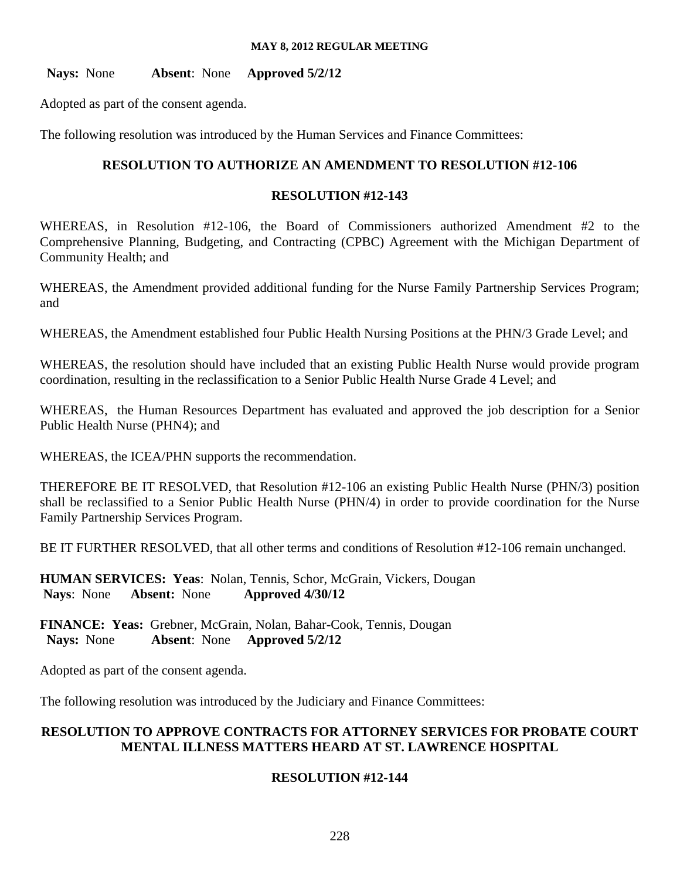**Nays:** None **Absent**: None **Approved 5/2/12** 

Adopted as part of the consent agenda.

The following resolution was introduced by the Human Services and Finance Committees:

# **RESOLUTION TO AUTHORIZE AN AMENDMENT TO RESOLUTION #12-106**

# **RESOLUTION #12-143**

WHEREAS, in Resolution #12-106, the Board of Commissioners authorized Amendment #2 to the Comprehensive Planning, Budgeting, and Contracting (CPBC) Agreement with the Michigan Department of Community Health; and

WHEREAS, the Amendment provided additional funding for the Nurse Family Partnership Services Program; and

WHEREAS, the Amendment established four Public Health Nursing Positions at the PHN/3 Grade Level; and

WHEREAS, the resolution should have included that an existing Public Health Nurse would provide program coordination, resulting in the reclassification to a Senior Public Health Nurse Grade 4 Level; and

WHEREAS, the Human Resources Department has evaluated and approved the job description for a Senior Public Health Nurse (PHN4); and

WHEREAS, the ICEA/PHN supports the recommendation.

THEREFORE BE IT RESOLVED, that Resolution #12-106 an existing Public Health Nurse (PHN/3) position shall be reclassified to a Senior Public Health Nurse (PHN/4) in order to provide coordination for the Nurse Family Partnership Services Program.

BE IT FURTHER RESOLVED, that all other terms and conditions of Resolution #12-106 remain unchanged.

**HUMAN SERVICES: Yeas**: Nolan, Tennis, Schor, McGrain, Vickers, Dougan **Nays**: None **Absent:** None **Approved 4/30/12** 

**FINANCE: Yeas:** Grebner, McGrain, Nolan, Bahar-Cook, Tennis, Dougan **Nays:** None **Absent**: None **Approved 5/2/12**

Adopted as part of the consent agenda.

The following resolution was introduced by the Judiciary and Finance Committees:

# **RESOLUTION TO APPROVE CONTRACTS FOR ATTORNEY SERVICES FOR PROBATE COURT MENTAL ILLNESS MATTERS HEARD AT ST. LAWRENCE HOSPITAL**

# **RESOLUTION #12-144**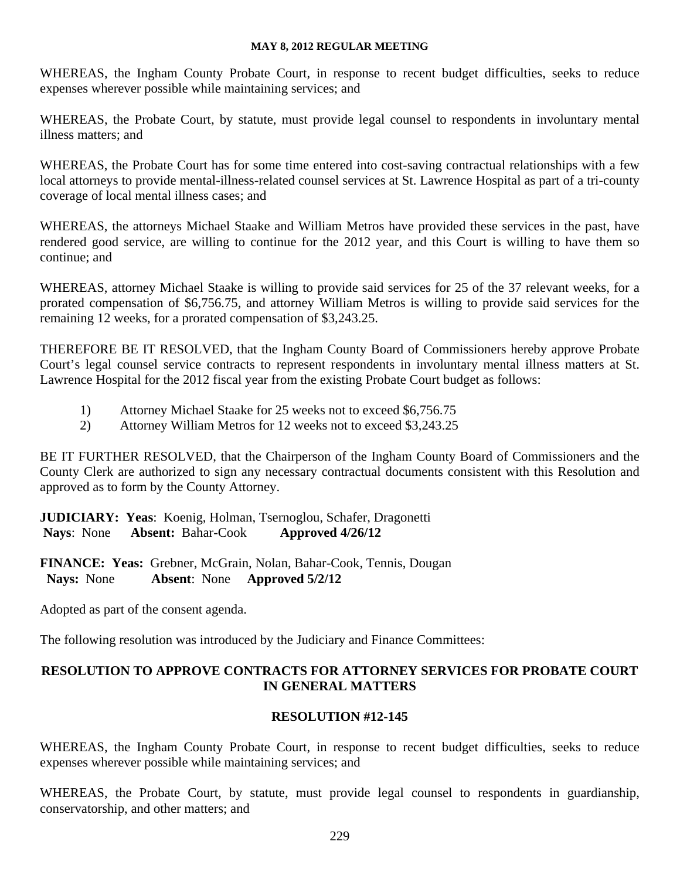WHEREAS, the Ingham County Probate Court, in response to recent budget difficulties, seeks to reduce expenses wherever possible while maintaining services; and

WHEREAS, the Probate Court, by statute, must provide legal counsel to respondents in involuntary mental illness matters; and

WHEREAS, the Probate Court has for some time entered into cost-saving contractual relationships with a few local attorneys to provide mental-illness-related counsel services at St. Lawrence Hospital as part of a tri-county coverage of local mental illness cases; and

WHEREAS, the attorneys Michael Staake and William Metros have provided these services in the past, have rendered good service, are willing to continue for the 2012 year, and this Court is willing to have them so continue; and

WHEREAS, attorney Michael Staake is willing to provide said services for 25 of the 37 relevant weeks, for a prorated compensation of \$6,756.75, and attorney William Metros is willing to provide said services for the remaining 12 weeks, for a prorated compensation of \$3,243.25.

THEREFORE BE IT RESOLVED, that the Ingham County Board of Commissioners hereby approve Probate Court's legal counsel service contracts to represent respondents in involuntary mental illness matters at St. Lawrence Hospital for the 2012 fiscal year from the existing Probate Court budget as follows:

- 1) Attorney Michael Staake for 25 weeks not to exceed \$6,756.75
- 2) Attorney William Metros for 12 weeks not to exceed \$3,243.25

BE IT FURTHER RESOLVED, that the Chairperson of the Ingham County Board of Commissioners and the County Clerk are authorized to sign any necessary contractual documents consistent with this Resolution and approved as to form by the County Attorney.

**JUDICIARY: Yeas**: Koenig, Holman, Tsernoglou, Schafer, Dragonetti **Nays**: None **Absent:** Bahar-Cook **Approved 4/26/12** 

**FINANCE: Yeas:** Grebner, McGrain, Nolan, Bahar-Cook, Tennis, Dougan **Nays:** None **Absent**: None **Approved 5/2/12**

Adopted as part of the consent agenda.

The following resolution was introduced by the Judiciary and Finance Committees:

# **RESOLUTION TO APPROVE CONTRACTS FOR ATTORNEY SERVICES FOR PROBATE COURT IN GENERAL MATTERS**

# **RESOLUTION #12-145**

WHEREAS, the Ingham County Probate Court, in response to recent budget difficulties, seeks to reduce expenses wherever possible while maintaining services; and

WHEREAS, the Probate Court, by statute, must provide legal counsel to respondents in guardianship, conservatorship, and other matters; and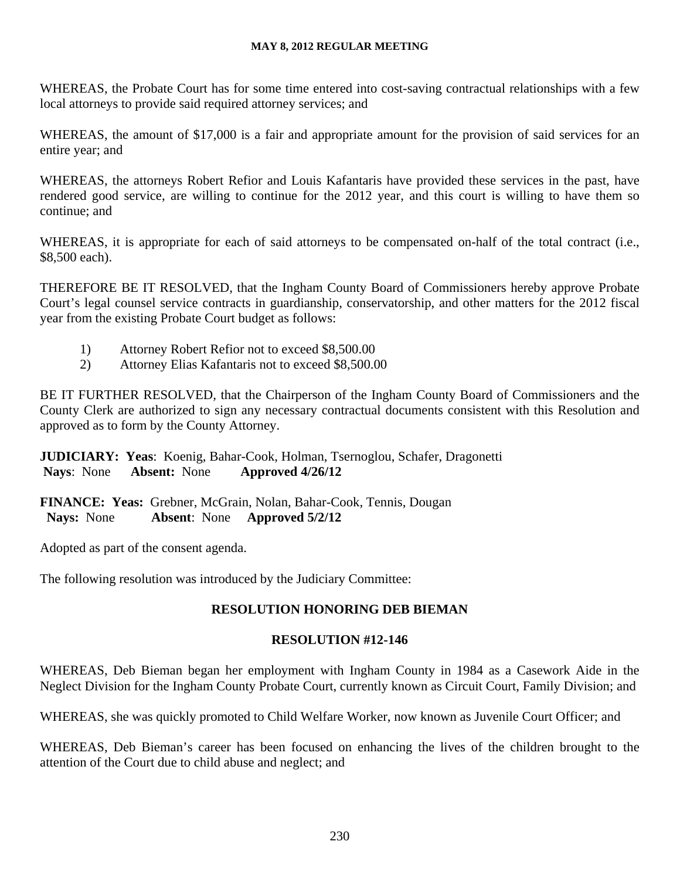WHEREAS, the Probate Court has for some time entered into cost-saving contractual relationships with a few local attorneys to provide said required attorney services; and

WHEREAS, the amount of \$17,000 is a fair and appropriate amount for the provision of said services for an entire year; and

WHEREAS, the attorneys Robert Refior and Louis Kafantaris have provided these services in the past, have rendered good service, are willing to continue for the 2012 year, and this court is willing to have them so continue; and

WHEREAS, it is appropriate for each of said attorneys to be compensated on-half of the total contract (i.e., \$8,500 each).

THEREFORE BE IT RESOLVED, that the Ingham County Board of Commissioners hereby approve Probate Court's legal counsel service contracts in guardianship, conservatorship, and other matters for the 2012 fiscal year from the existing Probate Court budget as follows:

- 1) Attorney Robert Refior not to exceed \$8,500.00
- 2) Attorney Elias Kafantaris not to exceed \$8,500.00

BE IT FURTHER RESOLVED, that the Chairperson of the Ingham County Board of Commissioners and the County Clerk are authorized to sign any necessary contractual documents consistent with this Resolution and approved as to form by the County Attorney.

**JUDICIARY: Yeas**: Koenig, Bahar-Cook, Holman, Tsernoglou, Schafer, Dragonetti **Nays**: None **Absent:** None **Approved 4/26/12** 

**FINANCE: Yeas:** Grebner, McGrain, Nolan, Bahar-Cook, Tennis, Dougan **Nays:** None **Absent**: None **Approved 5/2/12**

Adopted as part of the consent agenda.

The following resolution was introduced by the Judiciary Committee:

# **RESOLUTION HONORING DEB BIEMAN**

# **RESOLUTION #12-146**

WHEREAS, Deb Bieman began her employment with Ingham County in 1984 as a Casework Aide in the Neglect Division for the Ingham County Probate Court, currently known as Circuit Court, Family Division; and

WHEREAS, she was quickly promoted to Child Welfare Worker, now known as Juvenile Court Officer; and

WHEREAS, Deb Bieman's career has been focused on enhancing the lives of the children brought to the attention of the Court due to child abuse and neglect; and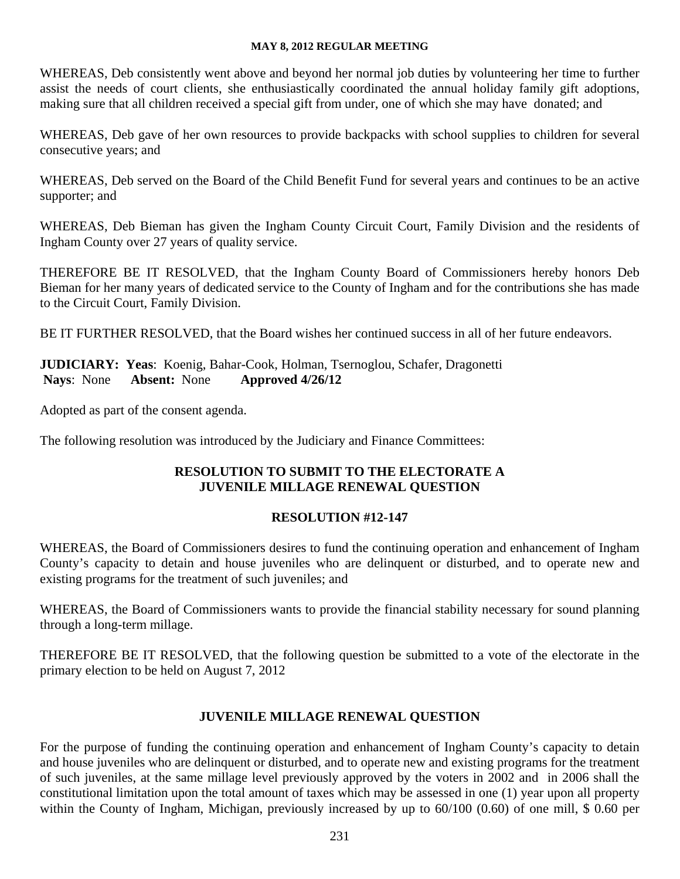WHEREAS, Deb consistently went above and beyond her normal job duties by volunteering her time to further assist the needs of court clients, she enthusiastically coordinated the annual holiday family gift adoptions, making sure that all children received a special gift from under, one of which she may have donated; and

WHEREAS, Deb gave of her own resources to provide backpacks with school supplies to children for several consecutive years; and

WHEREAS, Deb served on the Board of the Child Benefit Fund for several years and continues to be an active supporter; and

WHEREAS, Deb Bieman has given the Ingham County Circuit Court, Family Division and the residents of Ingham County over 27 years of quality service.

THEREFORE BE IT RESOLVED, that the Ingham County Board of Commissioners hereby honors Deb Bieman for her many years of dedicated service to the County of Ingham and for the contributions she has made to the Circuit Court, Family Division.

BE IT FURTHER RESOLVED, that the Board wishes her continued success in all of her future endeavors.

**JUDICIARY: Yeas**: Koenig, Bahar-Cook, Holman, Tsernoglou, Schafer, Dragonetti **Nays**: None **Absent:** None **Approved 4/26/12** 

Adopted as part of the consent agenda.

The following resolution was introduced by the Judiciary and Finance Committees:

# **RESOLUTION TO SUBMIT TO THE ELECTORATE A JUVENILE MILLAGE RENEWAL QUESTION**

# **RESOLUTION #12-147**

WHEREAS, the Board of Commissioners desires to fund the continuing operation and enhancement of Ingham County's capacity to detain and house juveniles who are delinquent or disturbed, and to operate new and existing programs for the treatment of such juveniles; and

WHEREAS, the Board of Commissioners wants to provide the financial stability necessary for sound planning through a long-term millage.

THEREFORE BE IT RESOLVED, that the following question be submitted to a vote of the electorate in the primary election to be held on August 7, 2012

# **JUVENILE MILLAGE RENEWAL QUESTION**

For the purpose of funding the continuing operation and enhancement of Ingham County's capacity to detain and house juveniles who are delinquent or disturbed, and to operate new and existing programs for the treatment of such juveniles, at the same millage level previously approved by the voters in 2002 and in 2006 shall the constitutional limitation upon the total amount of taxes which may be assessed in one (1) year upon all property within the County of Ingham, Michigan, previously increased by up to 60/100 (0.60) of one mill, \$ 0.60 per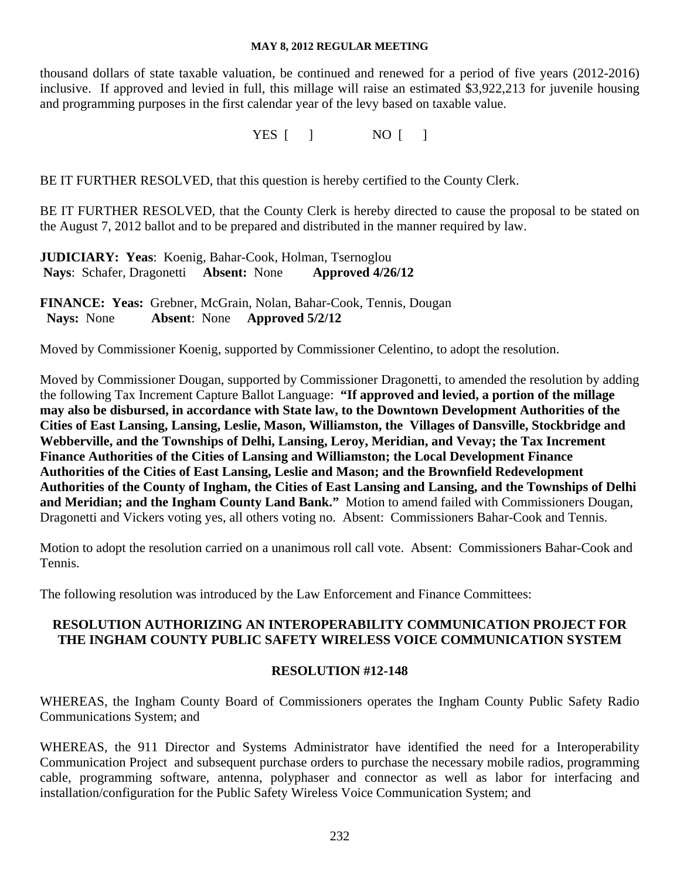thousand dollars of state taxable valuation, be continued and renewed for a period of five years (2012-2016) inclusive. If approved and levied in full, this millage will raise an estimated \$3,922,213 for juvenile housing and programming purposes in the first calendar year of the levy based on taxable value.

YES [ ] NO [ ]

BE IT FURTHER RESOLVED, that this question is hereby certified to the County Clerk.

BE IT FURTHER RESOLVED, that the County Clerk is hereby directed to cause the proposal to be stated on the August 7, 2012 ballot and to be prepared and distributed in the manner required by law.

**JUDICIARY: Yeas**: Koenig, Bahar-Cook, Holman, Tsernoglou **Nays**: Schafer, Dragonetti **Absent:** None **Approved 4/26/12** 

**FINANCE: Yeas:** Grebner, McGrain, Nolan, Bahar-Cook, Tennis, Dougan **Nays:** None **Absent**: None **Approved 5/2/12**

Moved by Commissioner Koenig, supported by Commissioner Celentino, to adopt the resolution.

Moved by Commissioner Dougan, supported by Commissioner Dragonetti, to amended the resolution by adding the following Tax Increment Capture Ballot Language: **"If approved and levied, a portion of the millage may also be disbursed, in accordance with State law, to the Downtown Development Authorities of the Cities of East Lansing, Lansing, Leslie, Mason, Williamston, the Villages of Dansville, Stockbridge and Webberville, and the Townships of Delhi, Lansing, Leroy, Meridian, and Vevay; the Tax Increment Finance Authorities of the Cities of Lansing and Williamston; the Local Development Finance Authorities of the Cities of East Lansing, Leslie and Mason; and the Brownfield Redevelopment Authorities of the County of Ingham, the Cities of East Lansing and Lansing, and the Townships of Delhi and Meridian; and the Ingham County Land Bank."** Motion to amend failed with Commissioners Dougan, Dragonetti and Vickers voting yes, all others voting no. Absent: Commissioners Bahar-Cook and Tennis.

Motion to adopt the resolution carried on a unanimous roll call vote. Absent: Commissioners Bahar-Cook and Tennis.

The following resolution was introduced by the Law Enforcement and Finance Committees:

# **RESOLUTION AUTHORIZING AN INTEROPERABILITY COMMUNICATION PROJECT FOR THE INGHAM COUNTY PUBLIC SAFETY WIRELESS VOICE COMMUNICATION SYSTEM**

# **RESOLUTION #12-148**

WHEREAS, the Ingham County Board of Commissioners operates the Ingham County Public Safety Radio Communications System; and

WHEREAS, the 911 Director and Systems Administrator have identified the need for a Interoperability Communication Project and subsequent purchase orders to purchase the necessary mobile radios, programming cable, programming software, antenna, polyphaser and connector as well as labor for interfacing and installation/configuration for the Public Safety Wireless Voice Communication System; and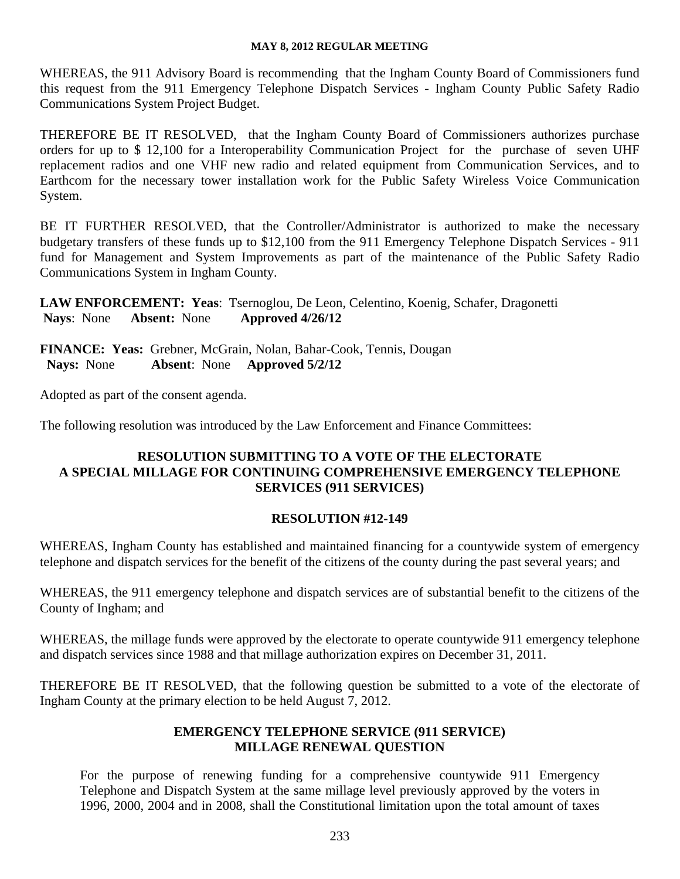WHEREAS, the 911 Advisory Board is recommending that the Ingham County Board of Commissioners fund this request from the 911 Emergency Telephone Dispatch Services - Ingham County Public Safety Radio Communications System Project Budget.

THEREFORE BE IT RESOLVED, that the Ingham County Board of Commissioners authorizes purchase orders for up to \$ 12,100 for a Interoperability Communication Project for the purchase of seven UHF replacement radios and one VHF new radio and related equipment from Communication Services, and to Earthcom for the necessary tower installation work for the Public Safety Wireless Voice Communication System.

BE IT FURTHER RESOLVED, that the Controller/Administrator is authorized to make the necessary budgetary transfers of these funds up to \$12,100 from the 911 Emergency Telephone Dispatch Services - 911 fund for Management and System Improvements as part of the maintenance of the Public Safety Radio Communications System in Ingham County.

**LAW ENFORCEMENT: Yeas**: Tsernoglou, De Leon, Celentino, Koenig, Schafer, Dragonetti **Nays**: None **Absent:** None **Approved 4/26/12** 

**FINANCE: Yeas:** Grebner, McGrain, Nolan, Bahar-Cook, Tennis, Dougan **Nays:** None **Absent**: None **Approved 5/2/12**

Adopted as part of the consent agenda.

The following resolution was introduced by the Law Enforcement and Finance Committees:

# **RESOLUTION SUBMITTING TO A VOTE OF THE ELECTORATE A SPECIAL MILLAGE FOR CONTINUING COMPREHENSIVE EMERGENCY TELEPHONE SERVICES (911 SERVICES)**

# **RESOLUTION #12-149**

WHEREAS, Ingham County has established and maintained financing for a countywide system of emergency telephone and dispatch services for the benefit of the citizens of the county during the past several years; and

WHEREAS, the 911 emergency telephone and dispatch services are of substantial benefit to the citizens of the County of Ingham; and

WHEREAS, the millage funds were approved by the electorate to operate countywide 911 emergency telephone and dispatch services since 1988 and that millage authorization expires on December 31, 2011.

THEREFORE BE IT RESOLVED, that the following question be submitted to a vote of the electorate of Ingham County at the primary election to be held August 7, 2012.

# **EMERGENCY TELEPHONE SERVICE (911 SERVICE) MILLAGE RENEWAL QUESTION**

For the purpose of renewing funding for a comprehensive countywide 911 Emergency Telephone and Dispatch System at the same millage level previously approved by the voters in 1996, 2000, 2004 and in 2008, shall the Constitutional limitation upon the total amount of taxes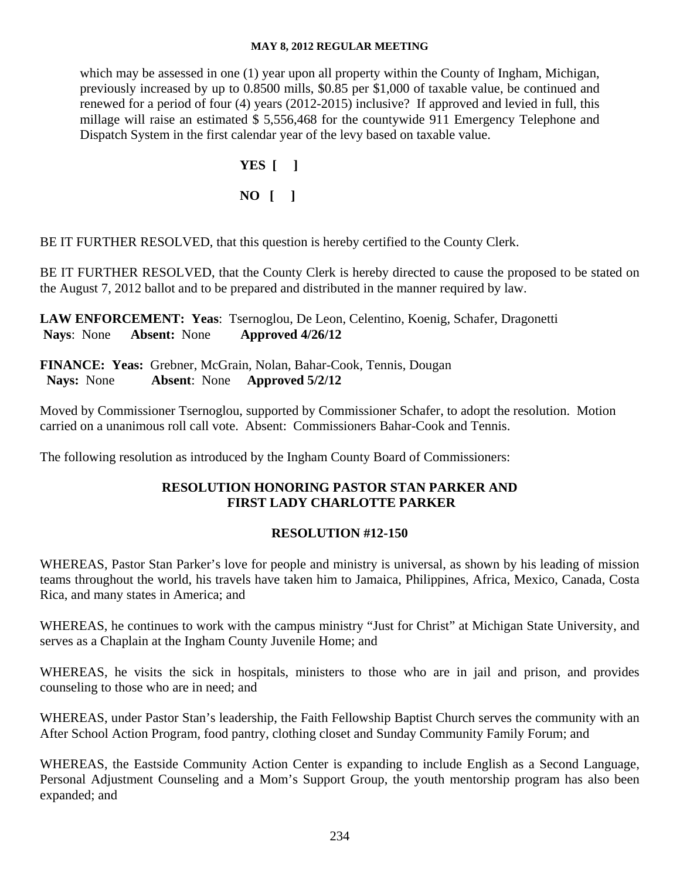which may be assessed in one (1) year upon all property within the County of Ingham, Michigan, previously increased by up to 0.8500 mills, \$0.85 per \$1,000 of taxable value, be continued and renewed for a period of four (4) years (2012-2015) inclusive? If approved and levied in full, this millage will raise an estimated \$ 5,556,468 for the countywide 911 Emergency Telephone and Dispatch System in the first calendar year of the levy based on taxable value.

> **YES [ ] NO [ ]**

BE IT FURTHER RESOLVED, that this question is hereby certified to the County Clerk.

BE IT FURTHER RESOLVED, that the County Clerk is hereby directed to cause the proposed to be stated on the August 7, 2012 ballot and to be prepared and distributed in the manner required by law.

**LAW ENFORCEMENT: Yeas**: Tsernoglou, De Leon, Celentino, Koenig, Schafer, Dragonetti **Nays**: None **Absent:** None **Approved 4/26/12** 

**FINANCE: Yeas:** Grebner, McGrain, Nolan, Bahar-Cook, Tennis, Dougan **Nays:** None **Absent**: None **Approved 5/2/12**

Moved by Commissioner Tsernoglou, supported by Commissioner Schafer, to adopt the resolution. Motion carried on a unanimous roll call vote. Absent: Commissioners Bahar-Cook and Tennis.

The following resolution as introduced by the Ingham County Board of Commissioners:

# **RESOLUTION HONORING PASTOR STAN PARKER AND FIRST LADY CHARLOTTE PARKER**

# **RESOLUTION #12-150**

WHEREAS, Pastor Stan Parker's love for people and ministry is universal, as shown by his leading of mission teams throughout the world, his travels have taken him to Jamaica, Philippines, Africa, Mexico, Canada, Costa Rica, and many states in America; and

WHEREAS, he continues to work with the campus ministry "Just for Christ" at Michigan State University, and serves as a Chaplain at the Ingham County Juvenile Home; and

WHEREAS, he visits the sick in hospitals, ministers to those who are in jail and prison, and provides counseling to those who are in need; and

WHEREAS, under Pastor Stan's leadership, the Faith Fellowship Baptist Church serves the community with an After School Action Program, food pantry, clothing closet and Sunday Community Family Forum; and

WHEREAS, the Eastside Community Action Center is expanding to include English as a Second Language, Personal Adjustment Counseling and a Mom's Support Group, the youth mentorship program has also been expanded; and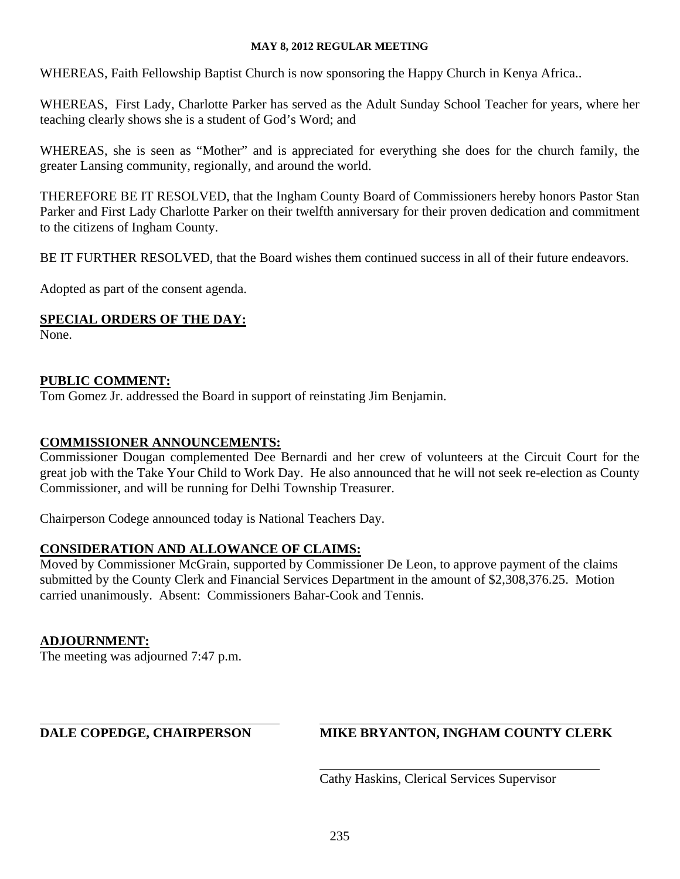WHEREAS, Faith Fellowship Baptist Church is now sponsoring the Happy Church in Kenya Africa..

WHEREAS, First Lady, Charlotte Parker has served as the Adult Sunday School Teacher for years, where her teaching clearly shows she is a student of God's Word; and

WHEREAS, she is seen as "Mother" and is appreciated for everything she does for the church family, the greater Lansing community, regionally, and around the world.

THEREFORE BE IT RESOLVED, that the Ingham County Board of Commissioners hereby honors Pastor Stan Parker and First Lady Charlotte Parker on their twelfth anniversary for their proven dedication and commitment to the citizens of Ingham County.

BE IT FURTHER RESOLVED, that the Board wishes them continued success in all of their future endeavors.

Adopted as part of the consent agenda.

# **SPECIAL ORDERS OF THE DAY:**

None.

# **PUBLIC COMMENT:**

Tom Gomez Jr. addressed the Board in support of reinstating Jim Benjamin.

# **COMMISSIONER ANNOUNCEMENTS:**

Commissioner Dougan complemented Dee Bernardi and her crew of volunteers at the Circuit Court for the great job with the Take Your Child to Work Day. He also announced that he will not seek re-election as County Commissioner, and will be running for Delhi Township Treasurer.

Chairperson Codege announced today is National Teachers Day.

# **CONSIDERATION AND ALLOWANCE OF CLAIMS:**

Moved by Commissioner McGrain, supported by Commissioner De Leon, to approve payment of the claims submitted by the County Clerk and Financial Services Department in the amount of \$2,308,376.25. Motion carried unanimously. Absent: Commissioners Bahar-Cook and Tennis.

# **ADJOURNMENT:**

The meeting was adjourned 7:47 p.m.

 $\overline{a}$ 

# **DALE COPEDGE, CHAIRPERSON MIKE BRYANTON, INGHAM COUNTY CLERK**

Cathy Haskins, Clerical Services Supervisor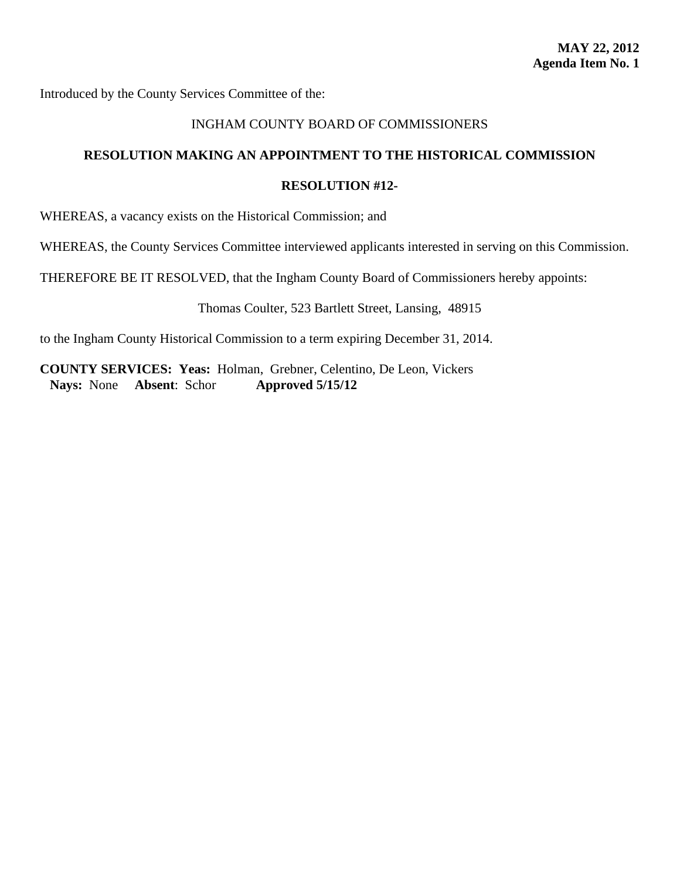<span id="page-28-0"></span>Introduced by the County Services Committee of the:

# INGHAM COUNTY BOARD OF COMMISSIONERS

# **RESOLUTION MAKING AN APPOINTMENT TO THE HISTORICAL COMMISSION**

#### **RESOLUTION #12-**

WHEREAS, a vacancy exists on the Historical Commission; and

WHEREAS, the County Services Committee interviewed applicants interested in serving on this Commission.

THEREFORE BE IT RESOLVED, that the Ingham County Board of Commissioners hereby appoints:

Thomas Coulter, 523 Bartlett Street, Lansing, 48915

to the Ingham County Historical Commission to a term expiring December 31, 2014.

**COUNTY SERVICES: Yeas:** Holman, Grebner, Celentino, De Leon, Vickers **Nays:** None **Absent**: Schor **Approved 5/15/12**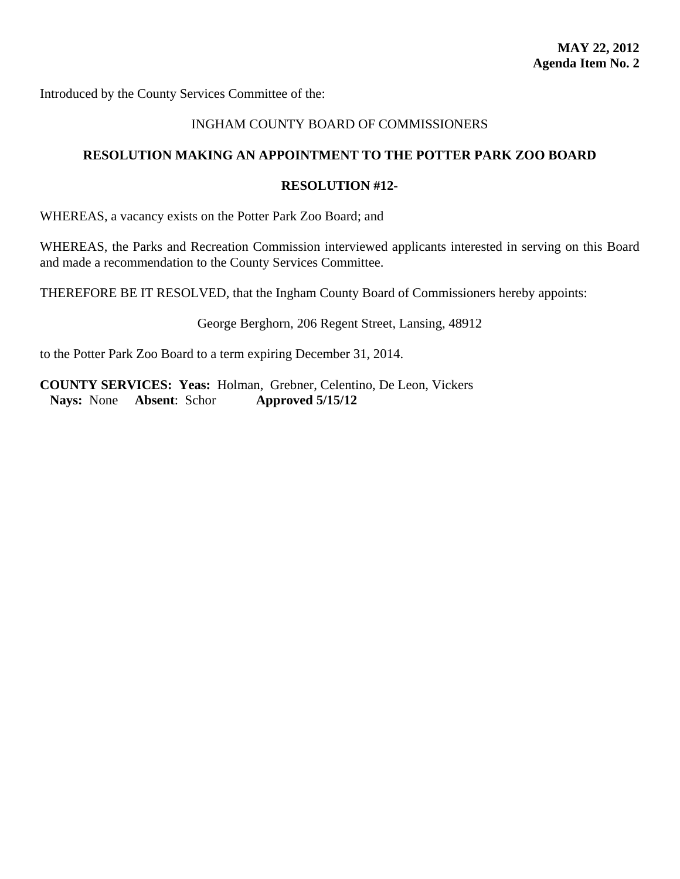<span id="page-29-0"></span>Introduced by the County Services Committee of the:

# INGHAM COUNTY BOARD OF COMMISSIONERS

# **RESOLUTION MAKING AN APPOINTMENT TO THE POTTER PARK ZOO BOARD**

#### **RESOLUTION #12-**

WHEREAS, a vacancy exists on the Potter Park Zoo Board; and

WHEREAS, the Parks and Recreation Commission interviewed applicants interested in serving on this Board and made a recommendation to the County Services Committee.

THEREFORE BE IT RESOLVED, that the Ingham County Board of Commissioners hereby appoints:

George Berghorn, 206 Regent Street, Lansing, 48912

to the Potter Park Zoo Board to a term expiring December 31, 2014.

**COUNTY SERVICES: Yeas:** Holman, Grebner, Celentino, De Leon, Vickers **Nays:** None **Absent**: Schor **Approved 5/15/12**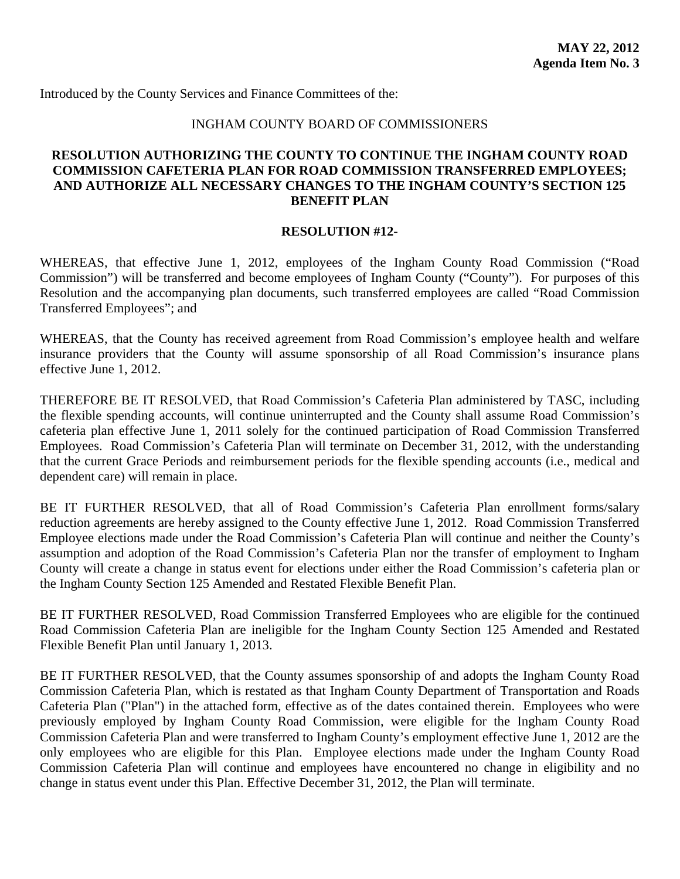# INGHAM COUNTY BOARD OF COMMISSIONERS

# <span id="page-30-0"></span>**RESOLUTION AUTHORIZING THE COUNTY TO CONTINUE THE INGHAM COUNTY ROAD COMMISSION CAFETERIA PLAN FOR ROAD COMMISSION TRANSFERRED EMPLOYEES; AND AUTHORIZE ALL NECESSARY CHANGES TO THE INGHAM COUNTY'S SECTION 125 BENEFIT PLAN**

#### **RESOLUTION #12-**

WHEREAS, that effective June 1, 2012, employees of the Ingham County Road Commission ("Road Commission") will be transferred and become employees of Ingham County ("County"). For purposes of this Resolution and the accompanying plan documents, such transferred employees are called "Road Commission Transferred Employees"; and

WHEREAS, that the County has received agreement from Road Commission's employee health and welfare insurance providers that the County will assume sponsorship of all Road Commission's insurance plans effective June 1, 2012.

THEREFORE BE IT RESOLVED, that Road Commission's Cafeteria Plan administered by TASC, including the flexible spending accounts, will continue uninterrupted and the County shall assume Road Commission's cafeteria plan effective June 1, 2011 solely for the continued participation of Road Commission Transferred Employees. Road Commission's Cafeteria Plan will terminate on December 31, 2012, with the understanding that the current Grace Periods and reimbursement periods for the flexible spending accounts (i.e., medical and dependent care) will remain in place.

BE IT FURTHER RESOLVED, that all of Road Commission's Cafeteria Plan enrollment forms/salary reduction agreements are hereby assigned to the County effective June 1, 2012. Road Commission Transferred Employee elections made under the Road Commission's Cafeteria Plan will continue and neither the County's assumption and adoption of the Road Commission's Cafeteria Plan nor the transfer of employment to Ingham County will create a change in status event for elections under either the Road Commission's cafeteria plan or the Ingham County Section 125 Amended and Restated Flexible Benefit Plan.

BE IT FURTHER RESOLVED, Road Commission Transferred Employees who are eligible for the continued Road Commission Cafeteria Plan are ineligible for the Ingham County Section 125 Amended and Restated Flexible Benefit Plan until January 1, 2013.

BE IT FURTHER RESOLVED, that the County assumes sponsorship of and adopts the Ingham County Road Commission Cafeteria Plan, which is restated as that Ingham County Department of Transportation and Roads Cafeteria Plan ("Plan") in the attached form, effective as of the dates contained therein. Employees who were previously employed by Ingham County Road Commission, were eligible for the Ingham County Road Commission Cafeteria Plan and were transferred to Ingham County's employment effective June 1, 2012 are the only employees who are eligible for this Plan. Employee elections made under the Ingham County Road Commission Cafeteria Plan will continue and employees have encountered no change in eligibility and no change in status event under this Plan. Effective December 31, 2012, the Plan will terminate.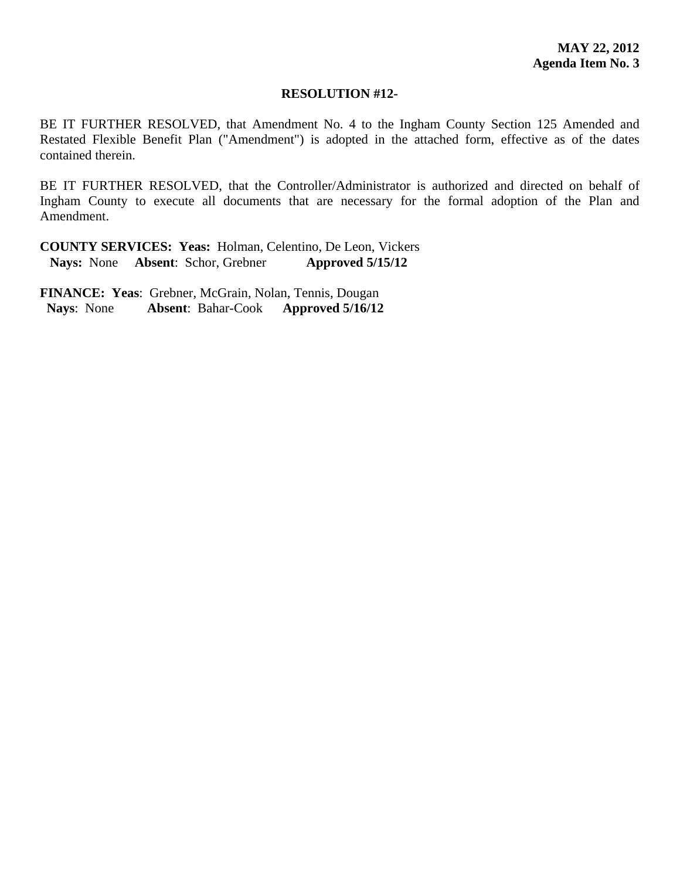#### **RESOLUTION #12-**

BE IT FURTHER RESOLVED, that Amendment No. 4 to the Ingham County Section 125 Amended and Restated Flexible Benefit Plan ("Amendment") is adopted in the attached form, effective as of the dates contained therein.

BE IT FURTHER RESOLVED, that the Controller/Administrator is authorized and directed on behalf of Ingham County to execute all documents that are necessary for the formal adoption of the Plan and Amendment.

**COUNTY SERVICES: Yeas:** Holman, Celentino, De Leon, Vickers **Nays:** None **Absent**: Schor, Grebner **Approved 5/15/12**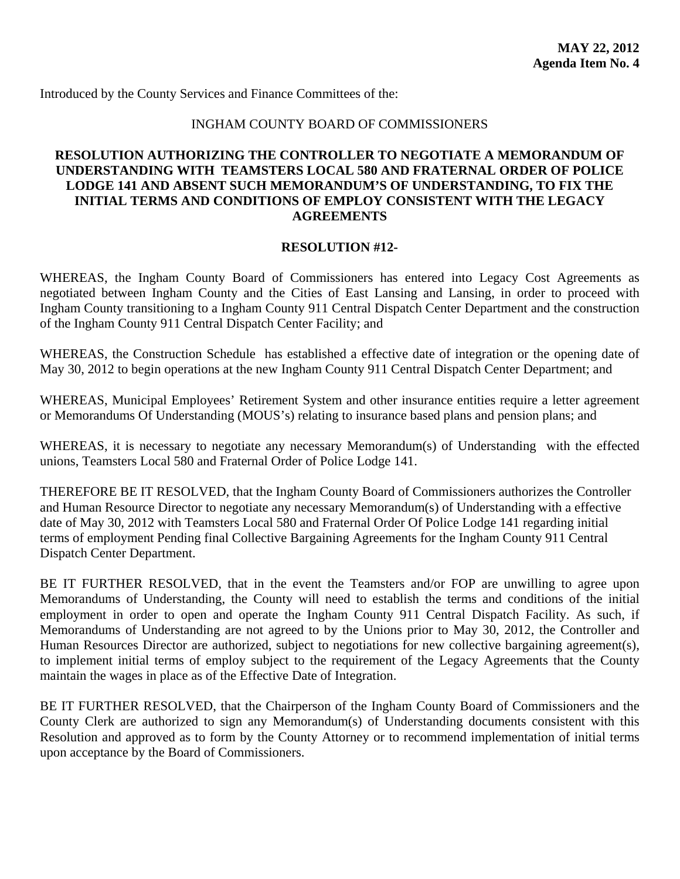### INGHAM COUNTY BOARD OF COMMISSIONERS

# <span id="page-32-0"></span>**RESOLUTION AUTHORIZING THE CONTROLLER TO NEGOTIATE A MEMORANDUM OF UNDERSTANDING WITH TEAMSTERS LOCAL 580 AND FRATERNAL ORDER OF POLICE LODGE 141 AND ABSENT SUCH MEMORANDUM'S OF UNDERSTANDING, TO FIX THE INITIAL TERMS AND CONDITIONS OF EMPLOY CONSISTENT WITH THE LEGACY AGREEMENTS**

#### **RESOLUTION #12-**

WHEREAS, the Ingham County Board of Commissioners has entered into Legacy Cost Agreements as negotiated between Ingham County and the Cities of East Lansing and Lansing, in order to proceed with Ingham County transitioning to a Ingham County 911 Central Dispatch Center Department and the construction of the Ingham County 911 Central Dispatch Center Facility; and

WHEREAS, the Construction Schedule has established a effective date of integration or the opening date of May 30, 2012 to begin operations at the new Ingham County 911 Central Dispatch Center Department; and

WHEREAS, Municipal Employees' Retirement System and other insurance entities require a letter agreement or Memorandums Of Understanding (MOUS's) relating to insurance based plans and pension plans; and

WHEREAS, it is necessary to negotiate any necessary Memorandum(s) of Understanding with the effected unions, Teamsters Local 580 and Fraternal Order of Police Lodge 141.

THEREFORE BE IT RESOLVED, that the Ingham County Board of Commissioners authorizes the Controller and Human Resource Director to negotiate any necessary Memorandum(s) of Understanding with a effective date of May 30, 2012 with Teamsters Local 580 and Fraternal Order Of Police Lodge 141 regarding initial terms of employment Pending final Collective Bargaining Agreements for the Ingham County 911 Central Dispatch Center Department.

BE IT FURTHER RESOLVED, that in the event the Teamsters and/or FOP are unwilling to agree upon Memorandums of Understanding, the County will need to establish the terms and conditions of the initial employment in order to open and operate the Ingham County 911 Central Dispatch Facility. As such, if Memorandums of Understanding are not agreed to by the Unions prior to May 30, 2012, the Controller and Human Resources Director are authorized, subject to negotiations for new collective bargaining agreement(s), to implement initial terms of employ subject to the requirement of the Legacy Agreements that the County maintain the wages in place as of the Effective Date of Integration.

BE IT FURTHER RESOLVED, that the Chairperson of the Ingham County Board of Commissioners and the County Clerk are authorized to sign any Memorandum(s) of Understanding documents consistent with this Resolution and approved as to form by the County Attorney or to recommend implementation of initial terms upon acceptance by the Board of Commissioners.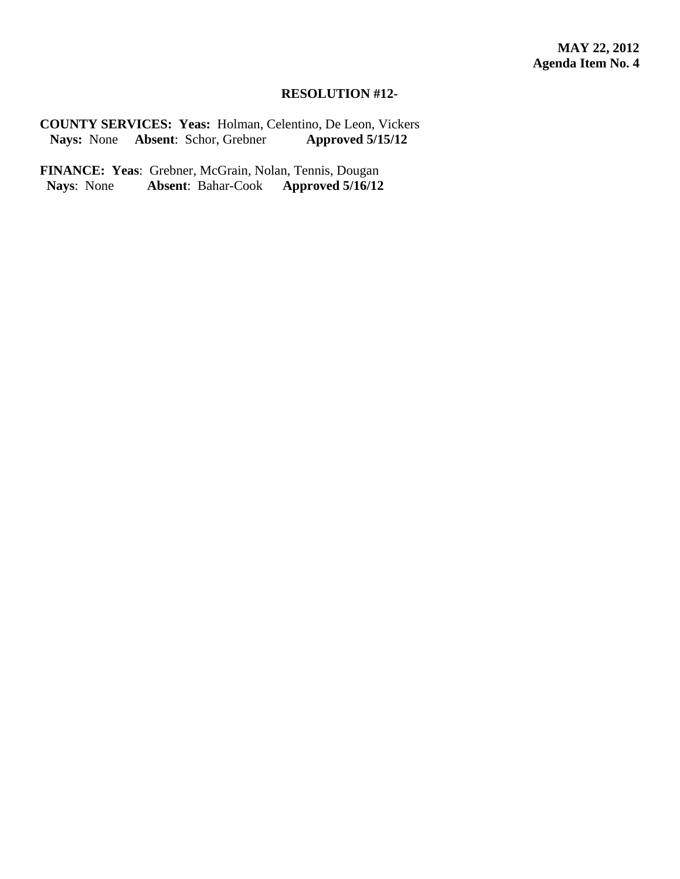# **RESOLUTION #12-**

**COUNTY SERVICES: Yeas:** Holman, Celentino, De Leon, Vickers **Nays:** None **Absent**: Schor, Grebner **Approved 5/15/12**

**FINANCE: Yeas**: Grebner, McGrain, Nolan, Tennis, Dougan<br>Nays: None **Absent**: Bahar-Cook **Approved 5/16/12 Absent:** Bahar-Cook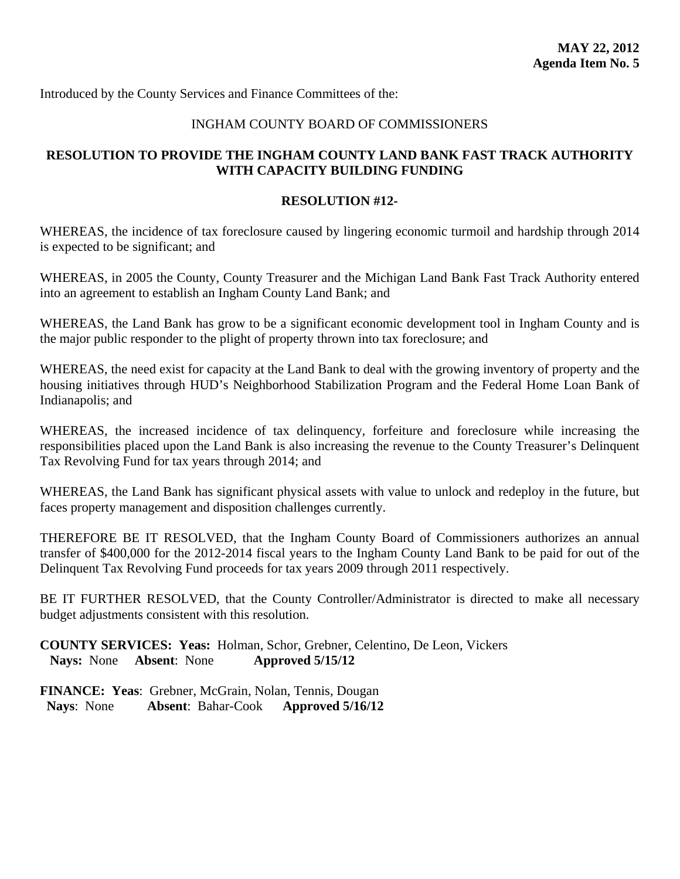# INGHAM COUNTY BOARD OF COMMISSIONERS

# <span id="page-34-0"></span>**RESOLUTION TO PROVIDE THE INGHAM COUNTY LAND BANK FAST TRACK AUTHORITY WITH CAPACITY BUILDING FUNDING**

#### **RESOLUTION #12-**

WHEREAS, the incidence of tax foreclosure caused by lingering economic turmoil and hardship through 2014 is expected to be significant; and

WHEREAS, in 2005 the County, County Treasurer and the Michigan Land Bank Fast Track Authority entered into an agreement to establish an Ingham County Land Bank; and

WHEREAS, the Land Bank has grow to be a significant economic development tool in Ingham County and is the major public responder to the plight of property thrown into tax foreclosure; and

WHEREAS, the need exist for capacity at the Land Bank to deal with the growing inventory of property and the housing initiatives through HUD's Neighborhood Stabilization Program and the Federal Home Loan Bank of Indianapolis; and

WHEREAS, the increased incidence of tax delinquency, forfeiture and foreclosure while increasing the responsibilities placed upon the Land Bank is also increasing the revenue to the County Treasurer's Delinquent Tax Revolving Fund for tax years through 2014; and

WHEREAS, the Land Bank has significant physical assets with value to unlock and redeploy in the future, but faces property management and disposition challenges currently.

THEREFORE BE IT RESOLVED, that the Ingham County Board of Commissioners authorizes an annual transfer of \$400,000 for the 2012-2014 fiscal years to the Ingham County Land Bank to be paid for out of the Delinquent Tax Revolving Fund proceeds for tax years 2009 through 2011 respectively.

BE IT FURTHER RESOLVED, that the County Controller/Administrator is directed to make all necessary budget adjustments consistent with this resolution.

**COUNTY SERVICES: Yeas:** Holman, Schor, Grebner, Celentino, De Leon, Vickers **Nays:** None **Absent**: None **Approved 5/15/12**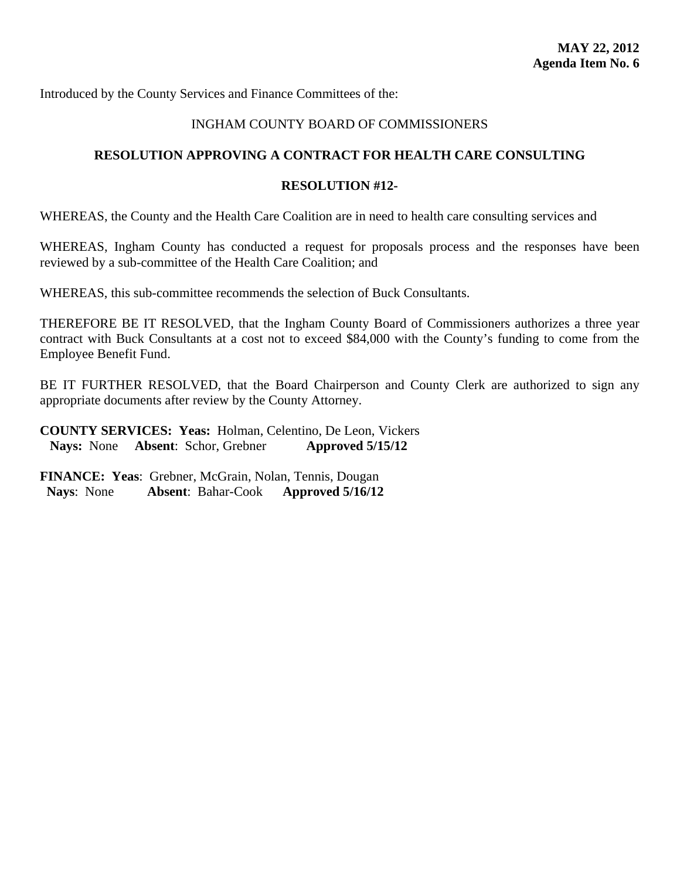# INGHAM COUNTY BOARD OF COMMISSIONERS

# <span id="page-35-0"></span>**RESOLUTION APPROVING A CONTRACT FOR HEALTH CARE CONSULTING**

# **RESOLUTION #12-**

WHEREAS, the County and the Health Care Coalition are in need to health care consulting services and

WHEREAS, Ingham County has conducted a request for proposals process and the responses have been reviewed by a sub-committee of the Health Care Coalition; and

WHEREAS, this sub-committee recommends the selection of Buck Consultants.

THEREFORE BE IT RESOLVED, that the Ingham County Board of Commissioners authorizes a three year contract with Buck Consultants at a cost not to exceed \$84,000 with the County's funding to come from the Employee Benefit Fund.

BE IT FURTHER RESOLVED, that the Board Chairperson and County Clerk are authorized to sign any appropriate documents after review by the County Attorney.

**COUNTY SERVICES: Yeas:** Holman, Celentino, De Leon, Vickers **Nays:** None **Absent**: Schor, Grebner **Approved 5/15/12**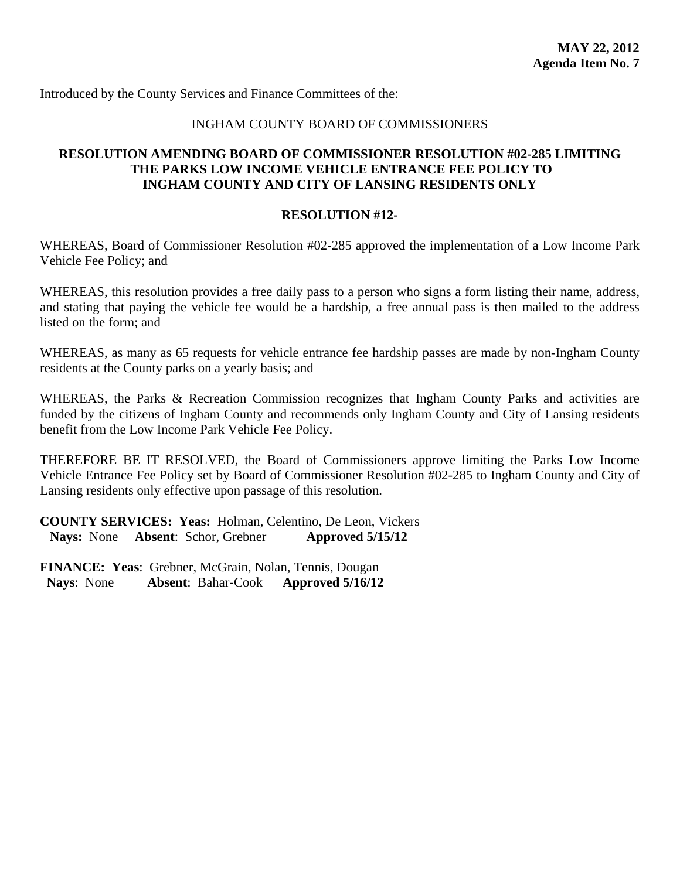# INGHAM COUNTY BOARD OF COMMISSIONERS

# <span id="page-36-0"></span>**RESOLUTION AMENDING BOARD OF COMMISSIONER RESOLUTION #02-285 LIMITING THE PARKS LOW INCOME VEHICLE ENTRANCE FEE POLICY TO INGHAM COUNTY AND CITY OF LANSING RESIDENTS ONLY**

#### **RESOLUTION #12-**

WHEREAS, Board of Commissioner Resolution #02-285 approved the implementation of a Low Income Park Vehicle Fee Policy; and

WHEREAS, this resolution provides a free daily pass to a person who signs a form listing their name, address, and stating that paying the vehicle fee would be a hardship, a free annual pass is then mailed to the address listed on the form; and

WHEREAS, as many as 65 requests for vehicle entrance fee hardship passes are made by non-Ingham County residents at the County parks on a yearly basis; and

WHEREAS, the Parks & Recreation Commission recognizes that Ingham County Parks and activities are funded by the citizens of Ingham County and recommends only Ingham County and City of Lansing residents benefit from the Low Income Park Vehicle Fee Policy.

THEREFORE BE IT RESOLVED, the Board of Commissioners approve limiting the Parks Low Income Vehicle Entrance Fee Policy set by Board of Commissioner Resolution #02-285 to Ingham County and City of Lansing residents only effective upon passage of this resolution.

**COUNTY SERVICES: Yeas:** Holman, Celentino, De Leon, Vickers **Nays:** None **Absent**: Schor, Grebner **Approved 5/15/12**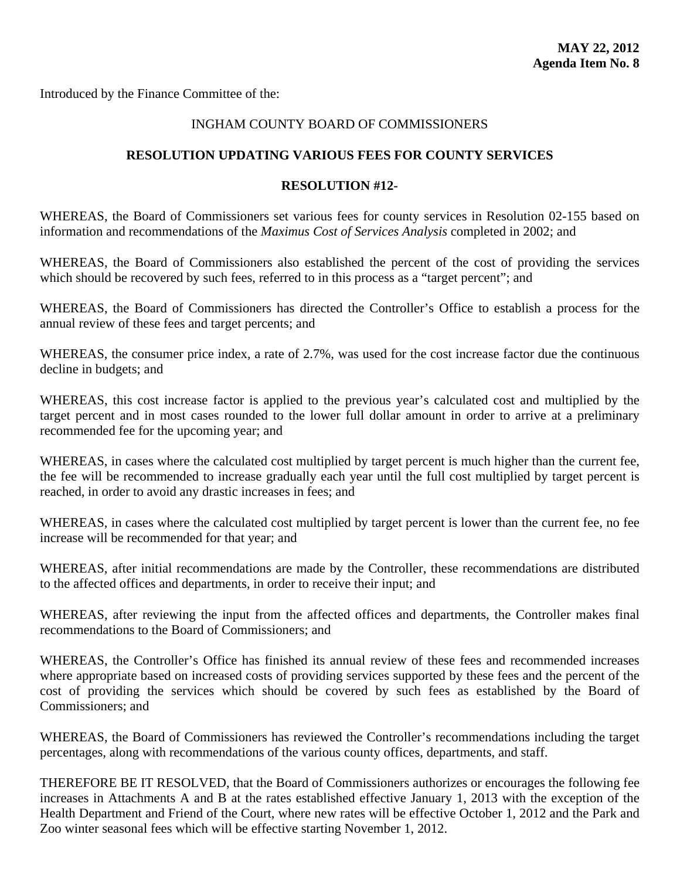<span id="page-37-0"></span>Introduced by the Finance Committee of the:

# INGHAM COUNTY BOARD OF COMMISSIONERS

### **RESOLUTION UPDATING VARIOUS FEES FOR COUNTY SERVICES**

### **RESOLUTION #12-**

WHEREAS, the Board of Commissioners set various fees for county services in Resolution 02-155 based on information and recommendations of the *Maximus Cost of Services Analysis* completed in 2002; and

WHEREAS, the Board of Commissioners also established the percent of the cost of providing the services which should be recovered by such fees, referred to in this process as a "target percent"; and

WHEREAS, the Board of Commissioners has directed the Controller's Office to establish a process for the annual review of these fees and target percents; and

WHEREAS, the consumer price index, a rate of 2.7%, was used for the cost increase factor due the continuous decline in budgets; and

WHEREAS, this cost increase factor is applied to the previous year's calculated cost and multiplied by the target percent and in most cases rounded to the lower full dollar amount in order to arrive at a preliminary recommended fee for the upcoming year; and

WHEREAS, in cases where the calculated cost multiplied by target percent is much higher than the current fee, the fee will be recommended to increase gradually each year until the full cost multiplied by target percent is reached, in order to avoid any drastic increases in fees; and

WHEREAS, in cases where the calculated cost multiplied by target percent is lower than the current fee, no fee increase will be recommended for that year; and

WHEREAS, after initial recommendations are made by the Controller, these recommendations are distributed to the affected offices and departments, in order to receive their input; and

WHEREAS, after reviewing the input from the affected offices and departments, the Controller makes final recommendations to the Board of Commissioners; and

WHEREAS, the Controller's Office has finished its annual review of these fees and recommended increases where appropriate based on increased costs of providing services supported by these fees and the percent of the cost of providing the services which should be covered by such fees as established by the Board of Commissioners; and

WHEREAS, the Board of Commissioners has reviewed the Controller's recommendations including the target percentages, along with recommendations of the various county offices, departments, and staff.

THEREFORE BE IT RESOLVED, that the Board of Commissioners authorizes or encourages the following fee increases in Attachments A and B at the rates established effective January 1, 2013 with the exception of the Health Department and Friend of the Court, where new rates will be effective October 1, 2012 and the Park and Zoo winter seasonal fees which will be effective starting November 1, 2012.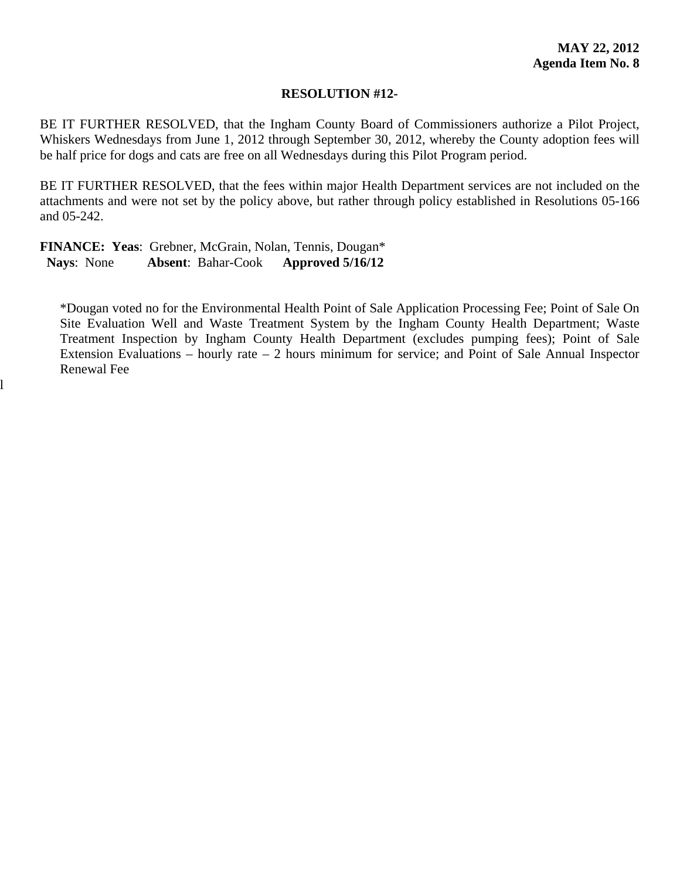#### **RESOLUTION #12-**

BE IT FURTHER RESOLVED, that the Ingham County Board of Commissioners authorize a Pilot Project, Whiskers Wednesdays from June 1, 2012 through September 30, 2012, whereby the County adoption fees will be half price for dogs and cats are free on all Wednesdays during this Pilot Program period.

BE IT FURTHER RESOLVED, that the fees within major Health Department services are not included on the attachments and were not set by the policy above, but rather through policy established in Resolutions 05-166 and 05-242.

**FINANCE: Yeas**: Grebner, McGrain, Nolan, Tennis, Dougan\*  **Nays**: None **Absent**: Bahar-Cook **Approved 5/16/12** 

l

\*Dougan voted no for the Environmental Health Point of Sale Application Processing Fee; Point of Sale On Site Evaluation Well and Waste Treatment System by the Ingham County Health Department; Waste Treatment Inspection by Ingham County Health Department (excludes pumping fees); Point of Sale Extension Evaluations – hourly rate  $-2$  hours minimum for service; and Point of Sale Annual Inspector Renewal Fee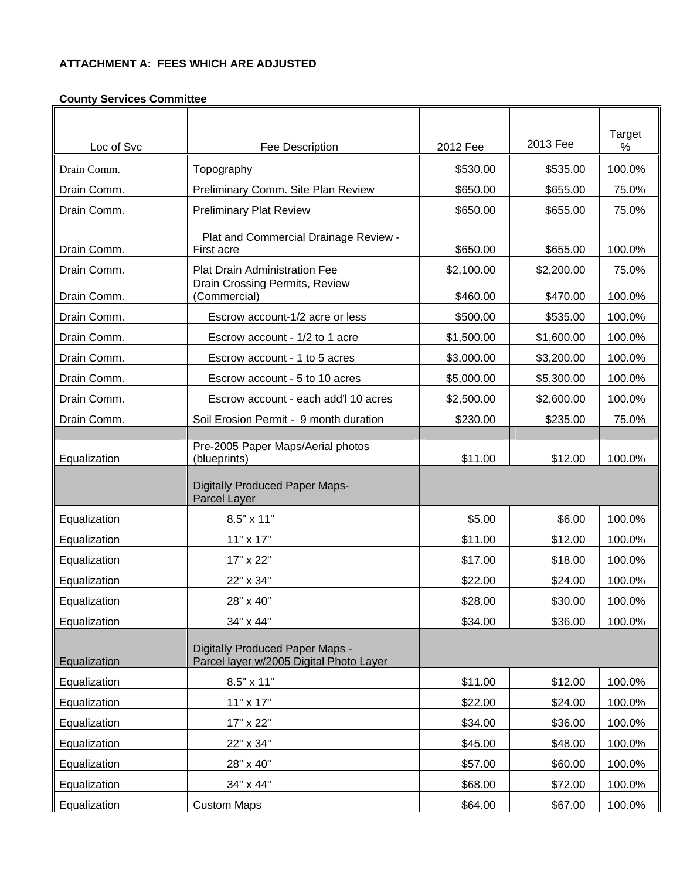#### **ATTACHMENT A: FEES WHICH ARE ADJUSTED**

# △ Loc of Svc Fee Description 2013 Fee <br>● Loc of Svc Fee Description 2012 Fee 2013 Fee % Drain Comm. Topography \$530.00 \$535.00 100.0% Drain Comm. Preliminary Comm. Site Plan Review Full to \$650.00 | \$655.00 | 75.0% Drain Comm. Preliminary Plat Review | \$650.00 | \$655.00 | 75.0% Drain Comm. Plat and Commercial Drainage Review - First acre \$650.00 \$655.00 100.0% Drain Comm. Plat Drain Administration Fee **1998** 12,100.00 | \$2,200.00 | 75.0% Drain Comm. Drain Crossing Permits, Review (Commercial) \$460.00 \$470.00 100.0% Drain Comm. The State of Late or less The State of State of the State of the State of the State of the State o Drain Comm.  $\vert$  Escrow account - 1/2 to 1 acre  $\vert$  \$1,500.00  $\vert$  \$1,600.00 | 100.0% Drain Comm. 
<br>
<u>
Lescrow account - 1 to 5 acres</u>  $\begin{array}{|l} \hline \text{ $3,000.00} \quad | \quad $3,200.00 \quad | \quad 100.0\% \end{array}$ Drain Comm. Escrow account - 5 to 10 acres \$5,000.00 \$5,300.00 100.0% Drain Comm. Escrow account - each add'l 10 acres \$2,500.00 \$2,600.00 100.0% Drain Comm. Soil Erosion Permit - 9 month duration  $\sim$  \$230.00 | \$235.00 | 75.0% Equalization Pre-2005 Paper Maps/Aerial photos (blueprints) \$11.00 \$12.00 100.0% Digitally Produced Paper Maps-Parcel Layer Equalization 8.5" x 11" \$5.00 \$6.00 100.0%  $\textsf{\small{Equalization}}\qquad \qquad \vert\qquad \textsf{\small{11}}\textsf{\small{1}} \textsf{\small{x 17}} \textsf{\small{1}} \qquad \textsf{\small{12.00}}\ \ \vert\qquad \textsf{\small{13.00}}\ \ \vert\qquad \textsf{\small{100.0}}\ \textsf{\small{100.0}}$ Equalization 17" x 22" \$17.00 \$18.00 | 100.0% Equalization 22" x 34" \$22.00 \$24.00 | 100.0% Equalization 28" x 40" \$28.00 \$30.00 100.0% Equalization 34" x 44" \$34.00 \$36.00 100.0% **Equalization** Digitally Produced Paper Maps - Parcel layer w/2005 Digital Photo Layer Equalization 8.5" x 11" \$11.00 \$12.00 | 100.0%  $\textsf{\small{Equalization}}\qquad \qquad \vert\qquad \textsf{\small{11}}\textsf{\small{1}}\textsf{\small{x}}\textsf{\small{17}}''$

Equalization 17" x 22" \$34.00 \$36.00 | 100.0% Equalization 22" x 34" \$45.00 \$48.00 100.0% Equalization 28" x 40" \$57.00 \$60.00 100.0% Equalization 34" x 44" \$68.00 \$72.00 | 100.0% Equalization  $\vert$  Custom Maps  $\vert$  Custom Maps  $\vert$  864.00  $\vert$  \$67.00  $\vert$  100.0%

%

#### **County Services Committee**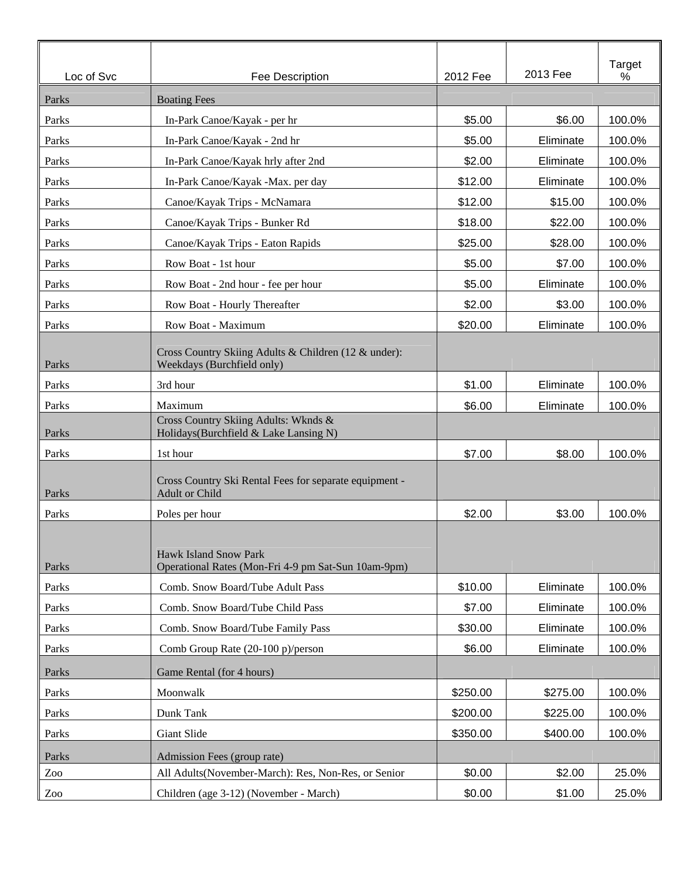| Loc of Svc | Fee Description                                                                     | 2012 Fee | 2013 Fee  | Target<br>% |
|------------|-------------------------------------------------------------------------------------|----------|-----------|-------------|
| Parks      | <b>Boating Fees</b>                                                                 |          |           |             |
| Parks      | In-Park Canoe/Kayak - per hr                                                        | \$5.00   | \$6.00    | 100.0%      |
| Parks      | In-Park Canoe/Kayak - 2nd hr                                                        | \$5.00   | Eliminate | 100.0%      |
| Parks      | In-Park Canoe/Kayak hrly after 2nd                                                  | \$2.00   | Eliminate | 100.0%      |
| Parks      | In-Park Canoe/Kayak -Max. per day                                                   | \$12.00  | Eliminate | 100.0%      |
| Parks      | Canoe/Kayak Trips - McNamara                                                        | \$12.00  | \$15.00   | 100.0%      |
| Parks      | Canoe/Kayak Trips - Bunker Rd                                                       | \$18.00  | \$22.00   | 100.0%      |
| Parks      | Canoe/Kayak Trips - Eaton Rapids                                                    | \$25.00  | \$28.00   | 100.0%      |
| Parks      | Row Boat - 1st hour                                                                 | \$5.00   | \$7.00    | 100.0%      |
| Parks      | Row Boat - 2nd hour - fee per hour                                                  | \$5.00   | Eliminate | 100.0%      |
| Parks      | Row Boat - Hourly Thereafter                                                        | \$2.00   | \$3.00    | 100.0%      |
| Parks      | Row Boat - Maximum                                                                  | \$20.00  | Eliminate | 100.0%      |
| Parks      | Cross Country Skiing Adults & Children (12 & under):<br>Weekdays (Burchfield only)  |          |           |             |
| Parks      | 3rd hour                                                                            | \$1.00   | Eliminate | 100.0%      |
| Parks      | Maximum                                                                             | \$6.00   | Eliminate | 100.0%      |
| Parks      | Cross Country Skiing Adults: Wknds &<br>Holidays(Burchfield & Lake Lansing N)       |          |           |             |
| Parks      | 1st hour                                                                            | \$7.00   | \$8.00    | 100.0%      |
| Parks      | Cross Country Ski Rental Fees for separate equipment -<br>Adult or Child            |          |           |             |
| Parks      | Poles per hour                                                                      | \$2.00   | \$3.00    | 100.0%      |
| Parks      | <b>Hawk Island Snow Park</b><br>Operational Rates (Mon-Fri 4-9 pm Sat-Sun 10am-9pm) |          |           |             |
| Parks      | Comb. Snow Board/Tube Adult Pass                                                    | \$10.00  | Eliminate | 100.0%      |
| Parks      | Comb. Snow Board/Tube Child Pass                                                    | \$7.00   | Eliminate | 100.0%      |
| Parks      | Comb. Snow Board/Tube Family Pass                                                   | \$30.00  | Eliminate | 100.0%      |
| Parks      | Comb Group Rate (20-100 p)/person                                                   | \$6.00   | Eliminate | 100.0%      |
| Parks      | Game Rental (for 4 hours)                                                           |          |           |             |
| Parks      | Moonwalk                                                                            | \$250.00 | \$275.00  | 100.0%      |
| Parks      | Dunk Tank                                                                           | \$200.00 | \$225.00  | 100.0%      |
| Parks      | Giant Slide                                                                         | \$350.00 | \$400.00  | 100.0%      |
| Parks      | Admission Fees (group rate)                                                         |          |           |             |
| Zoo        | All Adults(November-March): Res, Non-Res, or Senior                                 | \$0.00   | \$2.00    | 25.0%       |
| Zoo        | Children (age 3-12) (November - March)                                              | \$0.00   | \$1.00    | 25.0%       |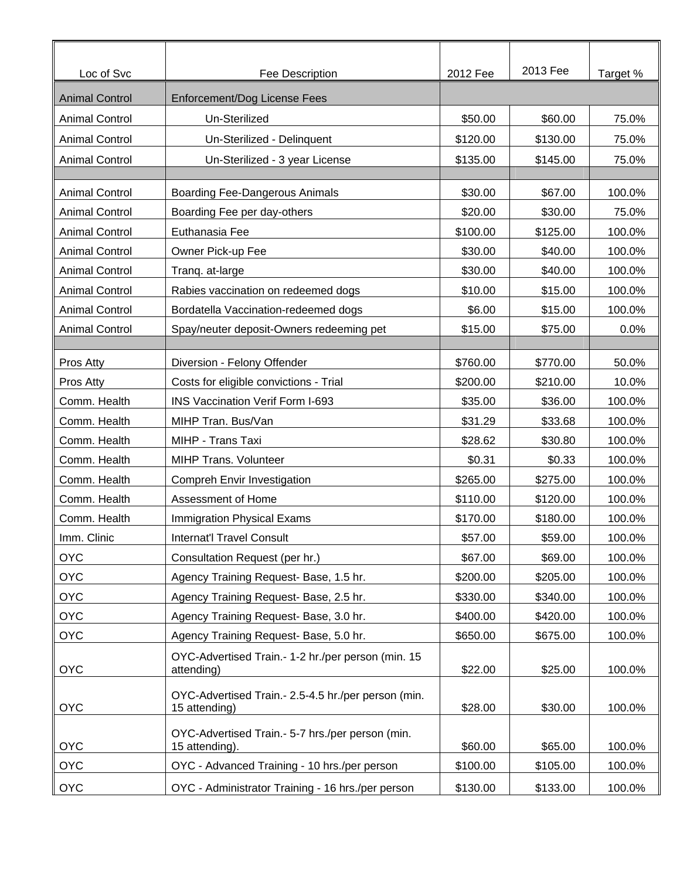| Loc of Svc            | Fee Description                                                      | 2012 Fee | 2013 Fee | Target % |
|-----------------------|----------------------------------------------------------------------|----------|----------|----------|
| <b>Animal Control</b> | Enforcement/Dog License Fees                                         |          |          |          |
| <b>Animal Control</b> | Un-Sterilized                                                        | \$50.00  | \$60.00  | 75.0%    |
| <b>Animal Control</b> | Un-Sterilized - Delinquent                                           | \$120.00 | \$130.00 | 75.0%    |
| <b>Animal Control</b> | Un-Sterilized - 3 year License                                       | \$135.00 | \$145.00 | 75.0%    |
|                       |                                                                      |          |          |          |
| <b>Animal Control</b> | <b>Boarding Fee-Dangerous Animals</b>                                | \$30.00  | \$67.00  | 100.0%   |
| <b>Animal Control</b> | Boarding Fee per day-others                                          | \$20.00  | \$30.00  | 75.0%    |
| <b>Animal Control</b> | Euthanasia Fee                                                       | \$100.00 | \$125.00 | 100.0%   |
| <b>Animal Control</b> | Owner Pick-up Fee                                                    | \$30.00  | \$40.00  | 100.0%   |
| <b>Animal Control</b> | Tranq. at-large                                                      | \$30.00  | \$40.00  | 100.0%   |
| <b>Animal Control</b> | Rabies vaccination on redeemed dogs                                  | \$10.00  | \$15.00  | 100.0%   |
| <b>Animal Control</b> | Bordatella Vaccination-redeemed dogs                                 | \$6.00   | \$15.00  | 100.0%   |
| <b>Animal Control</b> | Spay/neuter deposit-Owners redeeming pet                             | \$15.00  | \$75.00  | 0.0%     |
|                       |                                                                      |          |          |          |
| Pros Atty             | Diversion - Felony Offender                                          | \$760.00 | \$770.00 | 50.0%    |
| Pros Atty             | Costs for eligible convictions - Trial                               | \$200.00 | \$210.00 | 10.0%    |
| Comm. Health          | <b>INS Vaccination Verif Form I-693</b>                              | \$35.00  | \$36.00  | 100.0%   |
| Comm. Health          | MIHP Tran. Bus/Van                                                   | \$31.29  | \$33.68  | 100.0%   |
| Comm. Health          | MIHP - Trans Taxi                                                    | \$28.62  | \$30.80  | 100.0%   |
| Comm. Health          | MIHP Trans. Volunteer                                                | \$0.31   | \$0.33   | 100.0%   |
| Comm. Health          | Compreh Envir Investigation                                          | \$265.00 | \$275.00 | 100.0%   |
| Comm. Health          | Assessment of Home                                                   | \$110.00 | \$120.00 | 100.0%   |
| Comm. Health          | Immigration Physical Exams                                           | \$170.00 | \$180.00 | 100.0%   |
| Imm. Clinic           | Internat'l Travel Consult                                            | \$57.00  | \$59.00  | 100.0%   |
| <b>OYC</b>            | Consultation Request (per hr.)                                       | \$67.00  | \$69.00  | 100.0%   |
| <b>OYC</b>            | Agency Training Request- Base, 1.5 hr.                               | \$200.00 | \$205.00 | 100.0%   |
| <b>OYC</b>            | Agency Training Request- Base, 2.5 hr.                               | \$330.00 | \$340.00 | 100.0%   |
| <b>OYC</b>            | Agency Training Request- Base, 3.0 hr.                               | \$400.00 | \$420.00 | 100.0%   |
| <b>OYC</b>            | Agency Training Request- Base, 5.0 hr.                               | \$650.00 | \$675.00 | 100.0%   |
| <b>OYC</b>            | OYC-Advertised Train.- 1-2 hr./per person (min. 15<br>attending)     | \$22.00  | \$25.00  | 100.0%   |
| <b>OYC</b>            | OYC-Advertised Train.- 2.5-4.5 hr./per person (min.<br>15 attending) | \$28.00  | \$30.00  | 100.0%   |
| <b>OYC</b>            | OYC-Advertised Train.- 5-7 hrs./per person (min.<br>15 attending).   | \$60.00  | \$65.00  | 100.0%   |
| <b>OYC</b>            | OYC - Advanced Training - 10 hrs./per person                         | \$100.00 | \$105.00 | 100.0%   |
| <b>OYC</b>            | OYC - Administrator Training - 16 hrs./per person                    | \$130.00 | \$133.00 | 100.0%   |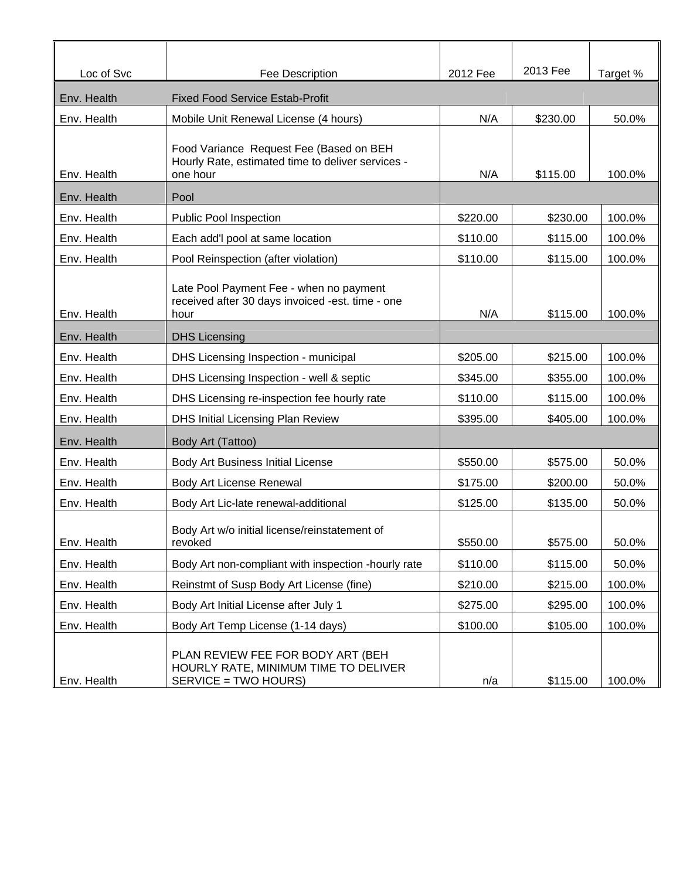| Loc of Svc  | Fee Description                                                                                          | 2012 Fee | 2013 Fee | Target % |
|-------------|----------------------------------------------------------------------------------------------------------|----------|----------|----------|
| Env. Health | <b>Fixed Food Service Estab-Profit</b>                                                                   |          |          |          |
| Env. Health | Mobile Unit Renewal License (4 hours)                                                                    | N/A      | \$230.00 | 50.0%    |
| Env. Health | Food Variance Request Fee (Based on BEH<br>Hourly Rate, estimated time to deliver services -<br>one hour | N/A      | \$115.00 | 100.0%   |
| Env. Health | Pool                                                                                                     |          |          |          |
| Env. Health | Public Pool Inspection                                                                                   | \$220.00 | \$230.00 | 100.0%   |
| Env. Health | Each add'l pool at same location                                                                         | \$110.00 | \$115.00 | 100.0%   |
| Env. Health | Pool Reinspection (after violation)                                                                      | \$110.00 | \$115.00 | 100.0%   |
| Env. Health | Late Pool Payment Fee - when no payment<br>received after 30 days invoiced -est. time - one<br>hour      | N/A      | \$115.00 | 100.0%   |
| Env. Health | <b>DHS Licensing</b>                                                                                     |          |          |          |
| Env. Health | DHS Licensing Inspection - municipal                                                                     | \$205.00 | \$215.00 | 100.0%   |
| Env. Health | DHS Licensing Inspection - well & septic                                                                 | \$345.00 | \$355.00 | 100.0%   |
| Env. Health | DHS Licensing re-inspection fee hourly rate                                                              | \$110.00 | \$115.00 | 100.0%   |
| Env. Health | DHS Initial Licensing Plan Review                                                                        | \$395.00 | \$405.00 | 100.0%   |
| Env. Health | Body Art (Tattoo)                                                                                        |          |          |          |
| Env. Health | Body Art Business Initial License                                                                        | \$550.00 | \$575.00 | 50.0%    |
| Env. Health | Body Art License Renewal                                                                                 | \$175.00 | \$200.00 | 50.0%    |
| Env. Health | Body Art Lic-late renewal-additional                                                                     | \$125.00 | \$135.00 | 50.0%    |
| Env. Health | Body Art w/o initial license/reinstatement of<br>revoked                                                 | \$550.00 | \$575.00 | 50.0%    |
| Env. Health | Body Art non-compliant with inspection -hourly rate                                                      | \$110.00 | \$115.00 | 50.0%    |
| Env. Health | Reinstmt of Susp Body Art License (fine)                                                                 | \$210.00 | \$215.00 | 100.0%   |
| Env. Health | Body Art Initial License after July 1                                                                    | \$275.00 | \$295.00 | 100.0%   |
| Env. Health | Body Art Temp License (1-14 days)                                                                        | \$100.00 | \$105.00 | 100.0%   |
| Env. Health | PLAN REVIEW FEE FOR BODY ART (BEH<br>HOURLY RATE, MINIMUM TIME TO DELIVER<br>SERVICE = TWO HOURS)        | n/a      | \$115.00 | 100.0%   |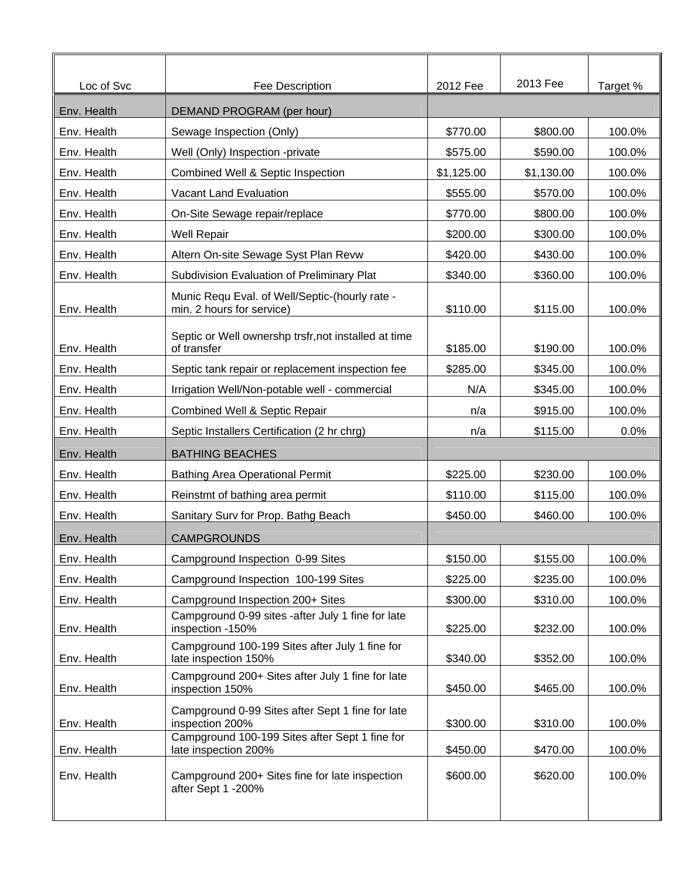| Loc of Svc  | Fee Description                                                             | 2012 Fee   | 2013 Fee   | Target % |
|-------------|-----------------------------------------------------------------------------|------------|------------|----------|
| Env. Health | DEMAND PROGRAM (per hour)                                                   |            |            |          |
| Env. Health | Sewage Inspection (Only)                                                    | \$770.00   | \$800.00   | 100.0%   |
| Env. Health | Well (Only) Inspection -private                                             | \$575.00   | \$590.00   | 100.0%   |
| Env. Health | Combined Well & Septic Inspection                                           | \$1,125.00 | \$1,130.00 | 100.0%   |
| Env. Health | Vacant Land Evaluation                                                      | \$555.00   | \$570.00   | 100.0%   |
| Env. Health | On-Site Sewage repair/replace                                               | \$770.00   | \$800.00   | 100.0%   |
| Env. Health | <b>Well Repair</b>                                                          | \$200.00   | \$300.00   | 100.0%   |
| Env. Health | Altern On-site Sewage Syst Plan Revw                                        | \$420.00   | \$430.00   | 100.0%   |
| Env. Health | Subdivision Evaluation of Preliminary Plat                                  | \$340.00   | \$360.00   | 100.0%   |
| Env. Health | Munic Requ Eval. of Well/Septic-(hourly rate -<br>min. 2 hours for service) | \$110.00   | \$115.00   | 100.0%   |
| Env. Health | Septic or Well ownershp trsfr, not installed at time<br>of transfer         | \$185.00   | \$190.00   | 100.0%   |
| Env. Health | Septic tank repair or replacement inspection fee                            | \$285.00   | \$345.00   | 100.0%   |
| Env. Health | Irrigation Well/Non-potable well - commercial                               | N/A        | \$345.00   | 100.0%   |
| Env. Health | <b>Combined Well &amp; Septic Repair</b>                                    | n/a        | \$915.00   | 100.0%   |
| Env. Health | Septic Installers Certification (2 hr chrg)                                 | n/a        | \$115.00   | 0.0%     |
| Env. Health | <b>BATHING BEACHES</b>                                                      |            |            |          |
| Env. Health | <b>Bathing Area Operational Permit</b>                                      | \$225.00   | \$230.00   | 100.0%   |
| Env. Health | Reinstmt of bathing area permit                                             | \$110.00   | \$115.00   | 100.0%   |
| Env. Health | Sanitary Surv for Prop. Bathg Beach                                         | \$450.00   | \$460.00   | 100.0%   |
| Env. Health | <b>CAMPGROUNDS</b>                                                          |            |            |          |
| Env. Health | Campground Inspection 0-99 Sites                                            | \$150.00   | \$155.00   | 100.0%   |
| Env. Health | Campground Inspection 100-199 Sites                                         | \$225.00   | \$235.00   | 100.0%   |
| Env. Health | Campground Inspection 200+ Sites                                            | \$300.00   | \$310.00   | 100.0%   |
| Env. Health | Campground 0-99 sites -after July 1 fine for late<br>inspection -150%       | \$225.00   | \$232.00   | 100.0%   |
| Env. Health | Campground 100-199 Sites after July 1 fine for<br>late inspection 150%      | \$340.00   | \$352.00   | 100.0%   |
| Env. Health | Campground 200+ Sites after July 1 fine for late<br>inspection 150%         | \$450.00   | \$465.00   | 100.0%   |
| Env. Health | Campground 0-99 Sites after Sept 1 fine for late<br>inspection 200%         | \$300.00   | \$310.00   | 100.0%   |
| Env. Health | Campground 100-199 Sites after Sept 1 fine for<br>late inspection 200%      | \$450.00   | \$470.00   | 100.0%   |
| Env. Health | Campground 200+ Sites fine for late inspection<br>after Sept 1 -200%        | \$600.00   | \$620.00   | 100.0%   |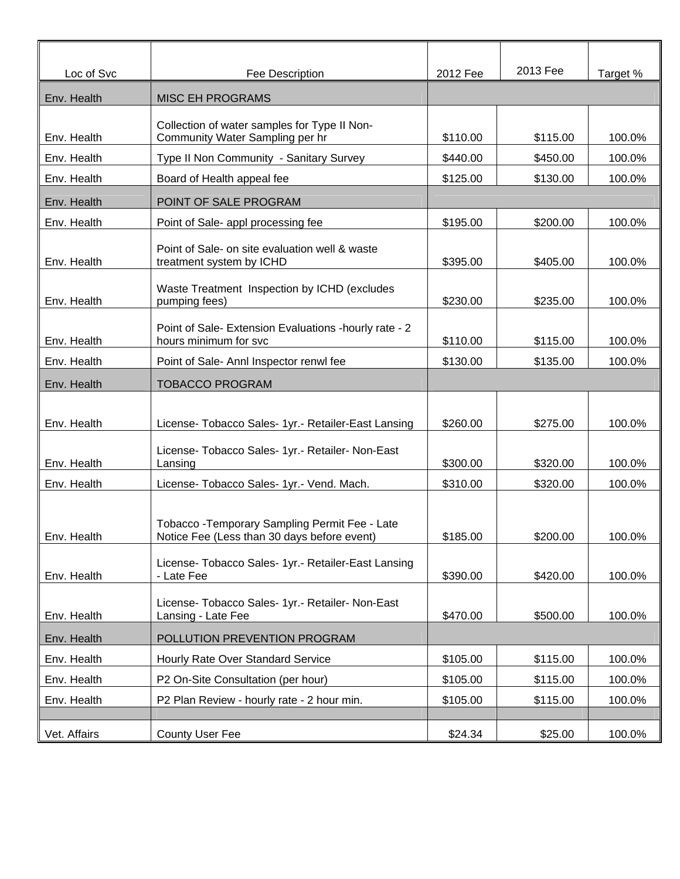| Loc of Svc   | Fee Description                                                                               | 2012 Fee | 2013 Fee | Target % |
|--------------|-----------------------------------------------------------------------------------------------|----------|----------|----------|
| Env. Health  | <b>MISC EH PROGRAMS</b>                                                                       |          |          |          |
|              |                                                                                               |          |          |          |
| Env. Health  | Collection of water samples for Type II Non-<br>Community Water Sampling per hr               | \$110.00 | \$115.00 | 100.0%   |
| Env. Health  | Type II Non Community - Sanitary Survey                                                       | \$440.00 | \$450.00 | 100.0%   |
| Env. Health  | Board of Health appeal fee                                                                    | \$125.00 | \$130.00 | 100.0%   |
| Env. Health  | POINT OF SALE PROGRAM                                                                         |          |          |          |
| Env. Health  | Point of Sale- appl processing fee                                                            | \$195.00 | \$200.00 | 100.0%   |
| Env. Health  | Point of Sale- on site evaluation well & waste<br>treatment system by ICHD                    | \$395.00 | \$405.00 | 100.0%   |
| Env. Health  | Waste Treatment Inspection by ICHD (excludes<br>pumping fees)                                 | \$230.00 | \$235.00 | 100.0%   |
| Env. Health  | Point of Sale- Extension Evaluations - hourly rate - 2<br>hours minimum for svc               | \$110.00 | \$115.00 | 100.0%   |
| Env. Health  | Point of Sale- Annl Inspector renwl fee                                                       | \$130.00 | \$135.00 | 100.0%   |
| Env. Health  | TOBACCO PROGRAM                                                                               |          |          |          |
|              |                                                                                               |          |          |          |
| Env. Health  | License- Tobacco Sales- 1yr.- Retailer-East Lansing                                           | \$260.00 | \$275.00 | 100.0%   |
| Env. Health  | License- Tobacco Sales- 1yr.- Retailer- Non-East<br>Lansing                                   | \$300.00 | \$320.00 | 100.0%   |
| Env. Health  | License- Tobacco Sales- 1yr.- Vend. Mach.                                                     | \$310.00 | \$320.00 | 100.0%   |
| Env. Health  | Tobacco - Temporary Sampling Permit Fee - Late<br>Notice Fee (Less than 30 days before event) | \$185.00 | \$200.00 | 100.0%   |
| Env. Health  | License- Tobacco Sales- 1yr.- Retailer-East Lansing<br>- Late Fee                             | \$390.00 | \$420.00 | 100.0%   |
| Env. Health  | License- Tobacco Sales- 1yr.- Retailer- Non-East<br>Lansing - Late Fee                        | \$470.00 | \$500.00 | 100.0%   |
| Env. Health  | POLLUTION PREVENTION PROGRAM                                                                  |          |          |          |
| Env. Health  | Hourly Rate Over Standard Service                                                             | \$105.00 | \$115.00 | 100.0%   |
| Env. Health  | P2 On-Site Consultation (per hour)                                                            | \$105.00 | \$115.00 | 100.0%   |
| Env. Health  | P2 Plan Review - hourly rate - 2 hour min.                                                    | \$105.00 | \$115.00 | 100.0%   |
| Vet. Affairs | <b>County User Fee</b>                                                                        | \$24.34  | \$25.00  | 100.0%   |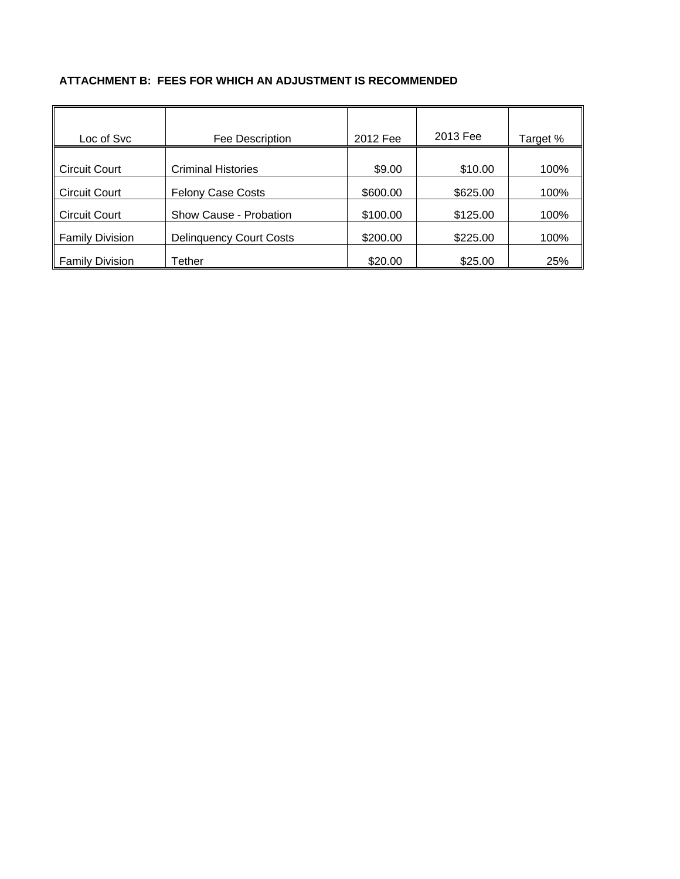#### **ATTACHMENT B: FEES FOR WHICH AN ADJUSTMENT IS RECOMMENDED**

| Loc of Svc             | Fee Description                | 2012 Fee | 2013 Fee | Target % |
|------------------------|--------------------------------|----------|----------|----------|
|                        |                                |          |          |          |
| <b>Circuit Court</b>   | <b>Criminal Histories</b>      | \$9.00   | \$10.00  | 100%     |
| <b>Circuit Court</b>   | <b>Felony Case Costs</b>       | \$600.00 | \$625.00 | 100%     |
| <b>Circuit Court</b>   | Show Cause - Probation         | \$100.00 | \$125.00 | 100%     |
| <b>Family Division</b> | <b>Delinquency Court Costs</b> | \$200.00 | \$225.00 | 100%     |
| <b>Family Division</b> | Tether                         | \$20.00  | \$25.00  | 25%      |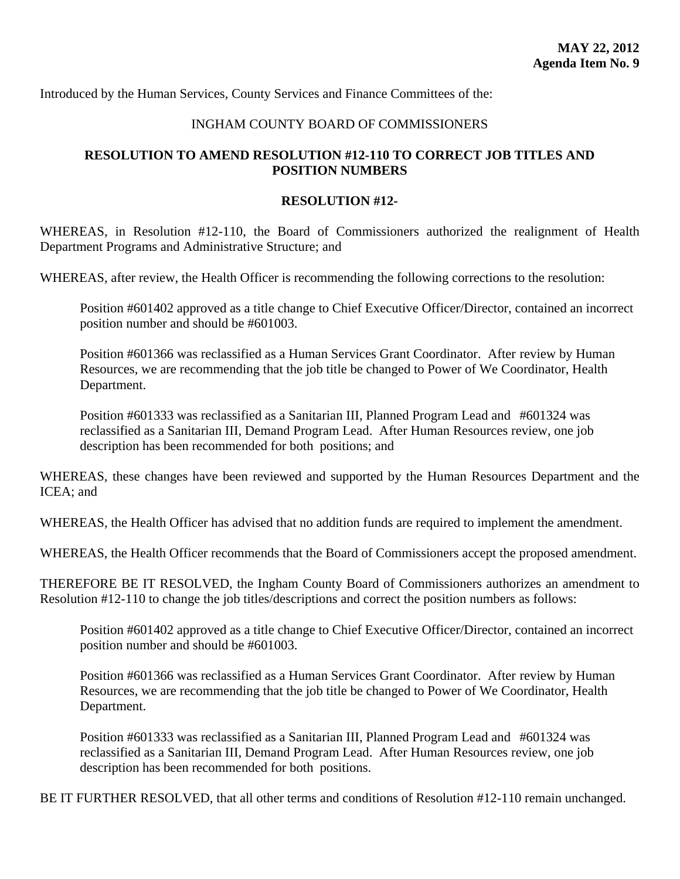<span id="page-46-0"></span>Introduced by the Human Services, County Services and Finance Committees of the:

# INGHAM COUNTY BOARD OF COMMISSIONERS

# **RESOLUTION TO AMEND RESOLUTION #12-110 TO CORRECT JOB TITLES AND POSITION NUMBERS**

#### **RESOLUTION #12-**

WHEREAS, in Resolution #12-110, the Board of Commissioners authorized the realignment of Health Department Programs and Administrative Structure; and

WHEREAS, after review, the Health Officer is recommending the following corrections to the resolution:

Position #601402 approved as a title change to Chief Executive Officer/Director, contained an incorrect position number and should be #601003.

Position #601366 was reclassified as a Human Services Grant Coordinator. After review by Human Resources, we are recommending that the job title be changed to Power of We Coordinator, Health Department.

Position #601333 was reclassified as a Sanitarian III, Planned Program Lead and #601324 was reclassified as a Sanitarian III, Demand Program Lead. After Human Resources review, one job description has been recommended for both positions; and

WHEREAS, these changes have been reviewed and supported by the Human Resources Department and the ICEA; and

WHEREAS, the Health Officer has advised that no addition funds are required to implement the amendment.

WHEREAS, the Health Officer recommends that the Board of Commissioners accept the proposed amendment.

THEREFORE BE IT RESOLVED, the Ingham County Board of Commissioners authorizes an amendment to Resolution #12-110 to change the job titles/descriptions and correct the position numbers as follows:

Position #601402 approved as a title change to Chief Executive Officer/Director, contained an incorrect position number and should be #601003.

Position #601366 was reclassified as a Human Services Grant Coordinator. After review by Human Resources, we are recommending that the job title be changed to Power of We Coordinator, Health Department.

Position #601333 was reclassified as a Sanitarian III, Planned Program Lead and #601324 was reclassified as a Sanitarian III, Demand Program Lead. After Human Resources review, one job description has been recommended for both positions.

BE IT FURTHER RESOLVED, that all other terms and conditions of Resolution #12-110 remain unchanged.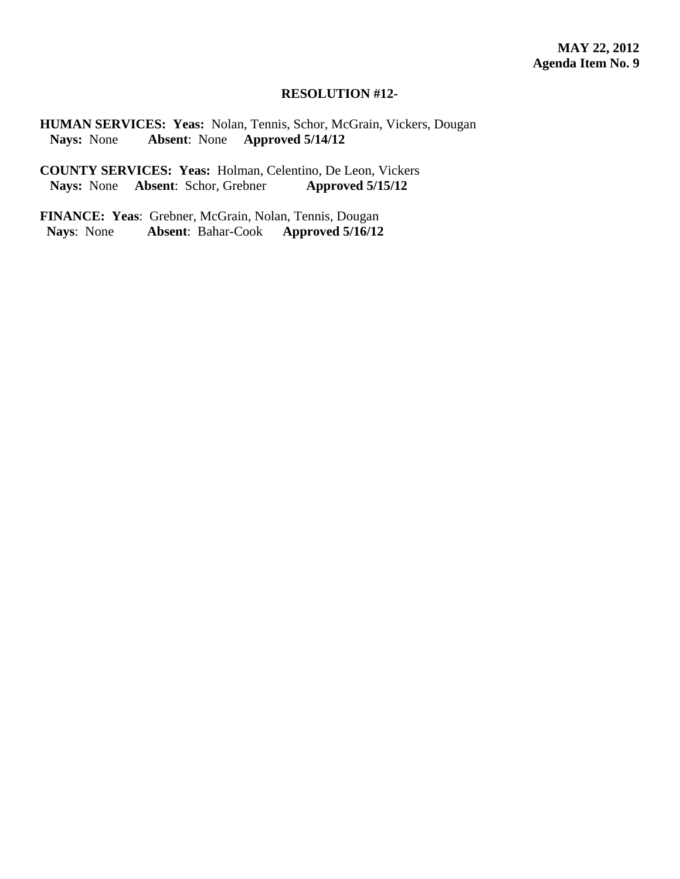#### **RESOLUTION #12-**

**HUMAN SERVICES: Yeas:** Nolan, Tennis, Schor, McGrain, Vickers, Dougan  **Nays:** None **Absent**: None **Approved 5/14/12** 

**COUNTY SERVICES: Yeas:** Holman, Celentino, De Leon, Vickers<br>Nays: None Absent: Schor, Grebner Approved 5/15/12 **Nays:** None **Absent**: Schor, Grebner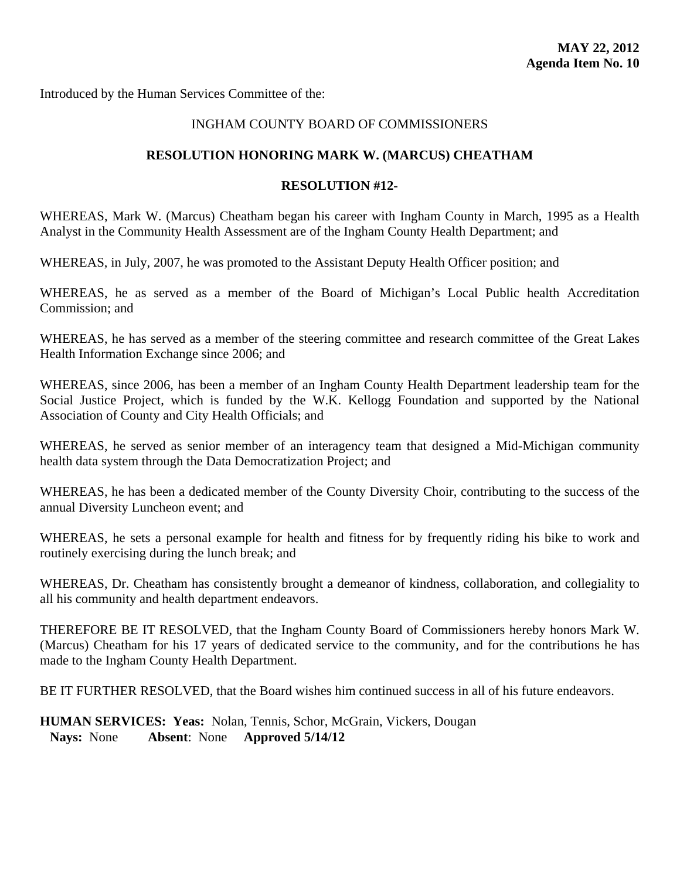<span id="page-48-0"></span>Introduced by the Human Services Committee of the:

# INGHAM COUNTY BOARD OF COMMISSIONERS

# **RESOLUTION HONORING MARK W. (MARCUS) CHEATHAM**

#### **RESOLUTION #12-**

WHEREAS, Mark W. (Marcus) Cheatham began his career with Ingham County in March, 1995 as a Health Analyst in the Community Health Assessment are of the Ingham County Health Department; and

WHEREAS, in July, 2007, he was promoted to the Assistant Deputy Health Officer position; and

WHEREAS, he as served as a member of the Board of Michigan's Local Public health Accreditation Commission; and

WHEREAS, he has served as a member of the steering committee and research committee of the Great Lakes Health Information Exchange since 2006; and

WHEREAS, since 2006, has been a member of an Ingham County Health Department leadership team for the Social Justice Project, which is funded by the W.K. Kellogg Foundation and supported by the National Association of County and City Health Officials; and

WHEREAS, he served as senior member of an interagency team that designed a Mid-Michigan community health data system through the Data Democratization Project; and

WHEREAS, he has been a dedicated member of the County Diversity Choir, contributing to the success of the annual Diversity Luncheon event; and

WHEREAS, he sets a personal example for health and fitness for by frequently riding his bike to work and routinely exercising during the lunch break; and

WHEREAS, Dr. Cheatham has consistently brought a demeanor of kindness, collaboration, and collegiality to all his community and health department endeavors.

THEREFORE BE IT RESOLVED, that the Ingham County Board of Commissioners hereby honors Mark W. (Marcus) Cheatham for his 17 years of dedicated service to the community, and for the contributions he has made to the Ingham County Health Department.

BE IT FURTHER RESOLVED, that the Board wishes him continued success in all of his future endeavors.

**HUMAN SERVICES: Yeas:** Nolan, Tennis, Schor, McGrain, Vickers, Dougan  **Nays:** None **Absent**: None **Approved 5/14/12**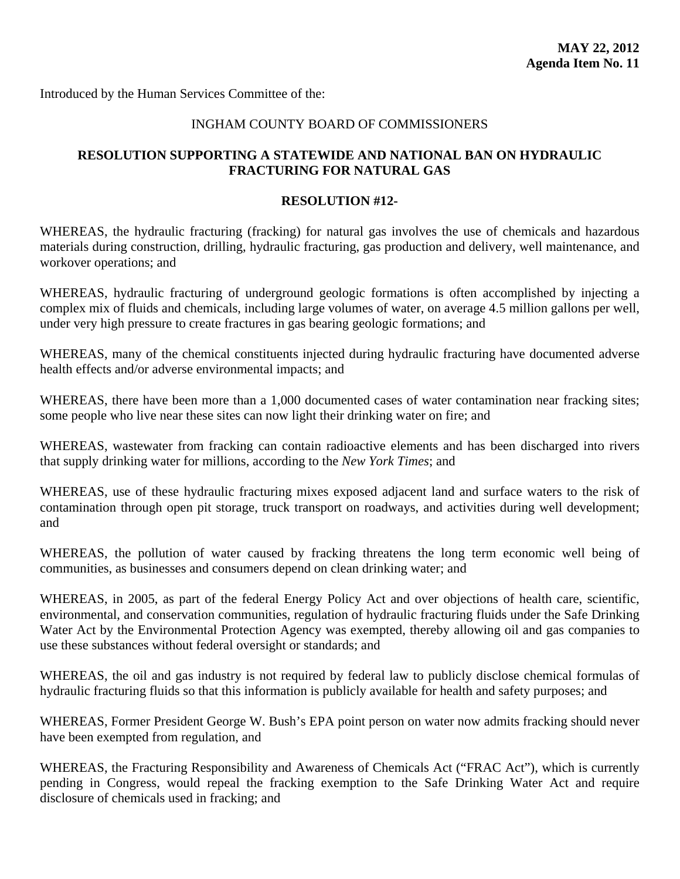<span id="page-49-0"></span>Introduced by the Human Services Committee of the:

### INGHAM COUNTY BOARD OF COMMISSIONERS

# **RESOLUTION SUPPORTING A STATEWIDE AND NATIONAL BAN ON HYDRAULIC FRACTURING FOR NATURAL GAS**

### **RESOLUTION #12-**

WHEREAS, the hydraulic fracturing (fracking) for natural gas involves the use of chemicals and hazardous materials during construction, drilling, hydraulic fracturing, gas production and delivery, well maintenance, and workover operations; and

WHEREAS, hydraulic fracturing of underground geologic formations is often accomplished by injecting a complex mix of fluids and chemicals, including large volumes of water, on average 4.5 million gallons per well, under very high pressure to create fractures in gas bearing geologic formations; and

WHEREAS, many of the chemical constituents injected during hydraulic fracturing have documented adverse health effects and/or adverse environmental impacts; and

WHEREAS, there have been more than a 1,000 documented cases of water contamination near fracking sites; some people who live near these sites can now light their drinking water on fire; and

WHEREAS, wastewater from fracking can contain radioactive elements and has been discharged into rivers that supply drinking water for millions, according to the *New York Times*; and

WHEREAS, use of these hydraulic fracturing mixes exposed adjacent land and surface waters to the risk of contamination through open pit storage, truck transport on roadways, and activities during well development; and

WHEREAS, the pollution of water caused by fracking threatens the long term economic well being of communities, as businesses and consumers depend on clean drinking water; and

WHEREAS, in 2005, as part of the federal Energy Policy Act and over objections of health care, scientific, environmental, and conservation communities, regulation of hydraulic fracturing fluids under the Safe Drinking Water Act by the Environmental Protection Agency was exempted, thereby allowing oil and gas companies to use these substances without federal oversight or standards; and

WHEREAS, the oil and gas industry is not required by federal law to publicly disclose chemical formulas of hydraulic fracturing fluids so that this information is publicly available for health and safety purposes; and

WHEREAS, Former President George W. Bush's EPA point person on water now admits fracking should never have been exempted from regulation, and

WHEREAS, the Fracturing Responsibility and Awareness of Chemicals Act ("FRAC Act"), which is currently pending in Congress, would repeal the fracking exemption to the Safe Drinking Water Act and require disclosure of chemicals used in fracking; and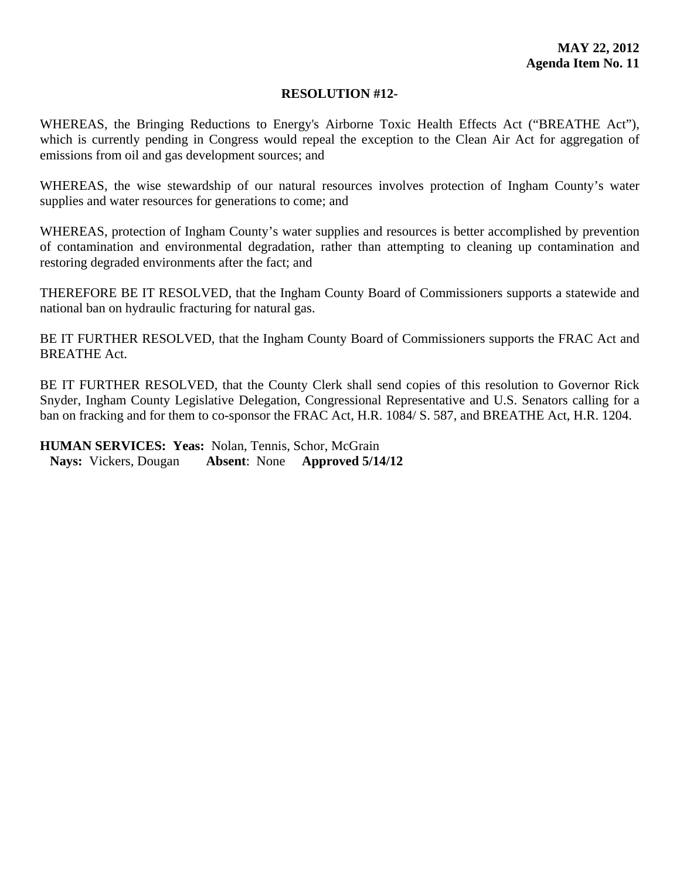### **RESOLUTION #12-**

WHEREAS, the Bringing Reductions to Energy's Airborne Toxic Health Effects Act ("BREATHE Act"), which is currently pending in Congress would repeal the exception to the Clean Air Act for aggregation of emissions from oil and gas development sources; and

WHEREAS, the wise stewardship of our natural resources involves protection of Ingham County's water supplies and water resources for generations to come; and

WHEREAS, protection of Ingham County's water supplies and resources is better accomplished by prevention of contamination and environmental degradation, rather than attempting to cleaning up contamination and restoring degraded environments after the fact; and

THEREFORE BE IT RESOLVED, that the Ingham County Board of Commissioners supports a statewide and national ban on hydraulic fracturing for natural gas.

BE IT FURTHER RESOLVED, that the Ingham County Board of Commissioners supports the FRAC Act and BREATHE Act.

BE IT FURTHER RESOLVED, that the County Clerk shall send copies of this resolution to Governor Rick Snyder, Ingham County Legislative Delegation, Congressional Representative and U.S. Senators calling for a ban on fracking and for them to co-sponsor the FRAC Act, H.R. 1084/ S. 587, and BREATHE Act, H.R. 1204.

**HUMAN SERVICES: Yeas:** Nolan, Tennis, Schor, McGrain  **Nays:** Vickers, Dougan **Absent**: None **Approved 5/14/12**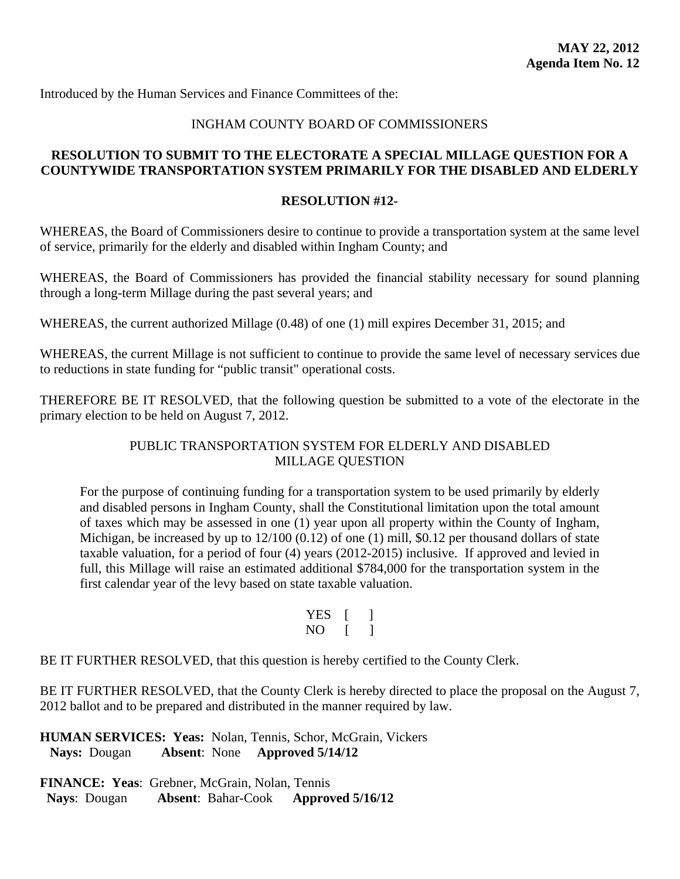# INGHAM COUNTY BOARD OF COMMISSIONERS

# <span id="page-51-0"></span>**RESOLUTION TO SUBMIT TO THE ELECTORATE A SPECIAL MILLAGE QUESTION FOR A COUNTYWIDE TRANSPORTATION SYSTEM PRIMARILY FOR THE DISABLED AND ELDERLY**

### **RESOLUTION #12-**

WHEREAS, the Board of Commissioners desire to continue to provide a transportation system at the same level of service, primarily for the elderly and disabled within Ingham County; and

WHEREAS, the Board of Commissioners has provided the financial stability necessary for sound planning through a long-term Millage during the past several years; and

WHEREAS, the current authorized Millage (0.48) of one (1) mill expires December 31, 2015; and

WHEREAS, the current Millage is not sufficient to continue to provide the same level of necessary services due to reductions in state funding for "public transit" operational costs.

THEREFORE BE IT RESOLVED, that the following question be submitted to a vote of the electorate in the primary election to be held on August 7, 2012.

# PUBLIC TRANSPORTATION SYSTEM FOR ELDERLY AND DISABLED MILLAGE QUESTION

For the purpose of continuing funding for a transportation system to be used primarily by elderly and disabled persons in Ingham County, shall the Constitutional limitation upon the total amount of taxes which may be assessed in one (1) year upon all property within the County of Ingham, Michigan, be increased by up to  $12/100$  (0.12) of one (1) mill, \$0.12 per thousand dollars of state taxable valuation, for a period of four (4) years (2012-2015) inclusive. If approved and levied in full, this Millage will raise an estimated additional \$784,000 for the transportation system in the first calendar year of the levy based on state taxable valuation.

| <b>YES</b> |  |
|------------|--|
| NO         |  |

BE IT FURTHER RESOLVED, that this question is hereby certified to the County Clerk.

BE IT FURTHER RESOLVED, that the County Clerk is hereby directed to place the proposal on the August 7, 2012 ballot and to be prepared and distributed in the manner required by law.

**HUMAN SERVICES: Yeas:** Nolan, Tennis, Schor, McGrain, Vickers  **Nays:** Dougan **Absent**: None **Approved 5/14/12**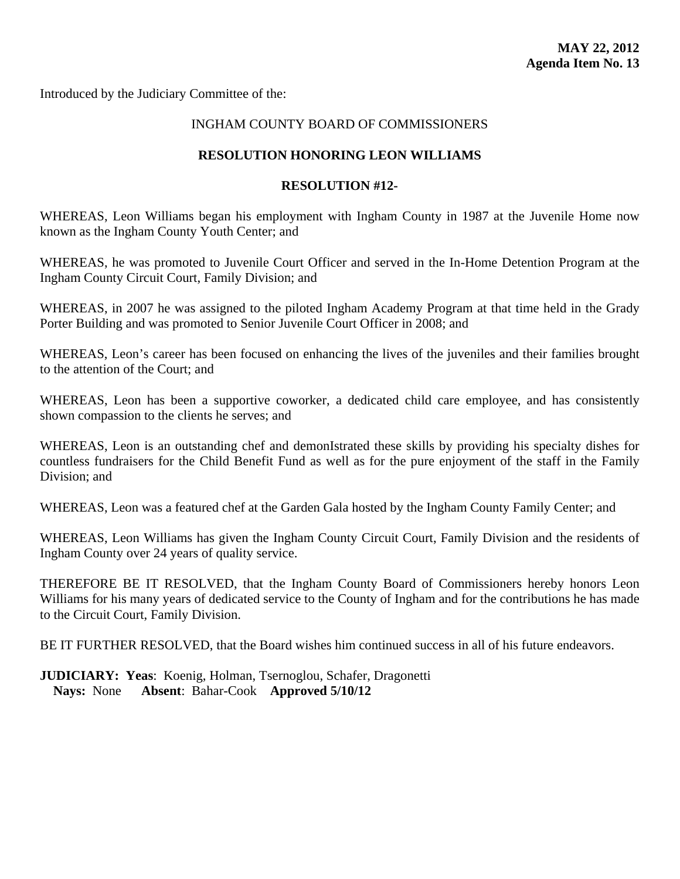<span id="page-52-0"></span>Introduced by the Judiciary Committee of the:

# INGHAM COUNTY BOARD OF COMMISSIONERS

### **RESOLUTION HONORING LEON WILLIAMS**

#### **RESOLUTION #12-**

WHEREAS, Leon Williams began his employment with Ingham County in 1987 at the Juvenile Home now known as the Ingham County Youth Center; and

WHEREAS, he was promoted to Juvenile Court Officer and served in the In-Home Detention Program at the Ingham County Circuit Court, Family Division; and

WHEREAS, in 2007 he was assigned to the piloted Ingham Academy Program at that time held in the Grady Porter Building and was promoted to Senior Juvenile Court Officer in 2008; and

WHEREAS, Leon's career has been focused on enhancing the lives of the juveniles and their families brought to the attention of the Court; and

WHEREAS, Leon has been a supportive coworker, a dedicated child care employee, and has consistently shown compassion to the clients he serves; and

WHEREAS, Leon is an outstanding chef and demonIstrated these skills by providing his specialty dishes for countless fundraisers for the Child Benefit Fund as well as for the pure enjoyment of the staff in the Family Division; and

WHEREAS, Leon was a featured chef at the Garden Gala hosted by the Ingham County Family Center; and

WHEREAS, Leon Williams has given the Ingham County Circuit Court, Family Division and the residents of Ingham County over 24 years of quality service.

THEREFORE BE IT RESOLVED, that the Ingham County Board of Commissioners hereby honors Leon Williams for his many years of dedicated service to the County of Ingham and for the contributions he has made to the Circuit Court, Family Division.

BE IT FURTHER RESOLVED, that the Board wishes him continued success in all of his future endeavors.

**JUDICIARY: Yeas**: Koenig, Holman, Tsernoglou, Schafer, Dragonetti **Nays:** None **Absent**: Bahar-Cook **Approved 5/10/12**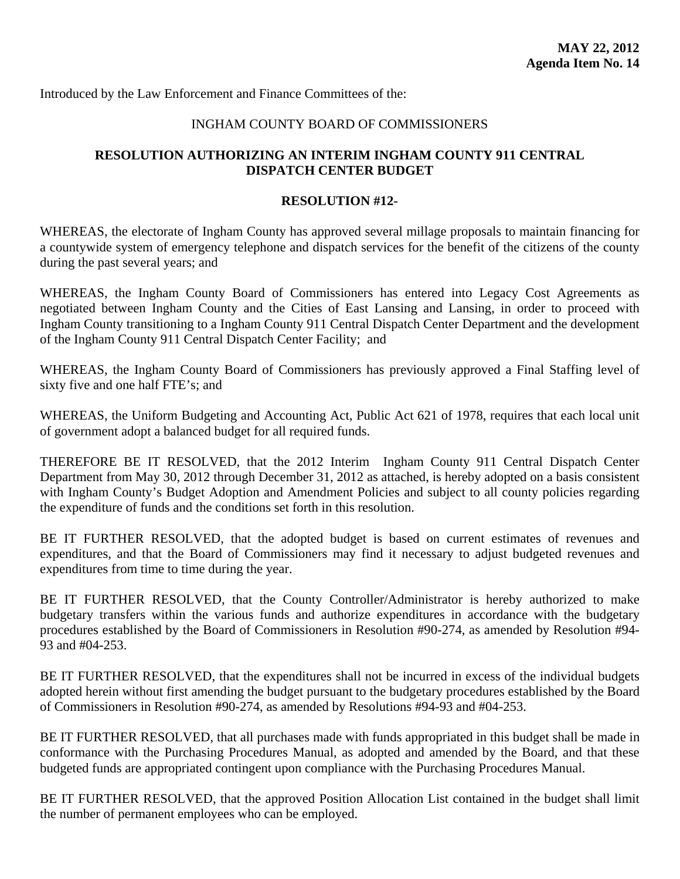<span id="page-53-0"></span>Introduced by the Law Enforcement and Finance Committees of the:

# INGHAM COUNTY BOARD OF COMMISSIONERS

# **RESOLUTION AUTHORIZING AN INTERIM INGHAM COUNTY 911 CENTRAL DISPATCH CENTER BUDGET**

#### **RESOLUTION #12-**

WHEREAS, the electorate of Ingham County has approved several millage proposals to maintain financing for a countywide system of emergency telephone and dispatch services for the benefit of the citizens of the county during the past several years; and

WHEREAS, the Ingham County Board of Commissioners has entered into Legacy Cost Agreements as negotiated between Ingham County and the Cities of East Lansing and Lansing, in order to proceed with Ingham County transitioning to a Ingham County 911 Central Dispatch Center Department and the development of the Ingham County 911 Central Dispatch Center Facility; and

WHEREAS, the Ingham County Board of Commissioners has previously approved a Final Staffing level of sixty five and one half FTE's; and

WHEREAS, the Uniform Budgeting and Accounting Act, Public Act 621 of 1978, requires that each local unit of government adopt a balanced budget for all required funds.

THEREFORE BE IT RESOLVED, that the 2012 Interim Ingham County 911 Central Dispatch Center Department from May 30, 2012 through December 31, 2012 as attached, is hereby adopted on a basis consistent with Ingham County's Budget Adoption and Amendment Policies and subject to all county policies regarding the expenditure of funds and the conditions set forth in this resolution.

BE IT FURTHER RESOLVED, that the adopted budget is based on current estimates of revenues and expenditures, and that the Board of Commissioners may find it necessary to adjust budgeted revenues and expenditures from time to time during the year.

BE IT FURTHER RESOLVED, that the County Controller/Administrator is hereby authorized to make budgetary transfers within the various funds and authorize expenditures in accordance with the budgetary procedures established by the Board of Commissioners in Resolution #90-274, as amended by Resolution #94- 93 and #04-253.

BE IT FURTHER RESOLVED, that the expenditures shall not be incurred in excess of the individual budgets adopted herein without first amending the budget pursuant to the budgetary procedures established by the Board of Commissioners in Resolution #90-274, as amended by Resolutions #94-93 and #04-253.

BE IT FURTHER RESOLVED, that all purchases made with funds appropriated in this budget shall be made in conformance with the Purchasing Procedures Manual, as adopted and amended by the Board, and that these budgeted funds are appropriated contingent upon compliance with the Purchasing Procedures Manual.

BE IT FURTHER RESOLVED, that the approved Position Allocation List contained in the budget shall limit the number of permanent employees who can be employed.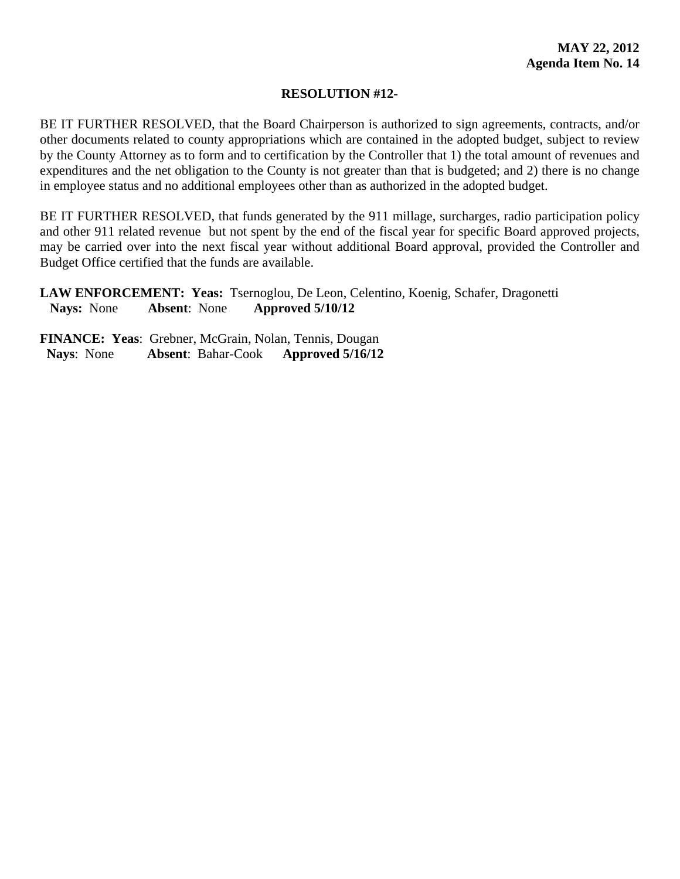# **RESOLUTION #12-**

BE IT FURTHER RESOLVED, that the Board Chairperson is authorized to sign agreements, contracts, and/or other documents related to county appropriations which are contained in the adopted budget, subject to review by the County Attorney as to form and to certification by the Controller that 1) the total amount of revenues and expenditures and the net obligation to the County is not greater than that is budgeted; and 2) there is no change in employee status and no additional employees other than as authorized in the adopted budget.

BE IT FURTHER RESOLVED, that funds generated by the 911 millage, surcharges, radio participation policy and other 911 related revenue but not spent by the end of the fiscal year for specific Board approved projects, may be carried over into the next fiscal year without additional Board approval, provided the Controller and Budget Office certified that the funds are available.

**LAW ENFORCEMENT: Yeas:** Tsernoglou, De Leon, Celentino, Koenig, Schafer, Dragonetti  **Nays:** None **Absent**: None **Approved 5/10/12**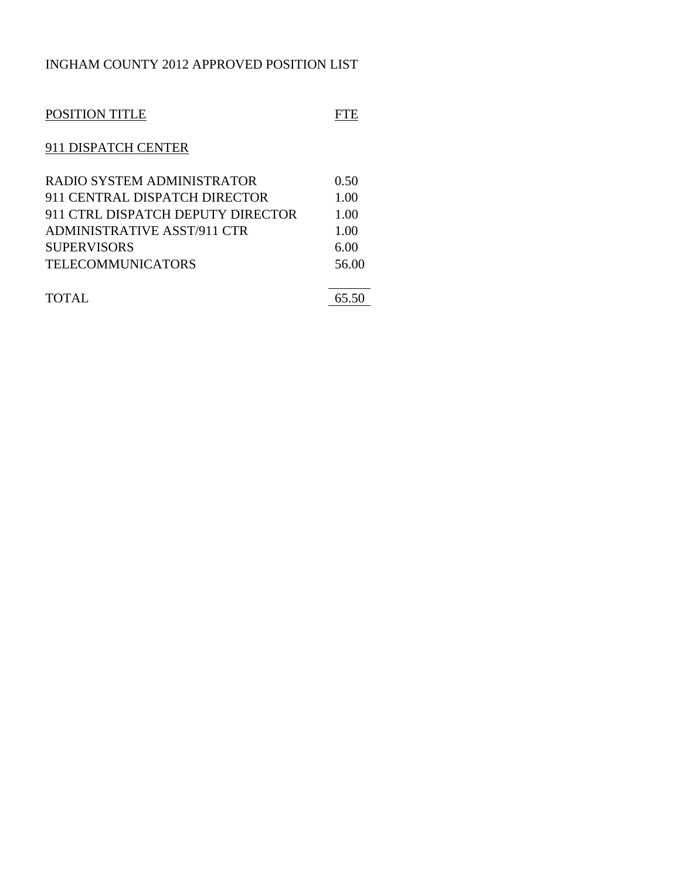# INGHAM COUNTY 2012 APPROVED POSITION LIST

| POSITION TITLE                     |       |
|------------------------------------|-------|
| 911 DISPATCH CENTER                |       |
| RADIO SYSTEM ADMINISTRATOR         | 0.50  |
| 911 CENTRAL DISPATCH DIRECTOR      | 1.00  |
| 911 CTRL DISPATCH DEPUTY DIRECTOR  | 1.00  |
| <b>ADMINISTRATIVE ASST/911 CTR</b> | 1.00  |
| <b>SUPERVISORS</b>                 | 6.00  |
| <b>TELECOMMUNICATORS</b>           | 56.00 |
|                                    |       |
| TOTAL                              | 65.50 |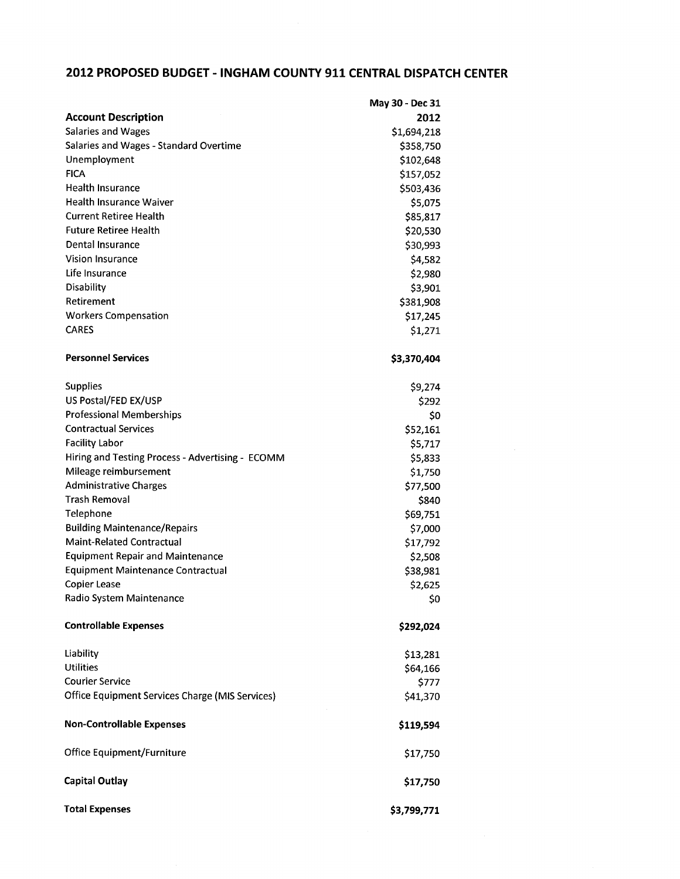# 2012 PROPOSED BUDGET - INGHAM COUNTY 911 CENTRAL DISPATCH CENTER

|                                                                         | May 30 - Dec 31 |
|-------------------------------------------------------------------------|-----------------|
| <b>Account Description</b>                                              | 2012            |
| <b>Salaries and Wages</b>                                               | \$1,694,218     |
| Salaries and Wages - Standard Overtime                                  | \$358,750       |
| Unemployment                                                            | \$102,648       |
| <b>FICA</b>                                                             | \$157,052       |
| <b>Health Insurance</b>                                                 | \$503,436       |
| <b>Health Insurance Waiver</b>                                          | \$5,075         |
| <b>Current Retiree Health</b>                                           | \$85,817        |
| <b>Future Retiree Health</b>                                            | \$20,530        |
| <b>Dental Insurance</b>                                                 | \$30,993        |
| <b>Vision Insurance</b>                                                 | \$4,582         |
| Life Insurance                                                          | \$2,980         |
| Disability                                                              | \$3,901         |
| Retirement                                                              | \$381,908       |
| <b>Workers Compensation</b>                                             | \$17,245        |
| <b>CARES</b>                                                            | \$1,271         |
|                                                                         |                 |
| <b>Personnel Services</b>                                               | \$3,370,404     |
| <b>Supplies</b>                                                         | \$9,274         |
| US Postal/FED EX/USP                                                    | \$292           |
| <b>Professional Memberships</b>                                         | \$0             |
| <b>Contractual Services</b>                                             | \$52,161        |
| <b>Facility Labor</b>                                                   | \$5,717         |
| Hiring and Testing Process - Advertising - ECOMM                        | \$5,833         |
| Mileage reimbursement                                                   |                 |
| <b>Administrative Charges</b>                                           | \$1,750         |
| <b>Trash Removal</b>                                                    | \$77,500        |
| Telephone                                                               | \$840           |
|                                                                         | \$69,751        |
| <b>Building Maintenance/Repairs</b><br><b>Maint-Related Contractual</b> | \$7,000         |
|                                                                         | \$17,792        |
| <b>Equipment Repair and Maintenance</b>                                 | \$2,508         |
| <b>Equipment Maintenance Contractual</b>                                | \$38,981        |
| <b>Copier Lease</b><br>Radio System Maintenance                         | \$2,625         |
|                                                                         | Ş0              |
| <b>Controllable Expenses</b>                                            | \$292,024       |
| Liability                                                               | \$13,281        |
| <b>Utilities</b>                                                        | \$64,166        |
| <b>Courier Service</b>                                                  | \$777           |
| <b>Office Equipment Services Charge (MIS Services)</b>                  | \$41,370        |
| <b>Non-Controllable Expenses</b>                                        | \$119,594       |
| Office Equipment/Furniture                                              | \$17,750        |
| <b>Capital Outlay</b>                                                   | \$17,750        |
| <b>Total Expenses</b>                                                   | \$3,799,771     |